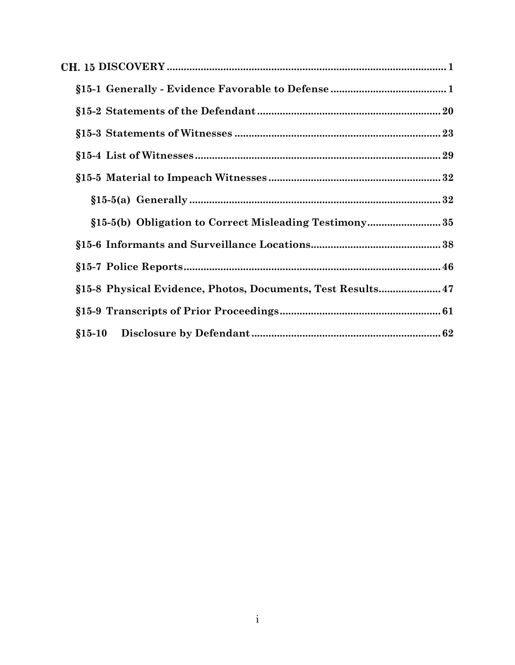| §15-8 Physical Evidence, Photos, Documents, Test Results 47 |  |
|-------------------------------------------------------------|--|
|                                                             |  |
|                                                             |  |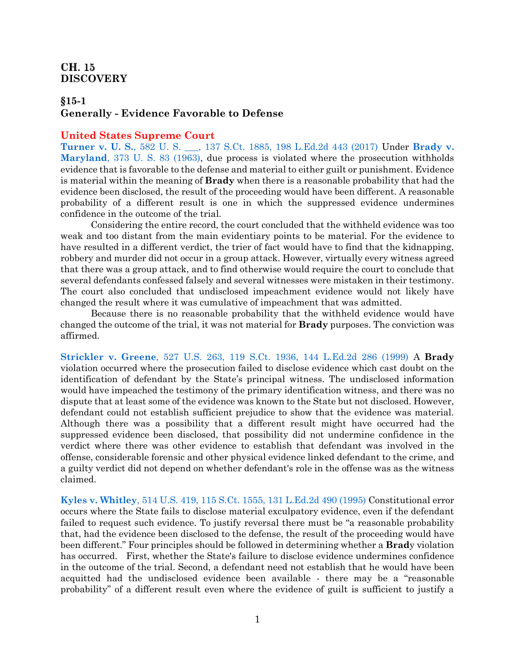### <span id="page-1-0"></span>CH. 15 **DISCOVERY**

### <span id="page-1-1"></span>**§15-1 Generally - Evidence Favorable to Defense**

#### **United States Supreme Court**

**Turner v. U. S.**[, 582 U. S. \\_\\_\\_, 137 S.Ct. 1885, 198 L.Ed.2d 443 \(2017\)](https://www.westlaw.com/Document/I1fd3844b573811e7b73588f1a9cfce05/View/FullText.html?transitionType=Default&contextData=(sc.Default)&VR=3.0&RS=da3.0) Under **[Brady v.](https://www.westlaw.com/Document/I236bf5969c1e11d9bdd1cfdd544ca3a4/View/FullText.html?transitionType=Default&contextData=(sc.Default)&VR=3.0&RS=da3.0)  Maryland**[, 373 U. S. 83 \(1963\),](https://www.westlaw.com/Document/I236bf5969c1e11d9bdd1cfdd544ca3a4/View/FullText.html?transitionType=Default&contextData=(sc.Default)&VR=3.0&RS=da3.0) due process is violated where the prosecution withholds evidence that is favorable to the defense and material to either guilt or punishment. Evidence is material within the meaning of **Brady** when there is a reasonable probability that had the evidence been disclosed, the result of the proceeding would have been different. A reasonable probability of a different result is one in which the suppressed evidence undermines confidence in the outcome of the trial.

Considering the entire record, the court concluded that the withheld evidence was too weak and too distant from the main evidentiary points to be material. For the evidence to have resulted in a different verdict, the trier of fact would have to find that the kidnapping, robbery and murder did not occur in a group attack. However, virtually every witness agreed that there was a group attack, and to find otherwise would require the court to conclude that several defendants confessed falsely and several witnesses were mistaken in their testimony. The court also concluded that undisclosed impeachment evidence would not likely have changed the result where it was cumulative of impeachment that was admitted.

Because there is no reasonable probability that the withheld evidence would have changed the outcome of the trial, it was not material for **Brady** purposes. The conviction was affirmed.

**Strickler v. Greene**[, 527 U.S. 263, 119 S.Ct. 1936, 144 L.Ed.2d 286 \(1999\)](https://www.westlaw.com/Document/I1d1d62429c9711d993e6d35cc61aab4a/View/FullText.html?transitionType=Default&contextData=(sc.Default)&VR=3.0&RS=da3.0) A **Brady** violation occurred where the prosecution failed to disclose evidence which cast doubt on the identification of defendant by the State's principal witness. The undisclosed information would have impeached the testimony of the primary identification witness, and there was no dispute that at least some of the evidence was known to the State but not disclosed. However, defendant could not establish sufficient prejudice to show that the evidence was material. Although there was a possibility that a different result might have occurred had the suppressed evidence been disclosed, that possibility did not undermine confidence in the verdict where there was other evidence to establish that defendant was involved in the offense, considerable forensic and other physical evidence linked defendant to the crime, and a guilty verdict did not depend on whether defendant's role in the offense was as the witness claimed.

**Kyles v. Whitley**[, 514 U.S. 419, 115 S.Ct. 1555, 131 L.Ed.2d 490 \(1995\)](https://www.westlaw.com/Document/I027c48999c4b11d991d0cc6b54f12d4d/View/FullText.html?transitionType=Default&contextData=(sc.Default)&VR=3.0&RS=da3.0) Constitutional error occurs where the State fails to disclose material exculpatory evidence, even if the defendant failed to request such evidence. To justify reversal there must be "a reasonable probability that, had the evidence been disclosed to the defense, the result of the proceeding would have been different." Four principles should be followed in determining whether a **Brad**y violation has occurred. First, whether the State's failure to disclose evidence undermines confidence in the outcome of the trial. Second, a defendant need not establish that he would have been acquitted had the undisclosed evidence been available - there may be a "reasonable probability" of a different result even where the evidence of guilt is sufficient to justify a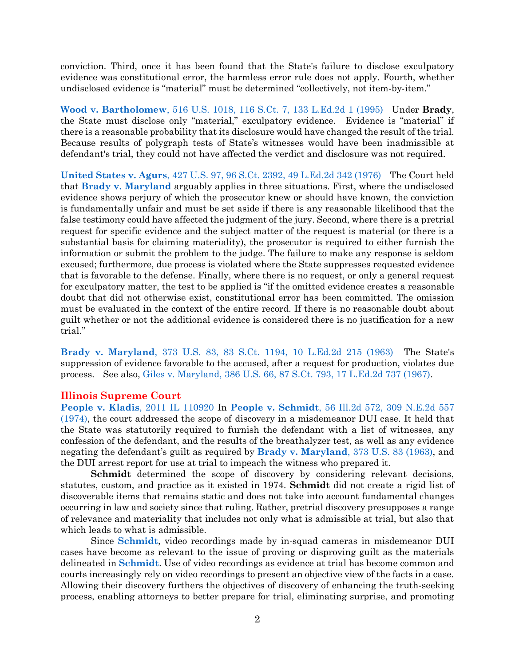conviction. Third, once it has been found that the State's failure to disclose exculpatory evidence was constitutional error, the harmless error rule does not apply. Fourth, whether undisclosed evidence is "material" must be determined "collectively, not item-by-item."

**Wood v. Bartholomew**[, 516 U.S. 1018, 116 S.Ct. 7, 133 L.Ed.2d 1 \(1995\)](https://www.westlaw.com/Document/I027ae8f99c4b11d991d0cc6b54f12d4d/View/FullText.html?transitionType=Default&contextData=(sc.Default)&VR=3.0&RS=da3.0) Under **Brady**, the State must disclose only "material," exculpatory evidence. Evidence is "material" if there is a reasonable probability that its disclosure would have changed the result of the trial. Because results of polygraph tests of State's witnesses would have been inadmissible at defendant's trial, they could not have affected the verdict and disclosure was not required.

**United States v. Agurs**[, 427 U.S. 97, 96 S.Ct. 2392, 49 L.Ed.2d 342 \(1976\)](https://www.westlaw.com/Document/I650632829c9711d9bc61beebb95be672/View/FullText.html?transitionType=Default&contextData=(sc.Default)&VR=3.0&RS=da3.0) The Court held that **[Brady v. Maryland](https://www.westlaw.com/Document/I236bf5969c1e11d9bdd1cfdd544ca3a4/View/FullText.html?transitionType=Default&contextData=(sc.Default)&VR=3.0&RS=da3.0)** arguably applies in three situations. First, where the undisclosed evidence shows perjury of which the prosecutor knew or should have known, the conviction is fundamentally unfair and must be set aside if there is any reasonable likelihood that the false testimony could have affected the judgment of the jury. Second, where there is a pretrial request for specific evidence and the subject matter of the request is material (or there is a substantial basis for claiming materiality), the prosecutor is required to either furnish the information or submit the problem to the judge. The failure to make any response is seldom excused; furthermore, due process is violated where the State suppresses requested evidence that is favorable to the defense. Finally, where there is no request, or only a general request for exculpatory matter, the test to be applied is "if the omitted evidence creates a reasonable doubt that did not otherwise exist, constitutional error has been committed. The omission must be evaluated in the context of the entire record. If there is no reasonable doubt about guilt whether or not the additional evidence is considered there is no justification for a new trial."

**Brady v. Maryland**[, 373 U.S. 83, 83 S.Ct. 1194, 10 L.Ed.2d 215 \(1963\)](https://www.westlaw.com/Document/I236bf5969c1e11d9bdd1cfdd544ca3a4/View/FullText.html?transitionType=Default&contextData=(sc.Default)&VR=3.0&RS=da3.0) The State's suppression of evidence favorable to the accused, after a request for production, violates due process. See also, [Giles v. Maryland, 386 U.S. 66, 87 S.Ct. 793, 17 L.Ed.2d 737 \(1967\).](https://www.westlaw.com/Document/I5ab88e3e9be911d9bc61beebb95be672/View/FullText.html?transitionType=Default&contextData=(sc.Default)&VR=3.0&RS=da3.0)

#### **Illinois Supreme Court**

**[People v. Kladis](https://www.westlaw.com/Document/I113ef895330811e1a1fbb12042fe3ee4/View/FullText.html?transitionType=Default&contextData=(sc.Default)&VR=3.0&RS=da3.0)**, 2011 IL 110920 In **People v. Schmidt**[, 56 Ill.2d 572, 309 N.E.2d 557](https://www.westlaw.com/Document/Ie4a61f3fce0911d9a489ee624f1f6e1a/View/FullText.html?transitionType=Default&contextData=(sc.Default)&VR=3.0&RS=da3.0)  [\(1974\),](https://www.westlaw.com/Document/Ie4a61f3fce0911d9a489ee624f1f6e1a/View/FullText.html?transitionType=Default&contextData=(sc.Default)&VR=3.0&RS=da3.0) the court addressed the scope of discovery in a misdemeanor DUI case. It held that the State was statutorily required to furnish the defendant with a list of witnesses, any confession of the defendant, and the results of the breathalyzer test, as well as any evidence negating the defendant's guilt as required by **[Brady v. Maryland](https://www.westlaw.com/Document/I236bf5969c1e11d9bdd1cfdd544ca3a4/View/FullText.html?transitionType=Default&contextData=(sc.Default)&VR=3.0&RS=da3.0)**, 373 U.S. 83 (1963), and the DUI arrest report for use at trial to impeach the witness who prepared it.

**Schmidt** determined the scope of discovery by considering relevant decisions, statutes, custom, and practice as it existed in 1974. **Schmidt** did not create a rigid list of discoverable items that remains static and does not take into account fundamental changes occurring in law and society since that ruling. Rather, pretrial discovery presupposes a range of relevance and materiality that includes not only what is admissible at trial, but also that which leads to what is admissible.

Since **[Schmidt](https://www.westlaw.com/Document/Ie4a61f3fce0911d9a489ee624f1f6e1a/View/FullText.html?transitionType=Default&contextData=(sc.Default)&VR=3.0&RS=da3.0)**, video recordings made by in-squad cameras in misdemeanor DUI cases have become as relevant to the issue of proving or disproving guilt as the materials delineated in **[Schmidt](https://www.westlaw.com/Document/Ie4a61f3fce0911d9a489ee624f1f6e1a/View/FullText.html?transitionType=Default&contextData=(sc.Default)&VR=3.0&RS=da3.0)**. Use of video recordings as evidence at trial has become common and courts increasingly rely on video recordings to present an objective view of the facts in a case. Allowing their discovery furthers the objectives of discovery of enhancing the truth-seeking process, enabling attorneys to better prepare for trial, eliminating surprise, and promoting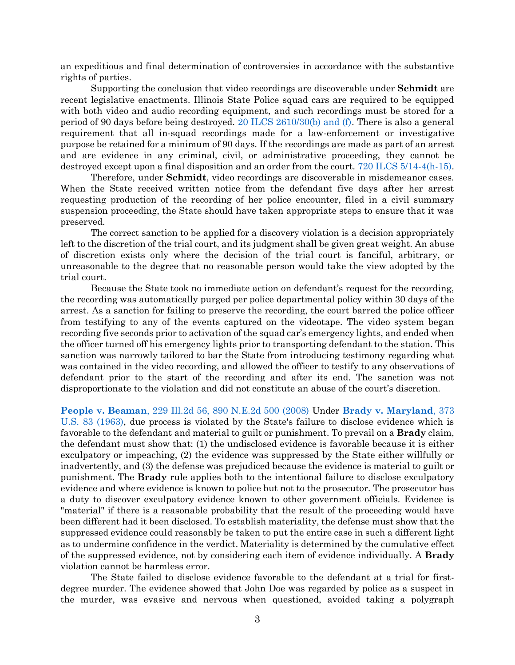an expeditious and final determination of controversies in accordance with the substantive rights of parties.

Supporting the conclusion that video recordings are discoverable under **Schmidt** are recent legislative enactments. Illinois State Police squad cars are required to be equipped with both video and audio recording equipment, and such recordings must be stored for a period of 90 days before being destroyed. [20 ILCS 2610/30\(b\) and \(f\).](https://www.westlaw.com/Document/N54824790CC5A11DD950CF413BE109009/View/FullText.html?transitionType=Default&contextData=(sc.Default)&VR=3.0&RS=da3.0) There is also a general requirement that all in-squad recordings made for a law-enforcement or investigative purpose be retained for a minimum of 90 days. If the recordings are made as part of an arrest and are evidence in any criminal, civil, or administrative proceeding, they cannot be destroyed except upon a final disposition and an order from the court. [720 ILCS 5/14-4\(h-15\).](https://www.westlaw.com/Document/N3ED431C0957A11E4AA00EA1B67EF9F8F/View/FullText.html?transitionType=Default&contextData=(sc.Default)&VR=3.0&RS=da3.0)

Therefore, under **Schmidt**, video recordings are discoverable in misdemeanor cases. When the State received written notice from the defendant five days after her arrest requesting production of the recording of her police encounter, filed in a civil summary suspension proceeding, the State should have taken appropriate steps to ensure that it was preserved.

The correct sanction to be applied for a discovery violation is a decision appropriately left to the discretion of the trial court, and its judgment shall be given great weight. An abuse of discretion exists only where the decision of the trial court is fanciful, arbitrary, or unreasonable to the degree that no reasonable person would take the view adopted by the trial court.

Because the State took no immediate action on defendant's request for the recording, the recording was automatically purged per police departmental policy within 30 days of the arrest. As a sanction for failing to preserve the recording, the court barred the police officer from testifying to any of the events captured on the videotape. The video system began recording five seconds prior to activation of the squad car's emergency lights, and ended when the officer turned off his emergency lights prior to transporting defendant to the station. This sanction was narrowly tailored to bar the State from introducing testimony regarding what was contained in the video recording, and allowed the officer to testify to any observations of defendant prior to the start of the recording and after its end. The sanction was not disproportionate to the violation and did not constitute an abuse of the court's discretion.

**People v. Beaman**[, 229 Ill.2d 56, 890 N.E.2d 500 \(2008\)](https://www.westlaw.com/Document/I7b8eea57281911ddb6a3a099756c05b7/View/FullText.html?transitionType=Default&contextData=(sc.Default)&VR=3.0&RS=da3.0) Under **[Brady v. Maryland](https://www.westlaw.com/Document/I236bf5969c1e11d9bdd1cfdd544ca3a4/View/FullText.html?transitionType=Default&contextData=(sc.Default)&VR=3.0&RS=da3.0)**, 373 [U.S. 83 \(1963\),](https://www.westlaw.com/Document/I236bf5969c1e11d9bdd1cfdd544ca3a4/View/FullText.html?transitionType=Default&contextData=(sc.Default)&VR=3.0&RS=da3.0) due process is violated by the State's failure to disclose evidence which is favorable to the defendant and material to guilt or punishment. To prevail on a **Brady** claim, the defendant must show that: (1) the undisclosed evidence is favorable because it is either exculpatory or impeaching, (2) the evidence was suppressed by the State either willfully or inadvertently, and (3) the defense was prejudiced because the evidence is material to guilt or punishment. The **Brady** rule applies both to the intentional failure to disclose exculpatory evidence and where evidence is known to police but not to the prosecutor. The prosecutor has a duty to discover exculpatory evidence known to other government officials. Evidence is "material" if there is a reasonable probability that the result of the proceeding would have been different had it been disclosed. To establish materiality, the defense must show that the suppressed evidence could reasonably be taken to put the entire case in such a different light as to undermine confidence in the verdict. Materiality is determined by the cumulative effect of the suppressed evidence, not by considering each item of evidence individually. A **Brady** violation cannot be harmless error.

The State failed to disclose evidence favorable to the defendant at a trial for firstdegree murder. The evidence showed that John Doe was regarded by police as a suspect in the murder, was evasive and nervous when questioned, avoided taking a polygraph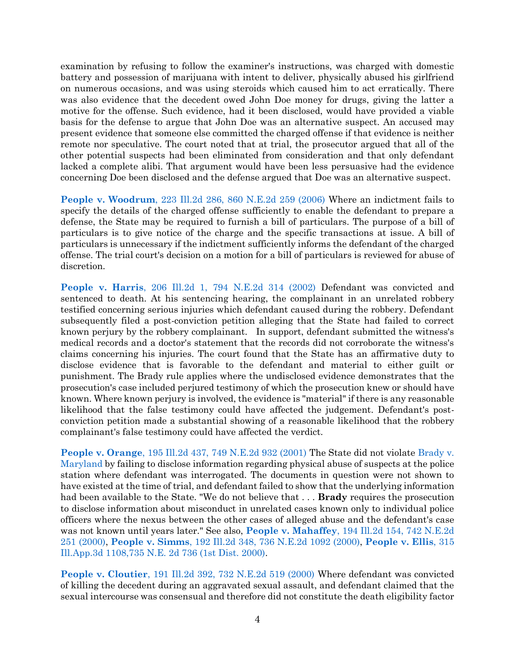examination by refusing to follow the examiner's instructions, was charged with domestic battery and possession of marijuana with intent to deliver, physically abused his girlfriend on numerous occasions, and was using steroids which caused him to act erratically. There was also evidence that the decedent owed John Doe money for drugs, giving the latter a motive for the offense. Such evidence, had it been disclosed, would have provided a viable basis for the defense to argue that John Doe was an alternative suspect. An accused may present evidence that someone else committed the charged offense if that evidence is neither remote nor speculative. The court noted that at trial, the prosecutor argued that all of the other potential suspects had been eliminated from consideration and that only defendant lacked a complete alibi. That argument would have been less persuasive had the evidence concerning Doe been disclosed and the defense argued that Doe was an alternative suspect.

**People v. Woodrum**[, 223 Ill.2d 286, 860 N.E.2d 259 \(2006\)](https://www.westlaw.com/Document/I86f314f2548611dbbb4d83d7c3c3a165/View/FullText.html?transitionType=Default&contextData=(sc.Default)&VR=3.0&RS=da3.0) Where an indictment fails to specify the details of the charged offense sufficiently to enable the defendant to prepare a defense, the State may be required to furnish a bill of particulars. The purpose of a bill of particulars is to give notice of the charge and the specific transactions at issue. A bill of particulars is unnecessary if the indictment sufficiently informs the defendant of the charged offense. The trial court's decision on a motion for a bill of particulars is reviewed for abuse of discretion.

**People v. Harris**[, 206 Ill.2d 1, 794 N.E.2d 314 \(2002\)](https://www.westlaw.com/Document/I20703ca4d39311d983e7e9deff98dc6f/View/FullText.html?transitionType=Default&contextData=(sc.Default)&VR=3.0&RS=da3.0) Defendant was convicted and sentenced to death. At his sentencing hearing, the complainant in an unrelated robbery testified concerning serious injuries which defendant caused during the robbery. Defendant subsequently filed a post-conviction petition alleging that the State had failed to correct known perjury by the robbery complainant. In support, defendant submitted the witness's medical records and a doctor's statement that the records did not corroborate the witness's claims concerning his injuries. The court found that the State has an affirmative duty to disclose evidence that is favorable to the defendant and material to either guilt or punishment. The Brady rule applies where the undisclosed evidence demonstrates that the prosecution's case included perjured testimony of which the prosecution knew or should have known. Where known perjury is involved, the evidence is "material" if there is any reasonable likelihood that the false testimony could have affected the judgement. Defendant's postconviction petition made a substantial showing of a reasonable likelihood that the robbery complainant's false testimony could have affected the verdict.

**People v. Orange**[, 195 Ill.2d 437, 749 N.E.2d 932 \(2001\)](https://www.westlaw.com/Document/I62abdb74d39811d99439b076ef9ec4de/View/FullText.html?transitionType=Default&contextData=(sc.Default)&VR=3.0&RS=da3.0) The State did not violate [Brady v.](https://www.westlaw.com/Document/I236bf5969c1e11d9bdd1cfdd544ca3a4/View/FullText.html?transitionType=Default&contextData=(sc.Default)&VR=3.0&RS=da3.0)  [Maryland](https://www.westlaw.com/Document/I236bf5969c1e11d9bdd1cfdd544ca3a4/View/FullText.html?transitionType=Default&contextData=(sc.Default)&VR=3.0&RS=da3.0) by failing to disclose information regarding physical abuse of suspects at the police station where defendant was interrogated. The documents in question were not shown to have existed at the time of trial, and defendant failed to show that the underlying information had been available to the State. "We do not believe that . . . **Brady** requires the prosecution to disclose information about misconduct in unrelated cases known only to individual police officers where the nexus between the other cases of alleged abuse and the defendant's case was not known until years later." See also, **People v. Mahaffey**[, 194 Ill.2d 154, 742 N.E.2d](https://www.westlaw.com/Document/I5e9de8b8d3a211d983e7e9deff98dc6f/View/FullText.html?transitionType=Default&contextData=(sc.Default)&VR=3.0&RS=da3.0)  [251 \(2000\),](https://www.westlaw.com/Document/I5e9de8b8d3a211d983e7e9deff98dc6f/View/FullText.html?transitionType=Default&contextData=(sc.Default)&VR=3.0&RS=da3.0) **People v. Simms**[, 192 Ill.2d 348, 736 N.E.2d 1092 \(2000\),](https://www.westlaw.com/Document/Ic58dc29bd3ba11d9a489ee624f1f6e1a/View/FullText.html?transitionType=Default&contextData=(sc.Default)&VR=3.0&RS=da3.0) **[People v. Ellis](https://www.westlaw.com/Document/I5d2c4df1d3bb11d983e7e9deff98dc6f/View/FullText.html?transitionType=Default&contextData=(sc.Default)&VR=3.0&RS=da3.0)**, 315 [Ill.App.3d 1108,735 N.E. 2d 736 \(1st Dist. 2000\).](https://www.westlaw.com/Document/I5d2c4df1d3bb11d983e7e9deff98dc6f/View/FullText.html?transitionType=Default&contextData=(sc.Default)&VR=3.0&RS=da3.0)

**People v. Cloutier**[, 191 Ill.2d 392, 732 N.E.2d 519 \(2000\)](https://www.westlaw.com/Document/Ibb3ca611d3ac11d983e7e9deff98dc6f/View/FullText.html?transitionType=Default&contextData=(sc.Default)&VR=3.0&RS=da3.0) Where defendant was convicted of killing the decedent during an aggravated sexual assault, and defendant claimed that the sexual intercourse was consensual and therefore did not constitute the death eligibility factor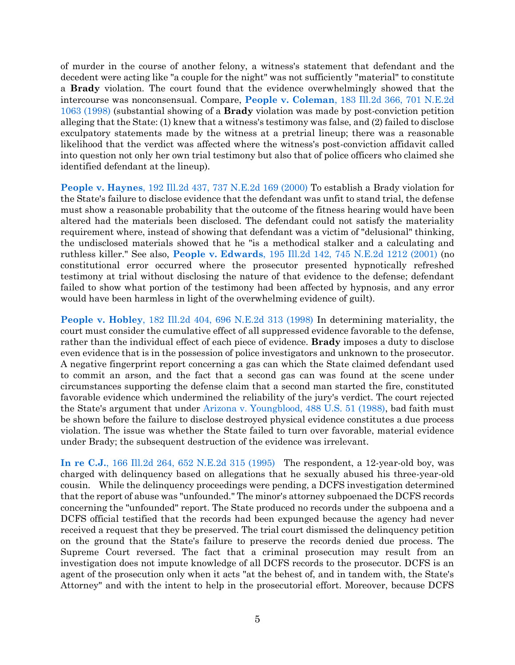of murder in the course of another felony, a witness's statement that defendant and the decedent were acting like "a couple for the night" was not sufficiently "material" to constitute a **Brady** violation. The court found that the evidence overwhelmingly showed that the intercourse was nonconsensual. Compare, **People v. Coleman**[, 183 Ill.2d 366, 701 N.E.2d](https://www.westlaw.com/Document/I302e0f1cd3b011d99439b076ef9ec4de/View/FullText.html?transitionType=Default&contextData=(sc.Default)&VR=3.0&RS=da3.0)  [1063 \(1998\)](https://www.westlaw.com/Document/I302e0f1cd3b011d99439b076ef9ec4de/View/FullText.html?transitionType=Default&contextData=(sc.Default)&VR=3.0&RS=da3.0) (substantial showing of a **Brady** violation was made by post-conviction petition alleging that the State: (1) knew that a witness's testimony was false, and (2) failed to disclose exculpatory statements made by the witness at a pretrial lineup; there was a reasonable likelihood that the verdict was affected where the witness's post-conviction affidavit called into question not only her own trial testimony but also that of police officers who claimed she identified defendant at the lineup).

**People v. Haynes**[, 192 Ill.2d 437, 737 N.E.2d 169 \(2000\)](https://www.westlaw.com/Document/Icf087e21d3b211d9a489ee624f1f6e1a/View/FullText.html?transitionType=Default&contextData=(sc.Default)&VR=3.0&RS=da3.0) To establish a Brady violation for the State's failure to disclose evidence that the defendant was unfit to stand trial, the defense must show a reasonable probability that the outcome of the fitness hearing would have been altered had the materials been disclosed. The defendant could not satisfy the materiality requirement where, instead of showing that defendant was a victim of "delusional" thinking, the undisclosed materials showed that he "is a methodical stalker and a calculating and ruthless killer." See also, **People v. Edwards**[, 195 Ill.2d 142, 745 N.E.2d 1212 \(2001\)](https://www.westlaw.com/Document/Ibbe8e114d3ab11d98ac8f235252e36df/View/FullText.html?transitionType=Default&contextData=(sc.Default)&VR=3.0&RS=da3.0) (no constitutional error occurred where the prosecutor presented hypnotically refreshed testimony at trial without disclosing the nature of that evidence to the defense; defendant failed to show what portion of the testimony had been affected by hypnosis, and any error would have been harmless in light of the overwhelming evidence of guilt).

**People v. Hobley**[, 182 Ill.2d 404, 696 N.E.2d 313 \(1998\)](https://www.westlaw.com/Document/I25701424d3af11d9bf60c1d57ebc853e/View/FullText.html?transitionType=Default&contextData=(sc.Default)&VR=3.0&RS=da3.0) In determining materiality, the court must consider the cumulative effect of all suppressed evidence favorable to the defense, rather than the individual effect of each piece of evidence. **Brady** imposes a duty to disclose even evidence that is in the possession of police investigators and unknown to the prosecutor. A negative fingerprint report concerning a gas can which the State claimed defendant used to commit an arson, and the fact that a second gas can was found at the scene under circumstances supporting the defense claim that a second man started the fire, constituted favorable evidence which undermined the reliability of the jury's verdict. The court rejected the State's argument that under [Arizona v. Youngblood, 488 U.S. 51 \(1988\),](https://www.westlaw.com/Document/I234f1ece9c1e11d9bdd1cfdd544ca3a4/View/FullText.html?transitionType=Default&contextData=(sc.Default)&VR=3.0&RS=da3.0) bad faith must be shown before the failure to disclose destroyed physical evidence constitutes a due process violation. The issue was whether the State failed to turn over favorable, material evidence under Brady; the subsequent destruction of the evidence was irrelevant.

**In re C.J.**[, 166 Ill.2d 264, 652 N.E.2d 315 \(1995\)](https://www.westlaw.com/Document/I3279f5cad3c211d9a489ee624f1f6e1a/View/FullText.html?transitionType=Default&contextData=(sc.Default)&VR=3.0&RS=da3.0) The respondent, a 12-year-old boy, was charged with delinquency based on allegations that he sexually abused his three-year-old cousin. While the delinquency proceedings were pending, a DCFS investigation determined that the report of abuse was "unfounded." The minor's attorney subpoenaed the DCFS records concerning the "unfounded" report. The State produced no records under the subpoena and a DCFS official testified that the records had been expunged because the agency had never received a request that they be preserved. The trial court dismissed the delinquency petition on the ground that the State's failure to preserve the records denied due process. The Supreme Court reversed. The fact that a criminal prosecution may result from an investigation does not impute knowledge of all DCFS records to the prosecutor. DCFS is an agent of the prosecution only when it acts "at the behest of, and in tandem with, the State's Attorney" and with the intent to help in the prosecutorial effort. Moreover, because DCFS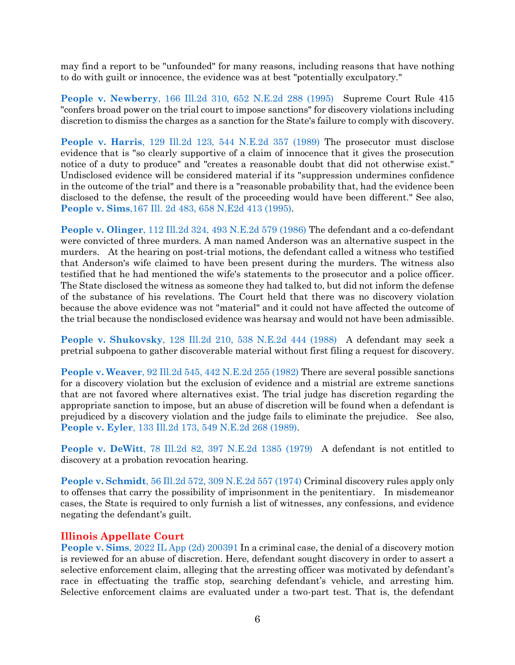may find a report to be "unfounded" for many reasons, including reasons that have nothing to do with guilt or innocence, the evidence was at best "potentially exculpatory."

**People v. Newberry**[, 166 Ill.2d 310, 652 N.E.2d 288 \(1995\)](https://www.westlaw.com/Document/Ifa04fccad3c111d98ac8f235252e36df/View/FullText.html?transitionType=Default&contextData=(sc.Default)&VR=3.0&RS=da3.0) Supreme Court Rule 415 "confers broad power on the trial court to impose sanctions" for discovery violations including discretion to dismiss the charges as a sanction for the State's failure to comply with discovery.

**People v. Harris**[, 129 Ill.2d 123, 544 N.E.2d 357 \(1989\)](https://www.westlaw.com/Document/Ia49ad0dcd38911d99439b076ef9ec4de/View/FullText.html?transitionType=Default&contextData=(sc.Default)&VR=3.0&RS=da3.0) The prosecutor must disclose evidence that is "so clearly supportive of a claim of innocence that it gives the prosecution notice of a duty to produce" and "creates a reasonable doubt that did not otherwise exist." Undisclosed evidence will be considered material if its "suppression undermines confidence in the outcome of the trial" and there is a "reasonable probability that, had the evidence been disclosed to the defense, the result of the proceeding would have been different." See also, **People v. Sims**[,167 Ill. 2d 483, 658 N.E2d 413 \(1995\).](https://www.westlaw.com/Document/I7e98a57ad3d811d99439b076ef9ec4de/View/FullText.html?transitionType=Default&contextData=(sc.Default)&VR=3.0&RS=da3.0)

**People v. Olinger**[, 112 Ill.2d 324, 493 N.E.2d 579 \(1986\)](https://www.westlaw.com/Document/I10871e2ad46b11d98ac8f235252e36df/View/FullText.html?transitionType=Default&contextData=(sc.Default)&VR=3.0&RS=da3.0) The defendant and a co-defendant were convicted of three murders. A man named Anderson was an alternative suspect in the murders. At the hearing on post-trial motions, the defendant called a witness who testified that Anderson's wife claimed to have been present during the murders. The witness also testified that he had mentioned the wife's statements to the prosecutor and a police officer. The State disclosed the witness as someone they had talked to, but did not inform the defense of the substance of his revelations. The Court held that there was no discovery violation because the above evidence was not "material" and it could not have affected the outcome of the trial because the nondisclosed evidence was hearsay and would not have been admissible.

**People v. Shukovsky**[, 128 Ill.2d 210, 538 N.E.2d 444 \(1988\)](https://www.westlaw.com/Document/I1969fcbed34911d9bf60c1d57ebc853e/View/FullText.html?transitionType=Default&contextData=(sc.Default)&VR=3.0&RS=da3.0) A defendant may seek a pretrial subpoena to gather discoverable material without first filing a request for discovery.

**People v. Weaver**[, 92 Ill.2d 545, 442 N.E.2d 255 \(1982\)](https://www.westlaw.com/Document/I967a0664d38911d9bf60c1d57ebc853e/View/FullText.html?transitionType=Default&contextData=(sc.Default)&VR=3.0&RS=da3.0) There are several possible sanctions for a discovery violation but the exclusion of evidence and a mistrial are extreme sanctions that are not favored where alternatives exist. The trial judge has discretion regarding the appropriate sanction to impose, but an abuse of discretion will be found when a defendant is prejudiced by a discovery violation and the judge fails to eliminate the prejudice. See also, **People v. Eyler**[, 133 Ill.2d 173, 549 N.E.2d 268 \(1989\).](https://www.westlaw.com/Document/Ia01e1068d38b11d99439b076ef9ec4de/View/FullText.html?transitionType=Default&contextData=(sc.Default)&VR=3.0&RS=da3.0)

**People v. DeWitt**[, 78 Ill.2d 82, 397 N.E.2d 1385 \(1979\)](https://www.westlaw.com/Document/I5578a20ad93a11d98ac8f235252e36df/View/FullText.html?transitionType=Default&contextData=(sc.Default)&VR=3.0&RS=da3.0) A defendant is not entitled to discovery at a probation revocation hearing.

**People v. Schmidt**[, 56 Ill.2d 572, 309 N.E.2d 557 \(1974\)](https://www.westlaw.com/Document/Ie4a61f3fce0911d9a489ee624f1f6e1a/View/FullText.html?transitionType=Default&contextData=(sc.Default)&VR=3.0&RS=da3.0) Criminal discovery rules apply only to offenses that carry the possibility of imprisonment in the penitentiary. In misdemeanor cases, the State is required to only furnish a list of witnesses, any confessions, and evidence negating the defendant's guilt.

### **Illinois Appellate Court**

**People v. Sims**[, 2022 IL App \(2d\) 200391 I](https://www.westlaw.com/Document/Ic37591a0b16811ecbf45df569f0c2bfa/View/FullText.html?transitionType=Default&contextData=(sc.Default)&VR=3.0&RS=da3.0)n a criminal case, the denial of a discovery motion is reviewed for an abuse of discretion. Here, defendant sought discovery in order to assert a selective enforcement claim, alleging that the arresting officer was motivated by defendant's race in effectuating the traffic stop, searching defendant's vehicle, and arresting him. Selective enforcement claims are evaluated under a two-part test. That is, the defendant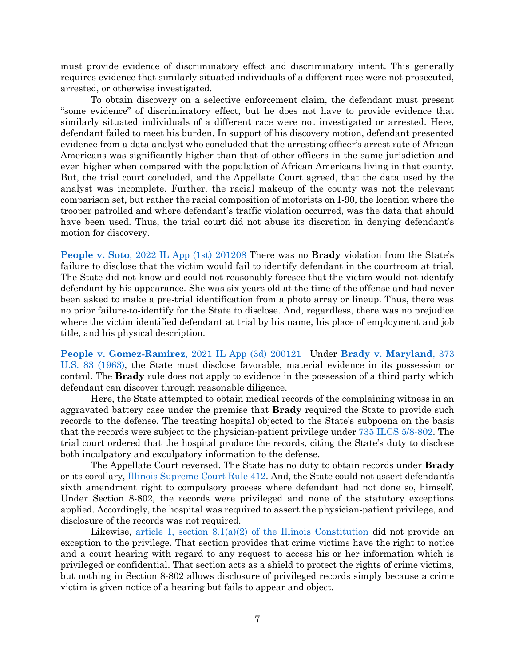must provide evidence of discriminatory effect and discriminatory intent. This generally requires evidence that similarly situated individuals of a different race were not prosecuted, arrested, or otherwise investigated.

To obtain discovery on a selective enforcement claim, the defendant must present "some evidence" of discriminatory effect, but he does not have to provide evidence that similarly situated individuals of a different race were not investigated or arrested. Here, defendant failed to meet his burden. In support of his discovery motion, defendant presented evidence from a data analyst who concluded that the arresting officer's arrest rate of African Americans was significantly higher than that of other officers in the same jurisdiction and even higher when compared with the population of African Americans living in that county. But, the trial court concluded, and the Appellate Court agreed, that the data used by the analyst was incomplete. Further, the racial makeup of the county was not the relevant comparison set, but rather the racial composition of motorists on I-90, the location where the trooper patrolled and where defendant's traffic violation occurred, was the data that should have been used. Thus, the trial court did not abuse its discretion in denying defendant's motion for discovery.

**People v. Soto**[, 2022 IL App \(1st\) 201208 T](https://www.westlaw.com/Document/I8cb6bfa085e311eca4e4908e984ec08d/View/FullText.html?transitionType=Default&contextData=(sc.Default)&VR=3.0&RS=da3.0)here was no **Brady** violation from the State's failure to disclose that the victim would fail to identify defendant in the courtroom at trial. The State did not know and could not reasonably foresee that the victim would not identify defendant by his appearance. She was six years old at the time of the offense and had never been asked to make a pre-trial identification from a photo array or lineup. Thus, there was no prior failure-to-identify for the State to disclose. And, regardless, there was no prejudice where the victim identified defendant at trial by his name, his place of employment and job title, and his physical description.

**[People v. Gomez-Ramirez](https://www.westlaw.com/Document/I0d7d48500ab711ecb72ce2c86e84f35e/View/FullText.html?transitionType=Default&contextData=(sc.Default)&VR=3.0&RS=da3.0)**, 2021 IL App (3d) 200121 Under **[Brady v. Maryland](https://www.westlaw.com/Document/I236bf5969c1e11d9bdd1cfdd544ca3a4/View/FullText.html?transitionType=Default&contextData=(sc.Default)&VR=3.0&RS=da3.0)**, 373 [U.S. 83 \(1963\),](https://www.westlaw.com/Document/I236bf5969c1e11d9bdd1cfdd544ca3a4/View/FullText.html?transitionType=Default&contextData=(sc.Default)&VR=3.0&RS=da3.0) the State must disclose favorable, material evidence in its possession or control. The **Brady** rule does not apply to evidence in the possession of a third party which defendant can discover through reasonable diligence.

Here, the State attempted to obtain medical records of the complaining witness in an aggravated battery case under the premise that **Brady** required the State to provide such records to the defense. The treating hospital objected to the State's subpoena on the basis that the records were subject to the physician-patient privilege under [735 ILCS 5/8-802.](https://www.westlaw.com/Document/N8D9073A093C711E984C6B72F156B0EC8/View/FullText.html?transitionType=Default&contextData=(sc.Default)&VR=3.0&RS=da3.0) The trial court ordered that the hospital produce the records, citing the State's duty to disclose both inculpatory and exculpatory information to the defense.

The Appellate Court reversed. The State has no duty to obtain records under **Brady** or its corollary, [Illinois Supreme Court Rule 412](https://www.westlaw.com/Document/N9AD9FE40E62F11DAB663DBBC2EFCE9AD/View/FullText.html?transitionType=Default&contextData=(sc.Default)&VR=3.0&RS=da3.0). And, the State could not assert defendant's sixth amendment right to compulsory process where defendant had not done so, himself. Under Section 8-802, the records were privileged and none of the statutory exceptions applied. Accordingly, the hospital was required to assert the physician-patient privilege, and disclosure of the records was not required.

Likewise, article 1, section  $8.1(a)(2)$  of the Illinois Constitution did not provide an exception to the privilege. That section provides that crime victims have the right to notice and a court hearing with regard to any request to access his or her information which is privileged or confidential. That section acts as a shield to protect the rights of crime victims, but nothing in Section 8-802 allows disclosure of privileged records simply because a crime victim is given notice of a hearing but fails to appear and object.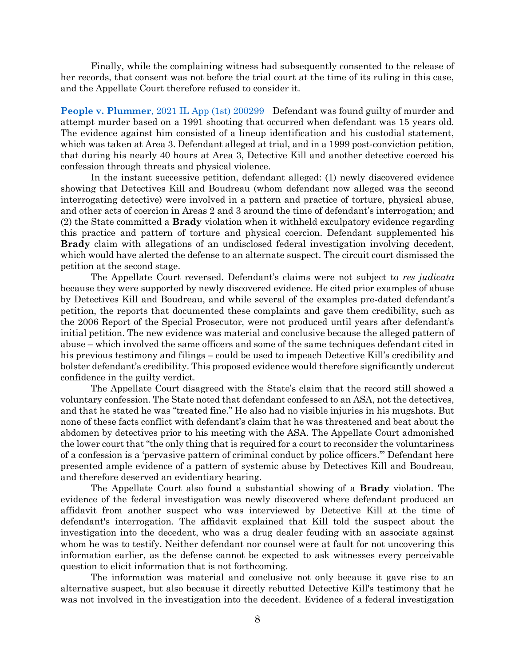Finally, while the complaining witness had subsequently consented to the release of her records, that consent was not before the trial court at the time of its ruling in this case, and the Appellate Court therefore refused to consider it.

**People v. Plummer**[, 2021 IL App \(1st\) 200299](https://www.westlaw.com/Document/I8660eee0020e11ec8cc1ca5e79b1b862/View/FullText.html?transitionType=Default&contextData=(sc.Default)&VR=3.0&RS=da3.0) Defendant was found guilty of murder and attempt murder based on a 1991 shooting that occurred when defendant was 15 years old. The evidence against him consisted of a lineup identification and his custodial statement, which was taken at Area 3. Defendant alleged at trial, and in a 1999 post-conviction petition, that during his nearly 40 hours at Area 3, Detective Kill and another detective coerced his confession through threats and physical violence.

In the instant successive petition, defendant alleged: (1) newly discovered evidence showing that Detectives Kill and Boudreau (whom defendant now alleged was the second interrogating detective) were involved in a pattern and practice of torture, physical abuse, and other acts of coercion in Areas 2 and 3 around the time of defendant's interrogation; and (2) the State committed a **Brady** violation when it withheld exculpatory evidence regarding this practice and pattern of torture and physical coercion. Defendant supplemented his **Brady** claim with allegations of an undisclosed federal investigation involving decedent, which would have alerted the defense to an alternate suspect. The circuit court dismissed the petition at the second stage.

The Appellate Court reversed. Defendant's claims were not subject to *res judicata*  because they were supported by newly discovered evidence. He cited prior examples of abuse by Detectives Kill and Boudreau, and while several of the examples pre-dated defendant's petition, the reports that documented these complaints and gave them credibility, such as the 2006 Report of the Special Prosecutor, were not produced until years after defendant's initial petition. The new evidence was material and conclusive because the alleged pattern of abuse – which involved the same officers and some of the same techniques defendant cited in his previous testimony and filings – could be used to impeach Detective Kill's credibility and bolster defendant's credibility. This proposed evidence would therefore significantly undercut confidence in the guilty verdict.

The Appellate Court disagreed with the State's claim that the record still showed a voluntary confession. The State noted that defendant confessed to an ASA, not the detectives, and that he stated he was "treated fine." He also had no visible injuries in his mugshots. But none of these facts conflict with defendant's claim that he was threatened and beat about the abdomen by detectives prior to his meeting with the ASA. The Appellate Court admonished the lower court that "the only thing that is required for a court to reconsider the voluntariness of a confession is a 'pervasive pattern of criminal conduct by police officers.'" Defendant here presented ample evidence of a pattern of systemic abuse by Detectives Kill and Boudreau, and therefore deserved an evidentiary hearing.

The Appellate Court also found a substantial showing of a **Brady** violation. The evidence of the federal investigation was newly discovered where defendant produced an affidavit from another suspect who was interviewed by Detective Kill at the time of defendant's interrogation. The affidavit explained that Kill told the suspect about the investigation into the decedent, who was a drug dealer feuding with an associate against whom he was to testify. Neither defendant nor counsel were at fault for not uncovering this information earlier, as the defense cannot be expected to ask witnesses every perceivable question to elicit information that is not forthcoming.

The information was material and conclusive not only because it gave rise to an alternative suspect, but also because it directly rebutted Detective Kill's testimony that he was not involved in the investigation into the decedent. Evidence of a federal investigation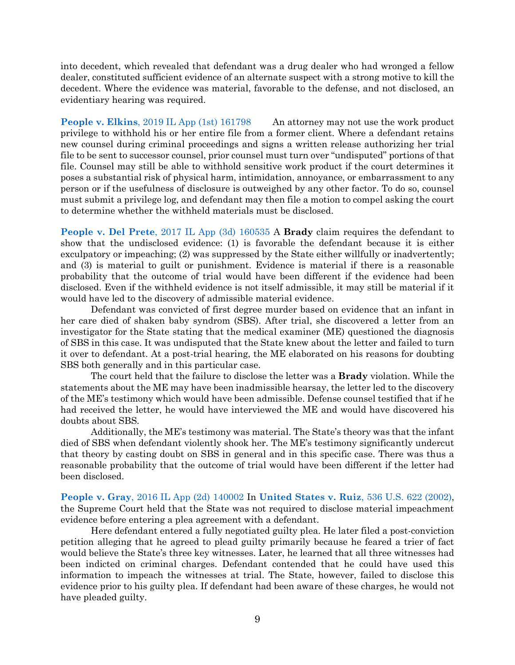into decedent, which revealed that defendant was a drug dealer who had wronged a fellow dealer, constituted sufficient evidence of an alternate suspect with a strong motive to kill the decedent. Where the evidence was material, favorable to the defense, and not disclosed, an evidentiary hearing was required.

**People v. Elkins**[, 2019 IL App \(1st\) 161798](https://www.westlaw.com/Document/I196f076010a011ea942eedc092039568/View/FullText.html?transitionType=Default&contextData=(sc.Default)&VR=3.0&RS=da3.0) An attorney may not use the work product privilege to withhold his or her entire file from a former client. Where a defendant retains new counsel during criminal proceedings and signs a written release authorizing her trial file to be sent to successor counsel, prior counsel must turn over "undisputed" portions of that file. Counsel may still be able to withhold sensitive work product if the court determines it poses a substantial risk of physical harm, intimidation, annoyance, or embarrassment to any person or if the usefulness of disclosure is outweighed by any other factor. To do so, counsel must submit a privilege log, and defendant may then file a motion to compel asking the court to determine whether the withheld materials must be disclosed.

**People v. Del Prete**[, 2017 IL App \(3d\) 160535](https://www.westlaw.com/Document/Ia1cf3970c4fa11e79c8f8bb0457c507d/View/FullText.html?transitionType=Default&contextData=(sc.Default)&VR=3.0&RS=da3.0) A **Brady** claim requires the defendant to show that the undisclosed evidence: (1) is favorable the defendant because it is either exculpatory or impeaching; (2) was suppressed by the State either willfully or inadvertently; and (3) is material to guilt or punishment. Evidence is material if there is a reasonable probability that the outcome of trial would have been different if the evidence had been disclosed. Even if the withheld evidence is not itself admissible, it may still be material if it would have led to the discovery of admissible material evidence.

Defendant was convicted of first degree murder based on evidence that an infant in her care died of shaken baby syndrom (SBS). After trial, she discovered a letter from an investigator for the State stating that the medical examiner (ME) questioned the diagnosis of SBS in this case. It was undisputed that the State knew about the letter and failed to turn it over to defendant. At a post-trial hearing, the ME elaborated on his reasons for doubting SBS both generally and in this particular case.

The court held that the failure to disclose the letter was a **Brady** violation. While the statements about the ME may have been inadmissible hearsay, the letter led to the discovery of the ME's testimony which would have been admissible. Defense counsel testified that if he had received the letter, he would have interviewed the ME and would have discovered his doubts about SBS.

Additionally, the ME's testimony was material. The State's theory was that the infant died of SBS when defendant violently shook her. The ME's testimony significantly undercut that theory by casting doubt on SBS in general and in this specific case. There was thus a reasonable probability that the outcome of trial would have been different if the letter had been disclosed.

**People v. Gray**[, 2016 IL App \(2d\) 140002](https://www.westlaw.com/Document/Ie758233de17e11e5b86bd602cb8781fa/View/FullText.html?transitionType=Default&contextData=(sc.Default)&VR=3.0&RS=da3.0) In **[United States v. Ruiz](https://www.westlaw.com/Document/Ibdf1e55e9c2511d9bc61beebb95be672/View/FullText.html?transitionType=Default&contextData=(sc.Default)&VR=3.0&RS=da3.0)**, 536 U.S. 622 (2002), the Supreme Court held that the State was not required to disclose material impeachment evidence before entering a plea agreement with a defendant.

Here defendant entered a fully negotiated guilty plea. He later filed a post-conviction petition alleging that he agreed to plead guilty primarily because he feared a trier of fact would believe the State's three key witnesses. Later, he learned that all three witnesses had been indicted on criminal charges. Defendant contended that he could have used this information to impeach the witnesses at trial. The State, however, failed to disclose this evidence prior to his guilty plea. If defendant had been aware of these charges, he would not have pleaded guilty.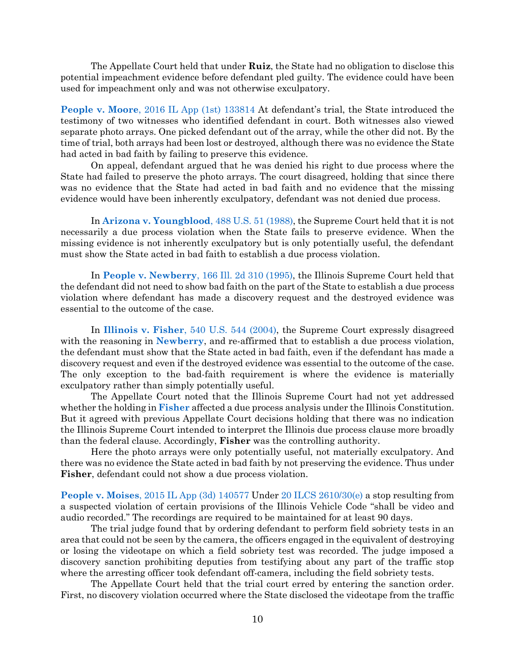The Appellate Court held that under **Ruiz**, the State had no obligation to disclose this potential impeachment evidence before defendant pled guilty. The evidence could have been used for impeachment only and was not otherwise exculpatory.

**People v. Moore**[, 2016 IL App \(1st\) 133814](https://www.westlaw.com/Document/I95d67ea6d93e11e5a795ac035416da91/View/FullText.html?transitionType=Default&contextData=(sc.Default)&VR=3.0&RS=da3.0) At defendant's trial, the State introduced the testimony of two witnesses who identified defendant in court. Both witnesses also viewed separate photo arrays. One picked defendant out of the array, while the other did not. By the time of trial, both arrays had been lost or destroyed, although there was no evidence the State had acted in bad faith by failing to preserve this evidence.

On appeal, defendant argued that he was denied his right to due process where the State had failed to preserve the photo arrays. The court disagreed, holding that since there was no evidence that the State had acted in bad faith and no evidence that the missing evidence would have been inherently exculpatory, defendant was not denied due process.

In **[Arizona v. Youngblood](https://www.westlaw.com/Document/I234f1ece9c1e11d9bdd1cfdd544ca3a4/View/FullText.html?transitionType=Default&contextData=(sc.Default)&VR=3.0&RS=da3.0)**, 488 U.S. 51 (1988), the Supreme Court held that it is not necessarily a due process violation when the State fails to preserve evidence. When the missing evidence is not inherently exculpatory but is only potentially useful, the defendant must show the State acted in bad faith to establish a due process violation.

In **People v. Newberry**[, 166 Ill. 2d 310 \(1995\),](https://www.westlaw.com/Document/Ifa04fccad3c111d98ac8f235252e36df/View/FullText.html?transitionType=Default&contextData=(sc.Default)&VR=3.0&RS=da3.0) the Illinois Supreme Court held that the defendant did not need to show bad faith on the part of the State to establish a due process violation where defendant has made a discovery request and the destroyed evidence was essential to the outcome of the case.

In **Illinois v. Fisher**[, 540 U.S. 544 \(2004\),](https://www.westlaw.com/Document/I72f389869c9a11d991d0cc6b54f12d4d/View/FullText.html?transitionType=Default&contextData=(sc.Default)&VR=3.0&RS=da3.0) the Supreme Court expressly disagreed with the reasoning in **[Newberry](https://www.westlaw.com/Document/Ifa04fccad3c111d98ac8f235252e36df/View/FullText.html?transitionType=Default&contextData=(sc.Default)&VR=3.0&RS=da3.0)**, and re-affirmed that to establish a due process violation, the defendant must show that the State acted in bad faith, even if the defendant has made a discovery request and even if the destroyed evidence was essential to the outcome of the case. The only exception to the bad-faith requirement is where the evidence is materially exculpatory rather than simply potentially useful.

The Appellate Court noted that the Illinois Supreme Court had not yet addressed whether the holding in **[Fisher](https://www.westlaw.com/Document/I72f389869c9a11d991d0cc6b54f12d4d/View/FullText.html?transitionType=Default&contextData=(sc.Default)&VR=3.0&RS=da3.0)** affected a due process analysis under the Illinois Constitution. But it agreed with previous Appellate Court decisions holding that there was no indication the Illinois Supreme Court intended to interpret the Illinois due process clause more broadly than the federal clause. Accordingly, **Fisher** was the controlling authority.

Here the photo arrays were only potentially useful, not materially exculpatory. And there was no evidence the State acted in bad faith by not preserving the evidence. Thus under **Fisher**, defendant could not show a due process violation.

**People v. Moises**[, 2015 IL App \(3d\) 140577](https://www.westlaw.com/Document/Ie92f6f464af911e5b4bafa136b480ad2/View/FullText.html?transitionType=Default&contextData=(sc.Default)&VR=3.0&RS=da3.0) Under [20 ILCS 2610/30\(e\)](https://www.westlaw.com/Document/N54824790CC5A11DD950CF413BE109009/View/FullText.html?transitionType=Default&contextData=(sc.Default)&VR=3.0&RS=da3.0) a stop resulting from a suspected violation of certain provisions of the Illinois Vehicle Code "shall be video and audio recorded." The recordings are required to be maintained for at least 90 days.

The trial judge found that by ordering defendant to perform field sobriety tests in an area that could not be seen by the camera, the officers engaged in the equivalent of destroying or losing the videotape on which a field sobriety test was recorded. The judge imposed a discovery sanction prohibiting deputies from testifying about any part of the traffic stop where the arresting officer took defendant off-camera, including the field sobriety tests.

The Appellate Court held that the trial court erred by entering the sanction order. First, no discovery violation occurred where the State disclosed the videotape from the traffic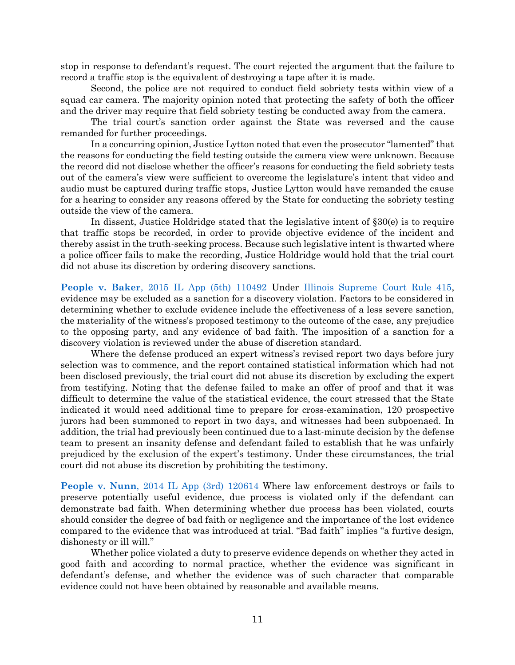stop in response to defendant's request. The court rejected the argument that the failure to record a traffic stop is the equivalent of destroying a tape after it is made.

Second, the police are not required to conduct field sobriety tests within view of a squad car camera. The majority opinion noted that protecting the safety of both the officer and the driver may require that field sobriety testing be conducted away from the camera.

The trial court's sanction order against the State was reversed and the cause remanded for further proceedings.

In a concurring opinion, Justice Lytton noted that even the prosecutor "lamented" that the reasons for conducting the field testing outside the camera view were unknown. Because the record did not disclose whether the officer's reasons for conducting the field sobriety tests out of the camera's view were sufficient to overcome the legislature's intent that video and audio must be captured during traffic stops, Justice Lytton would have remanded the cause for a hearing to consider any reasons offered by the State for conducting the sobriety testing outside the view of the camera.

In dissent, Justice Holdridge stated that the legislative intent of §30(e) is to require that traffic stops be recorded, in order to provide objective evidence of the incident and thereby assist in the truth-seeking process. Because such legislative intent is thwarted where a police officer fails to make the recording, Justice Holdridge would hold that the trial court did not abuse its discretion by ordering discovery sanctions.

**People v. Baker**[, 2015 IL App \(5th\) 110492](https://www.westlaw.com/Link/Document/FullText?cite=2015ILA5PDC110492&VR=3.0&RS=da3.0) Under [Illinois Supreme Court Rule 415,](https://www.westlaw.com/Document/N9F7C0F10E62F11DAB663DBBC2EFCE9AD/View/FullText.html?transitionType=Default&contextData=(sc.Default)&VR=3.0&RS=da3.0) evidence may be excluded as a sanction for a discovery violation. Factors to be considered in determining whether to exclude evidence include the effectiveness of a less severe sanction, the materiality of the witness's proposed testimony to the outcome of the case, any prejudice to the opposing party, and any evidence of bad faith. The imposition of a sanction for a discovery violation is reviewed under the abuse of discretion standard.

Where the defense produced an expert witness's revised report two days before jury selection was to commence, and the report contained statistical information which had not been disclosed previously, the trial court did not abuse its discretion by excluding the expert from testifying. Noting that the defense failed to make an offer of proof and that it was difficult to determine the value of the statistical evidence, the court stressed that the State indicated it would need additional time to prepare for cross-examination, 120 prospective jurors had been summoned to report in two days, and witnesses had been subpoenaed. In addition, the trial had previously been continued due to a last-minute decision by the defense team to present an insanity defense and defendant failed to establish that he was unfairly prejudiced by the exclusion of the expert's testimony. Under these circumstances, the trial court did not abuse its discretion by prohibiting the testimony.

**People v. Nunn**[, 2014 IL App \(3rd\) 120614](https://www.westlaw.com/Document/Ia4610edc638d11e4b86bd602cb8781fa/View/FullText.html?transitionType=Default&contextData=(sc.Default)&VR=3.0&RS=da3.0) Where law enforcement destroys or fails to preserve potentially useful evidence, due process is violated only if the defendant can demonstrate bad faith. When determining whether due process has been violated, courts should consider the degree of bad faith or negligence and the importance of the lost evidence compared to the evidence that was introduced at trial. "Bad faith" implies "a furtive design, dishonesty or ill will."

Whether police violated a duty to preserve evidence depends on whether they acted in good faith and according to normal practice, whether the evidence was significant in defendant's defense, and whether the evidence was of such character that comparable evidence could not have been obtained by reasonable and available means.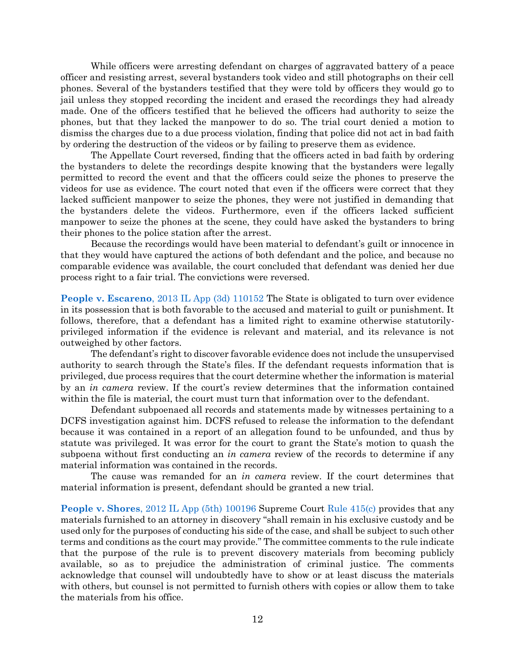While officers were arresting defendant on charges of aggravated battery of a peace officer and resisting arrest, several bystanders took video and still photographs on their cell phones. Several of the bystanders testified that they were told by officers they would go to jail unless they stopped recording the incident and erased the recordings they had already made. One of the officers testified that he believed the officers had authority to seize the phones, but that they lacked the manpower to do so. The trial court denied a motion to dismiss the charges due to a due process violation, finding that police did not act in bad faith by ordering the destruction of the videos or by failing to preserve them as evidence.

The Appellate Court reversed, finding that the officers acted in bad faith by ordering the bystanders to delete the recordings despite knowing that the bystanders were legally permitted to record the event and that the officers could seize the phones to preserve the videos for use as evidence. The court noted that even if the officers were correct that they lacked sufficient manpower to seize the phones, they were not justified in demanding that the bystanders delete the videos. Furthermore, even if the officers lacked sufficient manpower to seize the phones at the scene, they could have asked the bystanders to bring their phones to the police station after the arrest.

Because the recordings would have been material to defendant's guilt or innocence in that they would have captured the actions of both defendant and the police, and because no comparable evidence was available, the court concluded that defendant was denied her due process right to a fair trial. The convictions were reversed.

**People v. Escareno**[, 2013 IL App \(3d\) 110152](https://www.westlaw.com/Document/I2f4aff455a9411e28a21ccb9036b2470/View/FullText.html?transitionType=Default&contextData=(sc.Default)&VR=3.0&RS=da3.0) The State is obligated to turn over evidence in its possession that is both favorable to the accused and material to guilt or punishment. It follows, therefore, that a defendant has a limited right to examine otherwise statutorilyprivileged information if the evidence is relevant and material, and its relevance is not outweighed by other factors.

The defendant's right to discover favorable evidence does not include the unsupervised authority to search through the State's files. If the defendant requests information that is privileged, due process requires that the court determine whether the information is material by an *in camera* review. If the court's review determines that the information contained within the file is material, the court must turn that information over to the defendant.

Defendant subpoenaed all records and statements made by witnesses pertaining to a DCFS investigation against him. DCFS refused to release the information to the defendant because it was contained in a report of an allegation found to be unfounded, and thus by statute was privileged. It was error for the court to grant the State's motion to quash the subpoena without first conducting an *in camera* review of the records to determine if any material information was contained in the records.

The cause was remanded for an *in camera* review. If the court determines that material information is present, defendant should be granted a new trial.

**People v. Shores**[, 2012 IL App \(5th\) 100196](https://www.westlaw.com/Document/Ie1f3557ff78411e18757b822cf994add/View/FullText.html?transitionType=Default&contextData=(sc.Default)&VR=3.0&RS=da3.0) Supreme Court [Rule 415\(c\)](https://www.westlaw.com/Document/N9F7C0F10E62F11DAB663DBBC2EFCE9AD/View/FullText.html?transitionType=Default&contextData=(sc.Default)&VR=3.0&RS=da3.0) provides that any materials furnished to an attorney in discovery "shall remain in his exclusive custody and be used only for the purposes of conducting his side of the case, and shall be subject to such other terms and conditions as the court may provide." The committee comments to the rule indicate that the purpose of the rule is to prevent discovery materials from becoming publicly available, so as to prejudice the administration of criminal justice. The comments acknowledge that counsel will undoubtedly have to show or at least discuss the materials with others, but counsel is not permitted to furnish others with copies or allow them to take the materials from his office.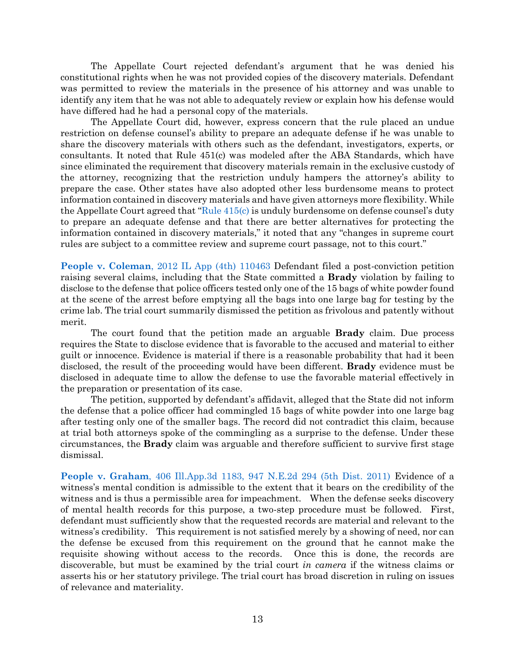The Appellate Court rejected defendant's argument that he was denied his constitutional rights when he was not provided copies of the discovery materials. Defendant was permitted to review the materials in the presence of his attorney and was unable to identify any item that he was not able to adequately review or explain how his defense would have differed had he had a personal copy of the materials.

The Appellate Court did, however, express concern that the rule placed an undue restriction on defense counsel's ability to prepare an adequate defense if he was unable to share the discovery materials with others such as the defendant, investigators, experts, or consultants. It noted that Rule 451(c) was modeled after the ABA Standards, which have since eliminated the requirement that discovery materials remain in the exclusive custody of the attorney, recognizing that the restriction unduly hampers the attorney's ability to prepare the case. Other states have also adopted other less burdensome means to protect information contained in discovery materials and have given attorneys more flexibility. While the Appellate Court agreed that "Rule  $415(c)$  is unduly burdensome on defense counsel's duty to prepare an adequate defense and that there are better alternatives for protecting the information contained in discovery materials," it noted that any "changes in supreme court rules are subject to a committee review and supreme court passage, not to this court."

**People v. Coleman**[, 2012 IL App \(4th\) 110463](https://www.westlaw.com/Document/Ie3346b2350a711e2900d8cbbe5df030a/View/FullText.html?transitionType=Default&contextData=(sc.Default)&VR=3.0&RS=da3.0) Defendant filed a post-conviction petition raising several claims, including that the State committed a **Brady** violation by failing to disclose to the defense that police officers tested only one of the 15 bags of white powder found at the scene of the arrest before emptying all the bags into one large bag for testing by the crime lab. The trial court summarily dismissed the petition as frivolous and patently without merit.

The court found that the petition made an arguable **Brady** claim. Due process requires the State to disclose evidence that is favorable to the accused and material to either guilt or innocence. Evidence is material if there is a reasonable probability that had it been disclosed, the result of the proceeding would have been different. **Brady** evidence must be disclosed in adequate time to allow the defense to use the favorable material effectively in the preparation or presentation of its case.

The petition, supported by defendant's affidavit, alleged that the State did not inform the defense that a police officer had commingled 15 bags of white powder into one large bag after testing only one of the smaller bags. The record did not contradict this claim, because at trial both attorneys spoke of the commingling as a surprise to the defense. Under these circumstances, the **Brady** claim was arguable and therefore sufficient to survive first stage dismissal.

**People v. Graham**[, 406 Ill.App.3d 1183, 947 N.E.2d 294 \(5th Dist. 2011\)](https://www.westlaw.com/Document/I1931cd00240711e09d9dae30585baa87/View/FullText.html?transitionType=Default&contextData=(sc.Default)&VR=3.0&RS=da3.0) Evidence of a witness's mental condition is admissible to the extent that it bears on the credibility of the witness and is thus a permissible area for impeachment. When the defense seeks discovery of mental health records for this purpose, a two-step procedure must be followed. First, defendant must sufficiently show that the requested records are material and relevant to the witness's credibility. This requirement is not satisfied merely by a showing of need, nor can the defense be excused from this requirement on the ground that he cannot make the requisite showing without access to the records. Once this is done, the records are discoverable, but must be examined by the trial court *in camera* if the witness claims or asserts his or her statutory privilege. The trial court has broad discretion in ruling on issues of relevance and materiality.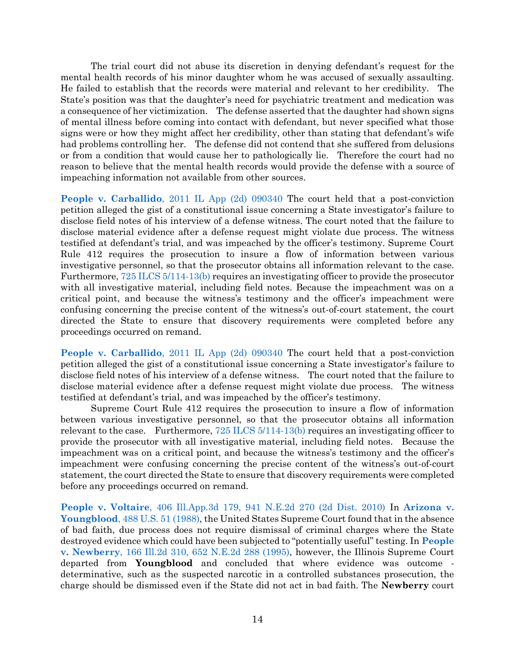The trial court did not abuse its discretion in denying defendant's request for the mental health records of his minor daughter whom he was accused of sexually assaulting. He failed to establish that the records were material and relevant to her credibility. The State's position was that the daughter's need for psychiatric treatment and medication was a consequence of her victimization. The defense asserted that the daughter had shown signs of mental illness before coming into contact with defendant, but never specified what those signs were or how they might affect her credibility, other than stating that defendant's wife had problems controlling her. The defense did not contend that she suffered from delusions or from a condition that would cause her to pathologically lie. Therefore the court had no reason to believe that the mental health records would provide the defense with a source of impeaching information not available from other sources.

**People v. Carballido**[, 2011 IL App \(2d\) 090340](https://www.westlaw.com/Document/I2d44866855fc11e0af6af9916f973d19/View/FullText.html?transitionType=Default&contextData=(sc.Default)&VR=3.0&RS=da3.0) The court held that a post-conviction petition alleged the gist of a constitutional issue concerning a State investigator's failure to disclose field notes of his interview of a defense witness. The court noted that the failure to disclose material evidence after a defense request might violate due process. The witness testified at defendant's trial, and was impeached by the officer's testimony. Supreme Court Rule 412 requires the prosecution to insure a flow of information between various investigative personnel, so that the prosecutor obtains all information relevant to the case. Furthermore[, 725 ILCS 5/114-13\(b\)](https://www.westlaw.com/Document/NDFCE47F0DAFD11DA9F00E4F82CEBF25B/View/FullText.html?transitionType=Default&contextData=(sc.Default)&VR=3.0&RS=da3.0) requires an investigating officer to provide the prosecutor with all investigative material, including field notes. Because the impeachment was on a critical point, and because the witness's testimony and the officer's impeachment were confusing concerning the precise content of the witness's out-of-court statement, the court directed the State to ensure that discovery requirements were completed before any proceedings occurred on remand.

**People v. Carballido**[, 2011 IL App \(2d\) 090340](https://www.westlaw.com/Document/I2d44866855fc11e0af6af9916f973d19/View/FullText.html?transitionType=Default&contextData=(sc.Default)&VR=3.0&RS=da3.0) The court held that a post-conviction petition alleged the gist of a constitutional issue concerning a State investigator's failure to disclose field notes of his interview of a defense witness. The court noted that the failure to disclose material evidence after a defense request might violate due process. The witness testified at defendant's trial, and was impeached by the officer's testimony.

Supreme Court Rule 412 requires the prosecution to insure a flow of information between various investigative personnel, so that the prosecutor obtains all information relevant to the case. Furthermore, [725 ILCS 5/114-13\(b\)](https://www.westlaw.com/Document/NDFCE47F0DAFD11DA9F00E4F82CEBF25B/View/FullText.html?transitionType=Default&contextData=(sc.Default)&VR=3.0&RS=da3.0) requires an investigating officer to provide the prosecutor with all investigative material, including field notes. Because the impeachment was on a critical point, and because the witness's testimony and the officer's impeachment were confusing concerning the precise content of the witness's out-of-court statement, the court directed the State to ensure that discovery requirements were completed before any proceedings occurred on remand.

**People v. Voltaire**[, 406 Ill.App.3d 179, 941 N.E.2d 270 \(2d Dist. 2010\)](https://www.westlaw.com/Document/Ic45d67b10f7911e09d9cae30585baa87/View/FullText.html?transitionType=Default&contextData=(sc.Default)&VR=3.0&RS=da3.0) In **[Arizona v.](https://www.westlaw.com/Document/I234f1ece9c1e11d9bdd1cfdd544ca3a4/View/FullText.html?transitionType=Default&contextData=(sc.Default)&VR=3.0&RS=da3.0)  Youngblood**[, 488 U.S. 51 \(1988\),](https://www.westlaw.com/Document/I234f1ece9c1e11d9bdd1cfdd544ca3a4/View/FullText.html?transitionType=Default&contextData=(sc.Default)&VR=3.0&RS=da3.0) the United States Supreme Court found that in the absence of bad faith, due process does not require dismissal of criminal charges where the State destroyed evidence which could have been subjected to "potentially useful" testing. In **[People](https://www.westlaw.com/Document/Ifa04fccad3c111d98ac8f235252e36df/View/FullText.html?transitionType=Default&contextData=(sc.Default)&VR=3.0&RS=da3.0)  v. Newberry**[, 166 Ill.2d 310, 652 N.E.2d 288 \(1995\),](https://www.westlaw.com/Document/Ifa04fccad3c111d98ac8f235252e36df/View/FullText.html?transitionType=Default&contextData=(sc.Default)&VR=3.0&RS=da3.0) however, the Illinois Supreme Court departed from **Youngblood** and concluded that where evidence was outcome determinative, such as the suspected narcotic in a controlled substances prosecution, the charge should be dismissed even if the State did not act in bad faith. The **Newberry** court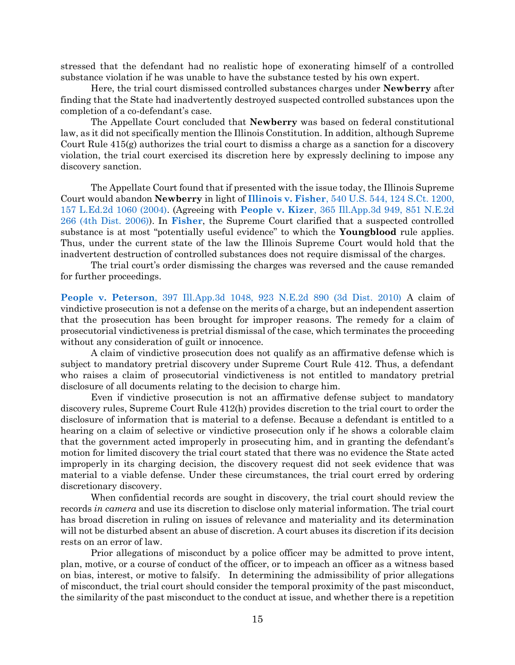stressed that the defendant had no realistic hope of exonerating himself of a controlled substance violation if he was unable to have the substance tested by his own expert.

Here, the trial court dismissed controlled substances charges under **Newberry** after finding that the State had inadvertently destroyed suspected controlled substances upon the completion of a co-defendant's case.

The Appellate Court concluded that **Newberry** was based on federal constitutional law, as it did not specifically mention the Illinois Constitution. In addition, although Supreme Court Rule 415(g) authorizes the trial court to dismiss a charge as a sanction for a discovery violation, the trial court exercised its discretion here by expressly declining to impose any discovery sanction.

The Appellate Court found that if presented with the issue today, the Illinois Supreme Court would abandon **Newberry** in light of **Illinois v. Fisher**[, 540 U.S. 544, 124 S.Ct. 1200,](https://www.westlaw.com/Document/I72f389869c9a11d991d0cc6b54f12d4d/View/FullText.html?transitionType=Default&contextData=(sc.Default)&VR=3.0&RS=da3.0)  [157 L.Ed.2d 1060 \(2004\).](https://www.westlaw.com/Document/I72f389869c9a11d991d0cc6b54f12d4d/View/FullText.html?transitionType=Default&contextData=(sc.Default)&VR=3.0&RS=da3.0) (Agreeing with **People v. Kizer**[, 365 Ill.App.3d 949, 851 N.E.2d](https://www.westlaw.com/Document/Id4524cf4008711dbb3be92e40de4b42f/View/FullText.html?transitionType=Default&contextData=(sc.Default)&VR=3.0&RS=da3.0)  [266 \(4th Dist. 2006\)\)](https://www.westlaw.com/Document/Id4524cf4008711dbb3be92e40de4b42f/View/FullText.html?transitionType=Default&contextData=(sc.Default)&VR=3.0&RS=da3.0). In **[Fisher](https://www.westlaw.com/Document/I72f389869c9a11d991d0cc6b54f12d4d/View/FullText.html?transitionType=Default&contextData=(sc.Default)&VR=3.0&RS=da3.0)**, the Supreme Court clarified that a suspected controlled substance is at most "potentially useful evidence" to which the **Youngblood** rule applies. Thus, under the current state of the law the Illinois Supreme Court would hold that the inadvertent destruction of controlled substances does not require dismissal of the charges.

The trial court's order dismissing the charges was reversed and the cause remanded for further proceedings.

**People v. Peterson**[, 397 Ill.App.3d 1048, 923 N.E.2d 890 \(3d Dist. 2010\)](https://www.westlaw.com/Document/I254876151d4c11dfa7e0c40c26bf1b92/View/FullText.html?transitionType=Default&contextData=(sc.Default)&VR=3.0&RS=da3.0) A claim of vindictive prosecution is not a defense on the merits of a charge, but an independent assertion that the prosecution has been brought for improper reasons. The remedy for a claim of prosecutorial vindictiveness is pretrial dismissal of the case, which terminates the proceeding without any consideration of guilt or innocence.

A claim of vindictive prosecution does not qualify as an affirmative defense which is subject to mandatory pretrial discovery under Supreme Court Rule 412. Thus, a defendant who raises a claim of prosecutorial vindictiveness is not entitled to mandatory pretrial disclosure of all documents relating to the decision to charge him.

Even if vindictive prosecution is not an affirmative defense subject to mandatory discovery rules, Supreme Court Rule 412(h) provides discretion to the trial court to order the disclosure of information that is material to a defense. Because a defendant is entitled to a hearing on a claim of selective or vindictive prosecution only if he shows a colorable claim that the government acted improperly in prosecuting him, and in granting the defendant's motion for limited discovery the trial court stated that there was no evidence the State acted improperly in its charging decision, the discovery request did not seek evidence that was material to a viable defense. Under these circumstances, the trial court erred by ordering discretionary discovery.

When confidential records are sought in discovery, the trial court should review the records *in camera* and use its discretion to disclose only material information. The trial court has broad discretion in ruling on issues of relevance and materiality and its determination will not be disturbed absent an abuse of discretion. A court abuses its discretion if its decision rests on an error of law.

Prior allegations of misconduct by a police officer may be admitted to prove intent, plan, motive, or a course of conduct of the officer, or to impeach an officer as a witness based on bias, interest, or motive to falsify. In determining the admissibility of prior allegations of misconduct, the trial court should consider the temporal proximity of the past misconduct, the similarity of the past misconduct to the conduct at issue, and whether there is a repetition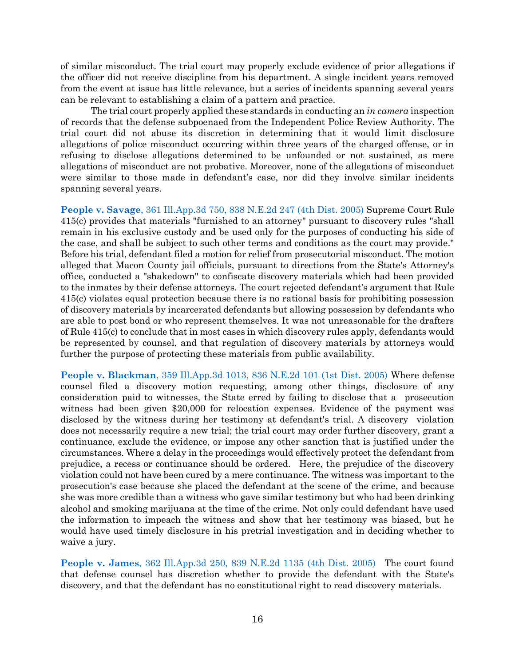of similar misconduct. The trial court may properly exclude evidence of prior allegations if the officer did not receive discipline from his department. A single incident years removed from the event at issue has little relevance, but a series of incidents spanning several years can be relevant to establishing a claim of a pattern and practice.

The trial court properly applied these standards in conducting an *in camera* inspection of records that the defense subpoenaed from the Independent Police Review Authority. The trial court did not abuse its discretion in determining that it would limit disclosure allegations of police misconduct occurring within three years of the charged offense, or in refusing to disclose allegations determined to be unfounded or not sustained, as mere allegations of misconduct are not probative. Moreover, none of the allegations of misconduct were similar to those made in defendant's case, nor did they involve similar incidents spanning several years.

**People v. Savage**[, 361 Ill.App.3d 750, 838 N.E.2d 247 \(4th Dist. 2005\)](https://www.westlaw.com/Document/I12f407704fad11da974abd26ac2a6030/View/FullText.html?transitionType=Default&contextData=(sc.Default)&VR=3.0&RS=da3.0) Supreme Court Rule 415(c) provides that materials "furnished to an attorney" pursuant to discovery rules "shall remain in his exclusive custody and be used only for the purposes of conducting his side of the case, and shall be subject to such other terms and conditions as the court may provide." Before his trial, defendant filed a motion for relief from prosecutorial misconduct. The motion alleged that Macon County jail officials, pursuant to directions from the State's Attorney's office, conducted a "shakedown" to confiscate discovery materials which had been provided to the inmates by their defense attorneys. The court rejected defendant's argument that Rule 415(c) violates equal protection because there is no rational basis for prohibiting possession of discovery materials by incarcerated defendants but allowing possession by defendants who are able to post bond or who represent themselves. It was not unreasonable for the drafters of Rule 415(c) to conclude that in most cases in which discovery rules apply, defendants would be represented by counsel, and that regulation of discovery materials by attorneys would further the purpose of protecting these materials from public availability.

**People v. Blackman**[, 359 Ill.App.3d 1013, 836 N.E.2d 101 \(1st Dist. 2005\)](https://www.westlaw.com/Document/Idad9144e1ee311da9bcc85e7f8e2f4cd/View/FullText.html?transitionType=Default&contextData=(sc.Default)&VR=3.0&RS=da3.0) Where defense counsel filed a discovery motion requesting, among other things, disclosure of any consideration paid to witnesses, the State erred by failing to disclose that a prosecution witness had been given \$20,000 for relocation expenses. Evidence of the payment was disclosed by the witness during her testimony at defendant's trial. A discovery violation does not necessarily require a new trial; the trial court may order further discovery, grant a continuance, exclude the evidence, or impose any other sanction that is justified under the circumstances. Where a delay in the proceedings would effectively protect the defendant from prejudice, a recess or continuance should be ordered. Here, the prejudice of the discovery violation could not have been cured by a mere continuance. The witness was important to the prosecution's case because she placed the defendant at the scene of the crime, and because she was more credible than a witness who gave similar testimony but who had been drinking alcohol and smoking marijuana at the time of the crime. Not only could defendant have used the information to impeach the witness and show that her testimony was biased, but he would have used timely disclosure in his pretrial investigation and in deciding whether to waive a jury.

**People v. James**[, 362 Ill.App.3d 250, 839 N.E.2d 1135 \(4th Dist. 2005\)](https://www.westlaw.com/Document/I6b2ceacd68eb11da97faf3f66e4b6844/View/FullText.html?transitionType=Default&contextData=(sc.Default)&VR=3.0&RS=da3.0) The court found that defense counsel has discretion whether to provide the defendant with the State's discovery, and that the defendant has no constitutional right to read discovery materials.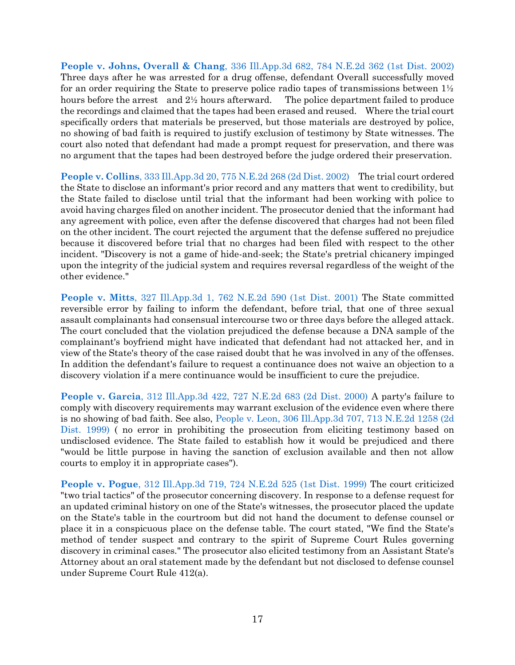**People v. Johns, Overall & Chang**[, 336 Ill.App.3d 682, 784 N.E.2d 362 \(1st Dist. 2002\)](https://www.westlaw.com/Document/I20687479d39311d983e7e9deff98dc6f/View/FullText.html?transitionType=Default&contextData=(sc.Default)&VR=3.0&RS=da3.0) Three days after he was arrested for a drug offense, defendant Overall successfully moved for an order requiring the State to preserve police radio tapes of transmissions between  $1\frac{1}{2}$ hours before the arrest and 2<sup>1/2</sup> hours afterward. The police department failed to produce the recordings and claimed that the tapes had been erased and reused. Where the trial court specifically orders that materials be preserved, but those materials are destroyed by police, no showing of bad faith is required to justify exclusion of testimony by State witnesses. The court also noted that defendant had made a prompt request for preservation, and there was no argument that the tapes had been destroyed before the judge ordered their preservation.

**People v. Collins**[, 333 Ill.App.3d 20, 775 N.E.2d 268 \(2d Dist. 2002\)](https://www.westlaw.com/Document/I2a96b9e6d39111d9bf60c1d57ebc853e/View/FullText.html?transitionType=Default&contextData=(sc.Default)&VR=3.0&RS=da3.0) The trial court ordered the State to disclose an informant's prior record and any matters that went to credibility, but the State failed to disclose until trial that the informant had been working with police to avoid having charges filed on another incident. The prosecutor denied that the informant had any agreement with police, even after the defense discovered that charges had not been filed on the other incident. The court rejected the argument that the defense suffered no prejudice because it discovered before trial that no charges had been filed with respect to the other incident. "Discovery is not a game of hide-and-seek; the State's pretrial chicanery impinged upon the integrity of the judicial system and requires reversal regardless of the weight of the other evidence."

**People v. Mitts**[, 327 Ill.App.3d 1, 762 N.E.2d 590 \(1st Dist. 2001\)](https://www.westlaw.com/Document/Iaf098004d39a11d9bf60c1d57ebc853e/View/FullText.html?transitionType=Default&contextData=(sc.Default)&VR=3.0&RS=da3.0) The State committed reversible error by failing to inform the defendant, before trial, that one of three sexual assault complainants had consensual intercourse two or three days before the alleged attack. The court concluded that the violation prejudiced the defense because a DNA sample of the complainant's boyfriend might have indicated that defendant had not attacked her, and in view of the State's theory of the case raised doubt that he was involved in any of the offenses. In addition the defendant's failure to request a continuance does not waive an objection to a discovery violation if a mere continuance would be insufficient to cure the prejudice.

**People v. Garcia**[, 312 Ill.App.3d 422, 727 N.E.2d 683 \(2d Dist. 2000\)](https://www.westlaw.com/Document/If31b6ef6d3ab11d98ac8f235252e36df/View/FullText.html?transitionType=Default&contextData=(sc.Default)&VR=3.0&RS=da3.0) A party's failure to comply with discovery requirements may warrant exclusion of the evidence even where there is no showing of bad faith. See also, [People v. Leon, 306 Ill.App.3d 707, 713 N.E.2d 1258 \(2d](https://www.westlaw.com/Document/I79d5b1e8d3a611d98ac8f235252e36df/View/FullText.html?transitionType=Default&contextData=(sc.Default)&VR=3.0&RS=da3.0)  [Dist. 1999\)](https://www.westlaw.com/Document/I79d5b1e8d3a611d98ac8f235252e36df/View/FullText.html?transitionType=Default&contextData=(sc.Default)&VR=3.0&RS=da3.0) (no error in prohibiting the prosecution from eliciting testimony based on undisclosed evidence. The State failed to establish how it would be prejudiced and there "would be little purpose in having the sanction of exclusion available and then not allow courts to employ it in appropriate cases").

**People v. Pogue**[, 312 Ill.App.3d 719, 724 N.E.2d 525 \(1st Dist. 1999\)](https://www.westlaw.com/Document/I06d805c9d3a711d983e7e9deff98dc6f/View/FullText.html?transitionType=Default&contextData=(sc.Default)&VR=3.0&RS=da3.0) The court criticized "two trial tactics" of the prosecutor concerning discovery. In response to a defense request for an updated criminal history on one of the State's witnesses, the prosecutor placed the update on the State's table in the courtroom but did not hand the document to defense counsel or place it in a conspicuous place on the defense table. The court stated, "We find the State's method of tender suspect and contrary to the spirit of Supreme Court Rules governing discovery in criminal cases." The prosecutor also elicited testimony from an Assistant State's Attorney about an oral statement made by the defendant but not disclosed to defense counsel under Supreme Court Rule 412(a).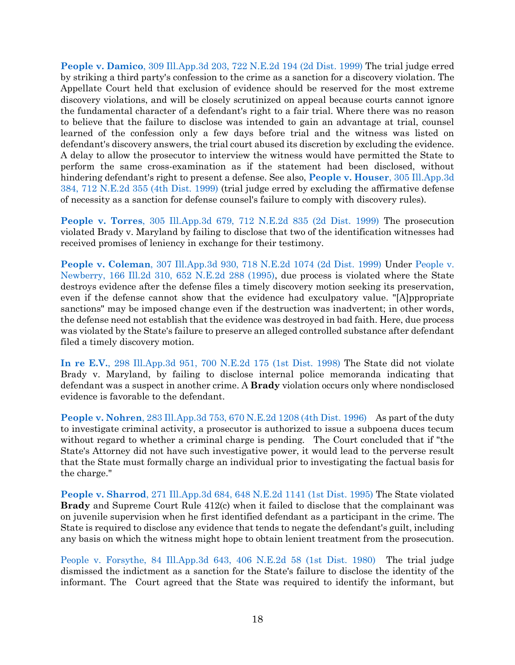**People v. Damico**[, 309 Ill.App.3d 203, 722 N.E.2d 194 \(2d Dist. 1999\)](https://www.westlaw.com/Document/I56b27708d45711d983e7e9deff98dc6f/View/FullText.html?transitionType=Default&contextData=(sc.Default)&VR=3.0&RS=da3.0) The trial judge erred by striking a third party's confession to the crime as a sanction for a discovery violation. The Appellate Court held that exclusion of evidence should be reserved for the most extreme discovery violations, and will be closely scrutinized on appeal because courts cannot ignore the fundamental character of a defendant's right to a fair trial. Where there was no reason to believe that the failure to disclose was intended to gain an advantage at trial, counsel learned of the confession only a few days before trial and the witness was listed on defendant's discovery answers, the trial court abused its discretion by excluding the evidence. A delay to allow the prosecutor to interview the witness would have permitted the State to perform the same cross-examination as if the statement had been disclosed, without hindering defendant's right to present a defense. See also, **[People v. Houser](https://www.westlaw.com/Document/I03bd4db0d3a611d98ac8f235252e36df/View/FullText.html?transitionType=Default&contextData=(sc.Default)&VR=3.0&RS=da3.0)**, 305 Ill.App.3d [384, 712 N.E.2d 355 \(4th Dist. 1999\)](https://www.westlaw.com/Document/I03bd4db0d3a611d98ac8f235252e36df/View/FullText.html?transitionType=Default&contextData=(sc.Default)&VR=3.0&RS=da3.0) (trial judge erred by excluding the affirmative defense of necessity as a sanction for defense counsel's failure to comply with discovery rules).

**People v. Torres**[, 305 Ill.App.3d 679, 712 N.E.2d 835 \(2d Dist. 1999\)](https://www.westlaw.com/Document/I79f0b3f7d3a611d98ac8f235252e36df/View/FullText.html?transitionType=Default&contextData=(sc.Default)&VR=3.0&RS=da3.0) The prosecution violated Brady v. Maryland by failing to disclose that two of the identification witnesses had received promises of leniency in exchange for their testimony.

**People v. Coleman**[, 307 Ill.App.3d 930, 718 N.E.2d 1074 \(2d Dist. 1999\)](https://www.westlaw.com/Document/I2f337c16d3a811d99439b076ef9ec4de/View/FullText.html?transitionType=Default&contextData=(sc.Default)&VR=3.0&RS=da3.0) Under [People v.](https://www.westlaw.com/Document/Ifa04fccad3c111d98ac8f235252e36df/View/FullText.html?transitionType=Default&contextData=(sc.Default)&VR=3.0&RS=da3.0)  [Newberry, 166 Ill.2d 310, 652 N.E.2d 288 \(1995\),](https://www.westlaw.com/Document/Ifa04fccad3c111d98ac8f235252e36df/View/FullText.html?transitionType=Default&contextData=(sc.Default)&VR=3.0&RS=da3.0) due process is violated where the State destroys evidence after the defense files a timely discovery motion seeking its preservation, even if the defense cannot show that the evidence had exculpatory value. "[A]ppropriate sanctions" may be imposed change even if the destruction was inadvertent; in other words, the defense need not establish that the evidence was destroyed in bad faith. Here, due process was violated by the State's failure to preserve an alleged controlled substance after defendant filed a timely discovery motion.

**In re E.V.**[, 298 Ill.App.3d 951, 700 N.E.2d 175 \(1st Dist. 1998\)](https://www.westlaw.com/Document/I3047b1a4d3b011d99439b076ef9ec4de/View/FullText.html?transitionType=Default&contextData=(sc.Default)&VR=3.0&RS=da3.0) The State did not violate Brady v. Maryland, by failing to disclose internal police memoranda indicating that defendant was a suspect in another crime. A **Brady** violation occurs only where nondisclosed evidence is favorable to the defendant.

**People v. Nohren**[, 283 Ill.App.3d 753, 670 N.E.2d 1208 \(4th Dist. 1996\)](https://www.westlaw.com/Document/I887b8e34d3cf11d99439b076ef9ec4de/View/FullText.html?transitionType=Default&contextData=(sc.Default)&VR=3.0&RS=da3.0) As part of the duty to investigate criminal activity, a prosecutor is authorized to issue a subpoena duces tecum without regard to whether a criminal charge is pending. The Court concluded that if "the State's Attorney did not have such investigative power, it would lead to the perverse result that the State must formally charge an individual prior to investigating the factual basis for the charge."

**People v. Sharrod**[, 271 Ill.App.3d 684, 648 N.E.2d 1141 \(1st Dist. 1995\)](https://www.westlaw.com/Document/Ice51cdf0d3d611d99439b076ef9ec4de/View/FullText.html?transitionType=Default&contextData=(sc.Default)&VR=3.0&RS=da3.0) The State violated **Brady** and Supreme Court Rule 412(c) when it failed to disclose that the complainant was on juvenile supervision when he first identified defendant as a participant in the crime. The State is required to disclose any evidence that tends to negate the defendant's guilt, including any basis on which the witness might hope to obtain lenient treatment from the prosecution.

[People v. Forsythe, 84 Ill.App.3d 643, 406 N.E.2d 58 \(1st Dist. 1980\)](https://www.westlaw.com/Document/I96404dd8d33e11d983e7e9deff98dc6f/View/FullText.html?transitionType=Default&contextData=(sc.Default)&VR=3.0&RS=da3.0) The trial judge dismissed the indictment as a sanction for the State's failure to disclose the identity of the informant. The Court agreed that the State was required to identify the informant, but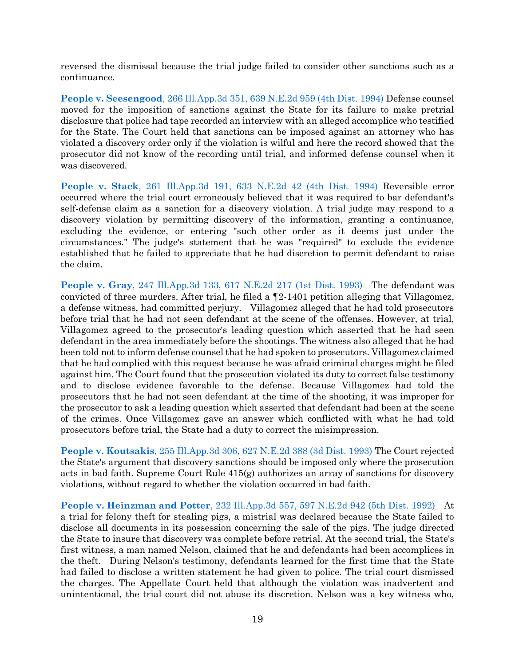reversed the dismissal because the trial judge failed to consider other sanctions such as a continuance.

**People v. Seesengood**[, 266 Ill.App.3d 351, 639 N.E.2d 959 \(4th Dist. 1994\)](https://www.westlaw.com/Document/I6b2e1020d3e611d9bf60c1d57ebc853e/View/FullText.html?transitionType=Default&contextData=(sc.Default)&VR=3.0&RS=da3.0) Defense counsel moved for the imposition of sanctions against the State for its failure to make pretrial disclosure that police had tape recorded an interview with an alleged accomplice who testified for the State. The Court held that sanctions can be imposed against an attorney who has violated a discovery order only if the violation is wilful and here the record showed that the prosecutor did not know of the recording until trial, and informed defense counsel when it was discovered.

**People v. Stack**[, 261 Ill.App.3d 191, 633 N.E.2d 42 \(4th Dist. 1994\)](https://www.westlaw.com/Document/I3141aee4d3e511d983e7e9deff98dc6f/View/FullText.html?transitionType=Default&contextData=(sc.Default)&VR=3.0&RS=da3.0) Reversible error occurred where the trial court erroneously believed that it was required to bar defendant's self-defense claim as a sanction for a discovery violation. A trial judge may respond to a discovery violation by permitting discovery of the information, granting a continuance, excluding the evidence, or entering "such other order as it deems just under the circumstances." The judge's statement that he was "required" to exclude the evidence established that he failed to appreciate that he had discretion to permit defendant to raise the claim.

**People v. Gray**[, 247 Ill.App.3d 133, 617 N.E.2d 217 \(1st Dist. 1993\)](https://www.westlaw.com/Document/I5d7c857dd3ea11d98ac8f235252e36df/View/FullText.html?transitionType=Default&contextData=(sc.Default)&VR=3.0&RS=da3.0) The defendant was convicted of three murders. After trial, he filed a ¶2-1401 petition alleging that Villagomez, a defense witness, had committed perjury. Villagomez alleged that he had told prosecutors before trial that he had not seen defendant at the scene of the offenses. However, at trial, Villagomez agreed to the prosecutor's leading question which asserted that he had seen defendant in the area immediately before the shootings. The witness also alleged that he had been told not to inform defense counsel that he had spoken to prosecutors. Villagomez claimed that he had complied with this request because he was afraid criminal charges might be filed against him. The Court found that the prosecution violated its duty to correct false testimony and to disclose evidence favorable to the defense. Because Villagomez had told the prosecutors that he had not seen defendant at the time of the shooting, it was improper for the prosecutor to ask a leading question which asserted that defendant had been at the scene of the crimes. Once Villagomez gave an answer which conflicted with what he had told prosecutors before trial, the State had a duty to correct the misimpression.

**People v. Koutsakis**[, 255 Ill.App.3d 306, 627 N.E.2d 388 \(3d Dist. 1993\)](https://www.westlaw.com/Document/I4b4572a2d3ee11d9bf60c1d57ebc853e/View/FullText.html?transitionType=Default&contextData=(sc.Default)&VR=3.0&RS=da3.0) The Court rejected the State's argument that discovery sanctions should be imposed only where the prosecution acts in bad faith. Supreme Court Rule 415(g) authorizes an array of sanctions for discovery violations, without regard to whether the violation occurred in bad faith.

**People v. Heinzman and Potter**[, 232 Ill.App.3d 557, 597 N.E.2d 942 \(5th Dist. 1992\)](https://www.westlaw.com/Document/I415689e7d42111d9bf60c1d57ebc853e/View/FullText.html?transitionType=Default&contextData=(sc.Default)&VR=3.0&RS=da3.0) At a trial for felony theft for stealing pigs, a mistrial was declared because the State failed to disclose all documents in its possession concerning the sale of the pigs. The judge directed the State to insure that discovery was complete before retrial. At the second trial, the State's first witness, a man named Nelson, claimed that he and defendants had been accomplices in the theft. During Nelson's testimony, defendants learned for the first time that the State had failed to disclose a written statement he had given to police. The trial court dismissed the charges. The Appellate Court held that although the violation was inadvertent and unintentional, the trial court did not abuse its discretion. Nelson was a key witness who,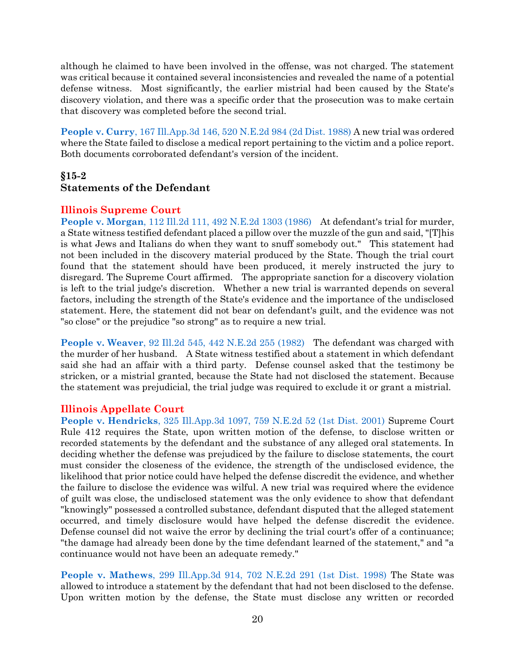although he claimed to have been involved in the offense, was not charged. The statement was critical because it contained several inconsistencies and revealed the name of a potential defense witness. Most significantly, the earlier mistrial had been caused by the State's discovery violation, and there was a specific order that the prosecution was to make certain that discovery was completed before the second trial.

**People v. Curry**[, 167 Ill.App.3d 146, 520 N.E.2d 984 \(2d Dist. 1988\)](https://www.westlaw.com/Document/I3585058ad34311d9bf60c1d57ebc853e/View/FullText.html?transitionType=Default&contextData=(sc.Default)&VR=3.0&RS=da3.0) A new trial was ordered where the State failed to disclose a medical report pertaining to the victim and a police report. Both documents corroborated defendant's version of the incident.

# **§15-2**

# <span id="page-20-0"></span>**Statements of the Defendant**

### **Illinois Supreme Court**

**People v. Morgan**[, 112 Ill.2d 111, 492 N.E.2d 1303 \(1986\)](https://www.westlaw.com/Document/I2efd43f2d37311d98ac8f235252e36df/View/FullText.html?transitionType=Default&contextData=(sc.Default)&VR=3.0&RS=da3.0) At defendant's trial for murder, a State witness testified defendant placed a pillow over the muzzle of the gun and said, "[T]his is what Jews and Italians do when they want to snuff somebody out." This statement had not been included in the discovery material produced by the State. Though the trial court found that the statement should have been produced, it merely instructed the jury to disregard. The Supreme Court affirmed. The appropriate sanction for a discovery violation is left to the trial judge's discretion. Whether a new trial is warranted depends on several factors, including the strength of the State's evidence and the importance of the undisclosed statement. Here, the statement did not bear on defendant's guilt, and the evidence was not "so close" or the prejudice "so strong" as to require a new trial.

**People v. Weaver**[, 92 Ill.2d 545, 442 N.E.2d 255 \(1982\)](https://www.westlaw.com/Document/I967a0664d38911d9bf60c1d57ebc853e/View/FullText.html?transitionType=Default&contextData=(sc.Default)&VR=3.0&RS=da3.0) The defendant was charged with the murder of her husband. A State witness testified about a statement in which defendant said she had an affair with a third party. Defense counsel asked that the testimony be stricken, or a mistrial granted, because the State had not disclosed the statement. Because the statement was prejudicial, the trial judge was required to exclude it or grant a mistrial.

### **Illinois Appellate Court**

**People v. Hendricks**[, 325 Ill.App.3d 1097, 759 N.E.2d 52 \(1st Dist. 2001\)](https://www.westlaw.com/Document/I1feb70b8d39d11d99439b076ef9ec4de/View/FullText.html?transitionType=Default&contextData=(sc.Default)&VR=3.0&RS=da3.0) Supreme Court Rule 412 requires the State, upon written motion of the defense, to disclose written or recorded statements by the defendant and the substance of any alleged oral statements. In deciding whether the defense was prejudiced by the failure to disclose statements, the court must consider the closeness of the evidence, the strength of the undisclosed evidence, the likelihood that prior notice could have helped the defense discredit the evidence, and whether the failure to disclose the evidence was wilful. A new trial was required where the evidence of guilt was close, the undisclosed statement was the only evidence to show that defendant "knowingly" possessed a controlled substance, defendant disputed that the alleged statement occurred, and timely disclosure would have helped the defense discredit the evidence. Defense counsel did not waive the error by declining the trial court's offer of a continuance; "the damage had already been done by the time defendant learned of the statement," and "a continuance would not have been an adequate remedy."

**People v. Mathews**[, 299 Ill.App.3d 914, 702 N.E.2d 291 \(1st Dist. 1998\)](https://www.westlaw.com/Document/Ic063c692d3c611d98ac8f235252e36df/View/FullText.html?transitionType=Default&contextData=(sc.Default)&VR=3.0&RS=da3.0) The State was allowed to introduce a statement by the defendant that had not been disclosed to the defense. Upon written motion by the defense, the State must disclose any written or recorded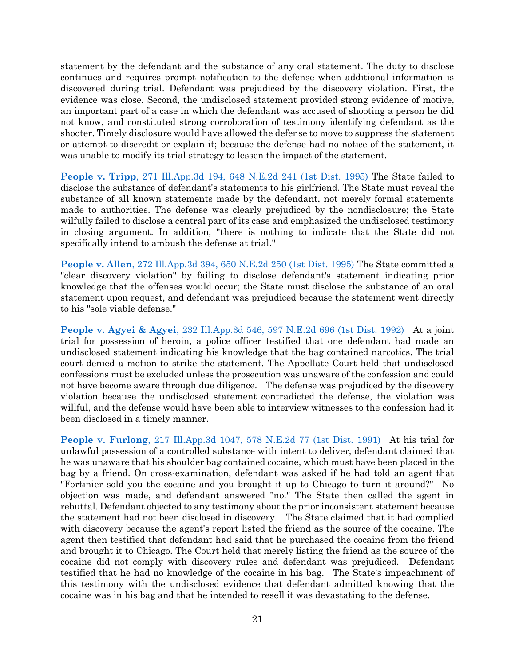statement by the defendant and the substance of any oral statement. The duty to disclose continues and requires prompt notification to the defense when additional information is discovered during trial. Defendant was prejudiced by the discovery violation. First, the evidence was close. Second, the undisclosed statement provided strong evidence of motive, an important part of a case in which the defendant was accused of shooting a person he did not know, and constituted strong corroboration of testimony identifying defendant as the shooter. Timely disclosure would have allowed the defense to move to suppress the statement or attempt to discredit or explain it; because the defense had no notice of the statement, it was unable to modify its trial strategy to lessen the impact of the statement.

**People v. Tripp**[, 271 Ill.App.3d 194, 648 N.E.2d 241 \(1st Dist. 1995\)](https://www.westlaw.com/Document/Ice61ac7cd3d611d99439b076ef9ec4de/View/FullText.html?transitionType=Default&contextData=(sc.Default)&VR=3.0&RS=da3.0) The State failed to disclose the substance of defendant's statements to his girlfriend. The State must reveal the substance of all known statements made by the defendant, not merely formal statements made to authorities. The defense was clearly prejudiced by the nondisclosure; the State wilfully failed to disclose a central part of its case and emphasized the undisclosed testimony in closing argument. In addition, "there is nothing to indicate that the State did not specifically intend to ambush the defense at trial."

**People v. Allen**[, 272 Ill.App.3d 394, 650 N.E.2d 250 \(1st Dist. 1995\)](https://www.westlaw.com/Document/I3cfd6ef2d3df11d99439b076ef9ec4de/View/FullText.html?transitionType=Default&contextData=(sc.Default)&VR=3.0&RS=da3.0) The State committed a "clear discovery violation" by failing to disclose defendant's statement indicating prior knowledge that the offenses would occur; the State must disclose the substance of an oral statement upon request, and defendant was prejudiced because the statement went directly to his "sole viable defense."

**People v. Agyei & Agyei**[, 232 Ill.App.3d 546, 597 N.E.2d 696 \(1st Dist. 1992\)](https://www.westlaw.com/Document/Ie4ee9435d43b11d99439b076ef9ec4de/View/FullText.html?transitionType=Default&contextData=(sc.Default)&VR=3.0&RS=da3.0) At a joint trial for possession of heroin, a police officer testified that one defendant had made an undisclosed statement indicating his knowledge that the bag contained narcotics. The trial court denied a motion to strike the statement. The Appellate Court held that undisclosed confessions must be excluded unless the prosecution was unaware of the confession and could not have become aware through due diligence. The defense was prejudiced by the discovery violation because the undisclosed statement contradicted the defense, the violation was willful, and the defense would have been able to interview witnesses to the confession had it been disclosed in a timely manner.

**People v. Furlong**[, 217 Ill.App.3d 1047, 578 N.E.2d 77 \(1st Dist. 1991\)](https://www.westlaw.com/Document/I3b6d5242d45111d9bf60c1d57ebc853e/View/FullText.html?transitionType=Default&contextData=(sc.Default)&VR=3.0&RS=da3.0) At his trial for unlawful possession of a controlled substance with intent to deliver, defendant claimed that he was unaware that his shoulder bag contained cocaine, which must have been placed in the bag by a friend. On cross-examination, defendant was asked if he had told an agent that "Fortinier sold you the cocaine and you brought it up to Chicago to turn it around?" No objection was made, and defendant answered "no." The State then called the agent in rebuttal. Defendant objected to any testimony about the prior inconsistent statement because the statement had not been disclosed in discovery. The State claimed that it had complied with discovery because the agent's report listed the friend as the source of the cocaine. The agent then testified that defendant had said that he purchased the cocaine from the friend and brought it to Chicago. The Court held that merely listing the friend as the source of the cocaine did not comply with discovery rules and defendant was prejudiced. Defendant testified that he had no knowledge of the cocaine in his bag. The State's impeachment of this testimony with the undisclosed evidence that defendant admitted knowing that the cocaine was in his bag and that he intended to resell it was devastating to the defense.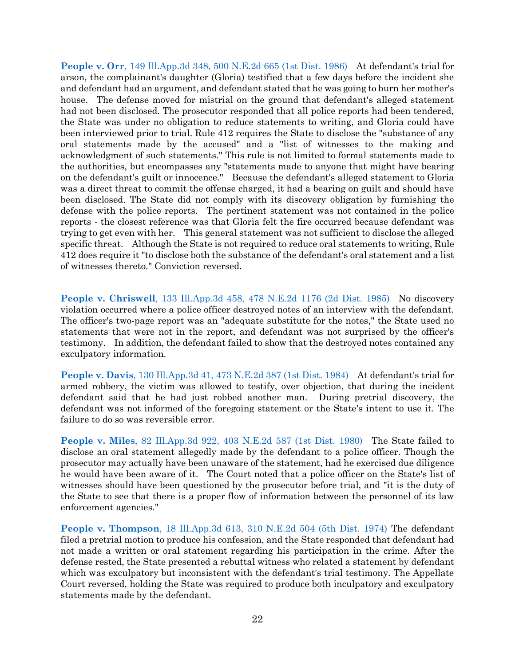**People v. Orr**[, 149 Ill.App.3d 348, 500 N.E.2d 665 \(1st Dist. 1986\)](https://www.westlaw.com/Document/I5318cc01d38711d98ac8f235252e36df/View/FullText.html?transitionType=Default&contextData=(sc.Default)&VR=3.0&RS=da3.0) At defendant's trial for arson, the complainant's daughter (Gloria) testified that a few days before the incident she and defendant had an argument, and defendant stated that he was going to burn her mother's house. The defense moved for mistrial on the ground that defendant's alleged statement had not been disclosed. The prosecutor responded that all police reports had been tendered, the State was under no obligation to reduce statements to writing, and Gloria could have been interviewed prior to trial. Rule 412 requires the State to disclose the "substance of any oral statements made by the accused" and a "list of witnesses to the making and acknowledgment of such statements." This rule is not limited to formal statements made to the authorities, but encompasses any "statements made to anyone that might have bearing on the defendant's guilt or innocence." Because the defendant's alleged statement to Gloria was a direct threat to commit the offense charged, it had a bearing on guilt and should have been disclosed. The State did not comply with its discovery obligation by furnishing the defense with the police reports. The pertinent statement was not contained in the police reports - the closest reference was that Gloria felt the fire occurred because defendant was trying to get even with her. This general statement was not sufficient to disclose the alleged specific threat. Although the State is not required to reduce oral statements to writing, Rule 412 does require it "to disclose both the substance of the defendant's oral statement and a list of witnesses thereto." Conviction reversed.

**People v. Chriswell**[, 133 Ill.App.3d 458, 478 N.E.2d 1176 \(2d Dist. 1985\)](https://www.westlaw.com/Document/I65349f9dd38c11d99439b076ef9ec4de/View/FullText.html?transitionType=Default&contextData=(sc.Default)&VR=3.0&RS=da3.0) No discovery violation occurred where a police officer destroyed notes of an interview with the defendant. The officer's two-page report was an "adequate substitute for the notes," the State used no statements that were not in the report, and defendant was not surprised by the officer's testimony. In addition, the defendant failed to show that the destroyed notes contained any exculpatory information.

**People v. Davis**[, 130 Ill.App.3d 41, 473 N.E.2d 387 \(1st Dist. 1984\)](https://www.westlaw.com/Document/I20e2a3fcd38711d983e7e9deff98dc6f/View/FullText.html?transitionType=Default&contextData=(sc.Default)&VR=3.0&RS=da3.0) At defendant's trial for armed robbery, the victim was allowed to testify, over objection, that during the incident defendant said that he had just robbed another man. During pretrial discovery, the defendant was not informed of the foregoing statement or the State's intent to use it. The failure to do so was reversible error.

**People v. Miles**[, 82 Ill.App.3d 922, 403 N.E.2d 587 \(1st Dist. 1980\)](https://www.westlaw.com/Document/Ia17c5d56d38a11d9a489ee624f1f6e1a/View/FullText.html?transitionType=Default&contextData=(sc.Default)&VR=3.0&RS=da3.0) The State failed to disclose an oral statement allegedly made by the defendant to a police officer. Though the prosecutor may actually have been unaware of the statement, had he exercised due diligence he would have been aware of it. The Court noted that a police officer on the State's list of witnesses should have been questioned by the prosecutor before trial, and "it is the duty of the State to see that there is a proper flow of information between the personnel of its law enforcement agencies."

**People v. Thompson**[, 18 Ill.App.3d 613, 310 N.E.2d 504 \(5th Dist. 1974\)](https://www.westlaw.com/Document/Ia9afa2c9d93e11d98ac8f235252e36df/View/FullText.html?transitionType=Default&contextData=(sc.Default)&VR=3.0&RS=da3.0) The defendant filed a pretrial motion to produce his confession, and the State responded that defendant had not made a written or oral statement regarding his participation in the crime. After the defense rested, the State presented a rebuttal witness who related a statement by defendant which was exculpatory but inconsistent with the defendant's trial testimony. The Appellate Court reversed, holding the State was required to produce both inculpatory and exculpatory statements made by the defendant.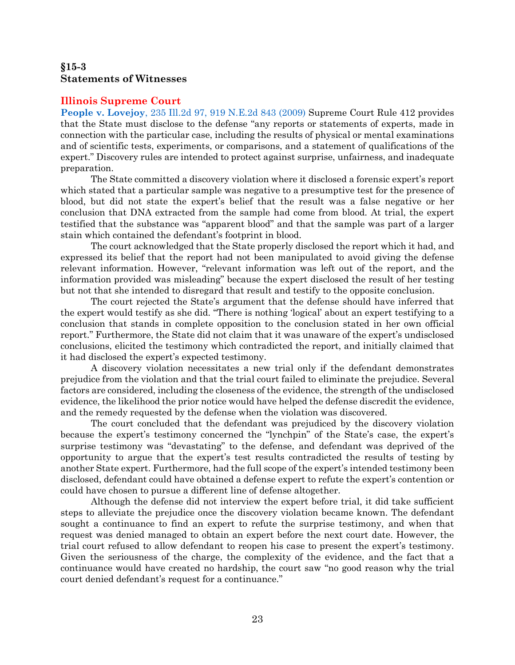# <span id="page-23-0"></span>**§15-3 Statements of Witnesses**

#### **Illinois Supreme Court**

**People v. Lovejoy**, 235 Ill.2d [97, 919 N.E.2d 843 \(2009\)](https://www.westlaw.com/Document/Ib12defb5ac3711de8bf6cd8525c41437/View/FullText.html?transitionType=Default&contextData=(sc.Default)&VR=3.0&RS=da3.0) Supreme Court Rule 412 provides that the State must disclose to the defense "any reports or statements of experts, made in connection with the particular case, including the results of physical or mental examinations and of scientific tests, experiments, or comparisons, and a statement of qualifications of the expert." Discovery rules are intended to protect against surprise, unfairness, and inadequate preparation.

The State committed a discovery violation where it disclosed a forensic expert's report which stated that a particular sample was negative to a presumptive test for the presence of blood, but did not state the expert's belief that the result was a false negative or her conclusion that DNA extracted from the sample had come from blood. At trial, the expert testified that the substance was "apparent blood" and that the sample was part of a larger stain which contained the defendant's footprint in blood.

The court acknowledged that the State properly disclosed the report which it had, and expressed its belief that the report had not been manipulated to avoid giving the defense relevant information. However, "relevant information was left out of the report, and the information provided was misleading" because the expert disclosed the result of her testing but not that she intended to disregard that result and testify to the opposite conclusion.

The court rejected the State's argument that the defense should have inferred that the expert would testify as she did. "There is nothing 'logical' about an expert testifying to a conclusion that stands in complete opposition to the conclusion stated in her own official report." Furthermore, the State did not claim that it was unaware of the expert's undisclosed conclusions, elicited the testimony which contradicted the report, and initially claimed that it had disclosed the expert's expected testimony.

A discovery violation necessitates a new trial only if the defendant demonstrates prejudice from the violation and that the trial court failed to eliminate the prejudice. Several factors are considered, including the closeness of the evidence, the strength of the undisclosed evidence, the likelihood the prior notice would have helped the defense discredit the evidence, and the remedy requested by the defense when the violation was discovered.

The court concluded that the defendant was prejudiced by the discovery violation because the expert's testimony concerned the "lynchpin" of the State's case, the expert's surprise testimony was "devastating" to the defense, and defendant was deprived of the opportunity to argue that the expert's test results contradicted the results of testing by another State expert. Furthermore, had the full scope of the expert's intended testimony been disclosed, defendant could have obtained a defense expert to refute the expert's contention or could have chosen to pursue a different line of defense altogether.

Although the defense did not interview the expert before trial, it did take sufficient steps to alleviate the prejudice once the discovery violation became known. The defendant sought a continuance to find an expert to refute the surprise testimony, and when that request was denied managed to obtain an expert before the next court date. However, the trial court refused to allow defendant to reopen his case to present the expert's testimony. Given the seriousness of the charge, the complexity of the evidence, and the fact that a continuance would have created no hardship, the court saw "no good reason why the trial court denied defendant's request for a continuance."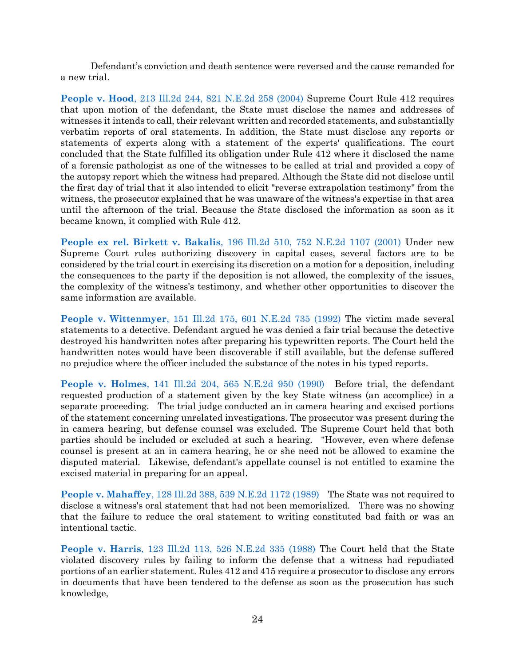Defendant's conviction and death sentence were reversed and the cause remanded for a new trial.

**People v. Hood**[, 213 Ill.2d 244, 821 N.E.2d 258 \(2004\)](https://www.westlaw.com/Document/I5d4c43c1d45811d9a489ee624f1f6e1a/View/FullText.html?transitionType=Default&contextData=(sc.Default)&VR=3.0&RS=da3.0) Supreme Court Rule 412 requires that upon motion of the defendant, the State must disclose the names and addresses of witnesses it intends to call, their relevant written and recorded statements, and substantially verbatim reports of oral statements. In addition, the State must disclose any reports or statements of experts along with a statement of the experts' qualifications. The court concluded that the State fulfilled its obligation under Rule 412 where it disclosed the name of a forensic pathologist as one of the witnesses to be called at trial and provided a copy of the autopsy report which the witness had prepared. Although the State did not disclose until the first day of trial that it also intended to elicit "reverse extrapolation testimony" from the witness, the prosecutor explained that he was unaware of the witness's expertise in that area until the afternoon of the trial. Because the State disclosed the information as soon as it became known, it complied with Rule 412.

**People ex rel. Birkett v. Bakalis**[, 196 Ill.2d 510, 752 N.E.2d 1107 \(2001\)](https://www.westlaw.com/Document/I643bfbe0d39911d983e7e9deff98dc6f/View/FullText.html?transitionType=Default&contextData=(sc.Default)&VR=3.0&RS=da3.0) Under new Supreme Court rules authorizing discovery in capital cases, several factors are to be considered by the trial court in exercising its discretion on a motion for a deposition, including the consequences to the party if the deposition is not allowed, the complexity of the issues, the complexity of the witness's testimony, and whether other opportunities to discover the same information are available.

**People v. Wittenmyer**[, 151 Ill.2d 175, 601 N.E.2d 735 \(1992\)](https://www.westlaw.com/Document/I4dd76ce6d45611d9bf60c1d57ebc853e/View/FullText.html?transitionType=Default&contextData=(sc.Default)&VR=3.0&RS=da3.0) The victim made several statements to a detective. Defendant argued he was denied a fair trial because the detective destroyed his handwritten notes after preparing his typewritten reports. The Court held the handwritten notes would have been discoverable if still available, but the defense suffered no prejudice where the officer included the substance of the notes in his typed reports.

**People v. Holmes**[, 141 Ill.2d 204, 565 N.E.2d 950 \(1990\)](https://www.westlaw.com/Document/I4d950dbcd44b11d9a489ee624f1f6e1a/View/FullText.html?transitionType=Default&contextData=(sc.Default)&VR=3.0&RS=da3.0) Before trial, the defendant requested production of a statement given by the key State witness (an accomplice) in a separate proceeding. The trial judge conducted an in camera hearing and excised portions of the statement concerning unrelated investigations. The prosecutor was present during the in camera hearing, but defense counsel was excluded. The Supreme Court held that both parties should be included or excluded at such a hearing. "However, even where defense counsel is present at an in camera hearing, he or she need not be allowed to examine the disputed material. Likewise, defendant's appellate counsel is not entitled to examine the excised material in preparing for an appeal.

**People v. Mahaffey**[, 128 Ill.2d 388, 539 N.E.2d 1172 \(1989\)](https://www.westlaw.com/Document/I92391debd38811d9a489ee624f1f6e1a/View/FullText.html?transitionType=Default&contextData=(sc.Default)&VR=3.0&RS=da3.0) The State was not required to disclose a witness's oral statement that had not been memorialized. There was no showing that the failure to reduce the oral statement to writing constituted bad faith or was an intentional tactic.

**People v. Harris**[, 123 Ill.2d 113, 526 N.E.2d 335 \(1988\)](https://www.westlaw.com/Document/I796f75f5d46a11d99439b076ef9ec4de/View/FullText.html?transitionType=Default&contextData=(sc.Default)&VR=3.0&RS=da3.0) The Court held that the State violated discovery rules by failing to inform the defense that a witness had repudiated portions of an earlier statement. Rules 412 and 415 require a prosecutor to disclose any errors in documents that have been tendered to the defense as soon as the prosecution has such knowledge,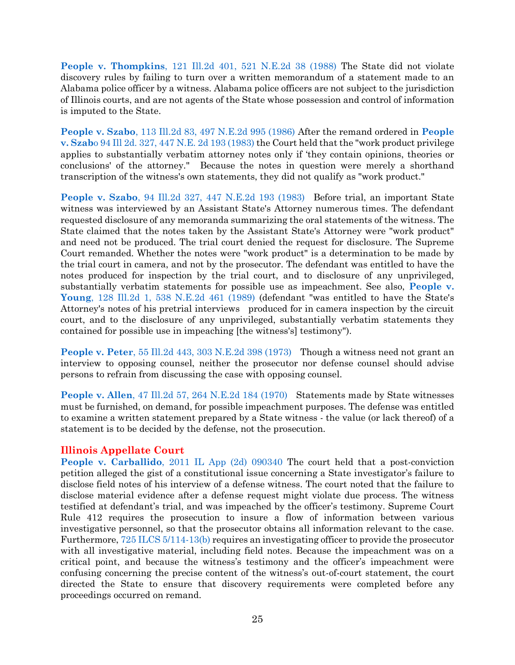**People v. Thompkins**[, 121 Ill.2d 401, 521 N.E.2d 38 \(1988\)](https://www.westlaw.com/Document/Ia48acb45d38911d99439b076ef9ec4de/View/FullText.html?transitionType=Default&contextData=(sc.Default)&VR=3.0&RS=da3.0) The State did not violate discovery rules by failing to turn over a written memorandum of a statement made to an Alabama police officer by a witness. Alabama police officers are not subject to the jurisdiction of Illinois courts, and are not agents of the State whose possession and control of information is imputed to the State.

**People v. Szabo**[, 113 Ill.2d 83, 497 N.E.2d 995 \(1986\)](https://www.westlaw.com/Document/Iea9b77acd2ae11d9bf60c1d57ebc853e/View/FullText.html?transitionType=Default&contextData=(sc.Default)&VR=3.0&RS=da3.0) After the remand ordered in **[People](https://www.westlaw.com/Document/Ia49db709d38911d99439b076ef9ec4de/View/FullText.html?transitionType=Default&contextData=(sc.Default)&VR=3.0&RS=da3.0)  v. Szab**[o 94 Ill 2d. 327, 447 N.E. 2d 193 \(1983\)](https://www.westlaw.com/Document/Ia49db709d38911d99439b076ef9ec4de/View/FullText.html?transitionType=Default&contextData=(sc.Default)&VR=3.0&RS=da3.0) the Court held that the "work product privilege applies to substantially verbatim attorney notes only if 'they contain opinions, theories or conclusions' of the attorney." Because the notes in question were merely a shorthand transcription of the witness's own statements, they did not qualify as "work product."

**People v. Szabo**[, 94 Ill.2d 327, 447 N.E.2d 193 \(1983\)](https://www.westlaw.com/Document/Ia49db709d38911d99439b076ef9ec4de/View/FullText.html?transitionType=Default&contextData=(sc.Default)&VR=3.0&RS=da3.0) Before trial, an important State witness was interviewed by an Assistant State's Attorney numerous times. The defendant requested disclosure of any memoranda summarizing the oral statements of the witness. The State claimed that the notes taken by the Assistant State's Attorney were "work product" and need not be produced. The trial court denied the request for disclosure. The Supreme Court remanded. Whether the notes were "work product" is a determination to be made by the trial court in camera, and not by the prosecutor. The defendant was entitled to have the notes produced for inspection by the trial court, and to disclosure of any unprivileged, substantially verbatim statements for possible use as impeachment. See also, **[People v.](https://www.westlaw.com/Document/I53ac75f7d38611d983e7e9deff98dc6f/View/FullText.html?transitionType=Default&contextData=(sc.Default)&VR=3.0&RS=da3.0)  Young**[, 128 Ill.2d 1, 538 N.E.2d 461 \(1989\)](https://www.westlaw.com/Document/I53ac75f7d38611d983e7e9deff98dc6f/View/FullText.html?transitionType=Default&contextData=(sc.Default)&VR=3.0&RS=da3.0) (defendant "was entitled to have the State's Attorney's notes of his pretrial interviews produced for in camera inspection by the circuit court, and to the disclosure of any unprivileged, substantially verbatim statements they contained for possible use in impeaching [the witness's] testimony").

**People v. Peter**[, 55 Ill.2d 443, 303 N.E.2d 398 \(1973\)](https://www.westlaw.com/Document/Iab849ef8d94011d9a489ee624f1f6e1a/View/FullText.html?transitionType=Default&contextData=(sc.Default)&VR=3.0&RS=da3.0) Though a witness need not grant an interview to opposing counsel, neither the prosecutor nor defense counsel should advise persons to refrain from discussing the case with opposing counsel.

**People v. Allen**[, 47 Ill.2d 57, 264 N.E.2d 184 \(1970\)](https://www.westlaw.com/Document/Id2a01f3cd91511d99439b076ef9ec4de/View/FullText.html?transitionType=Default&contextData=(sc.Default)&VR=3.0&RS=da3.0) Statements made by State witnesses must be furnished, on demand, for possible impeachment purposes. The defense was entitled to examine a written statement prepared by a State witness - the value (or lack thereof) of a statement is to be decided by the defense, not the prosecution.

### **Illinois Appellate Court**

**People v. Carballido**[, 2011 IL App \(2d\) 090340](https://www.westlaw.com/Document/I2d44866855fc11e0af6af9916f973d19/View/FullText.html?transitionType=Default&contextData=(sc.Default)&VR=3.0&RS=da3.0) The court held that a post-conviction petition alleged the gist of a constitutional issue concerning a State investigator's failure to disclose field notes of his interview of a defense witness. The court noted that the failure to disclose material evidence after a defense request might violate due process. The witness testified at defendant's trial, and was impeached by the officer's testimony. Supreme Court Rule 412 requires the prosecution to insure a flow of information between various investigative personnel, so that the prosecutor obtains all information relevant to the case. Furthermore[, 725 ILCS 5/114-13\(b\)](https://www.westlaw.com/Document/NDFCE47F0DAFD11DA9F00E4F82CEBF25B/View/FullText.html?transitionType=Default&contextData=(sc.Default)&VR=3.0&RS=da3.0) requires an investigating officer to provide the prosecutor with all investigative material, including field notes. Because the impeachment was on a critical point, and because the witness's testimony and the officer's impeachment were confusing concerning the precise content of the witness's out-of-court statement, the court directed the State to ensure that discovery requirements were completed before any proceedings occurred on remand.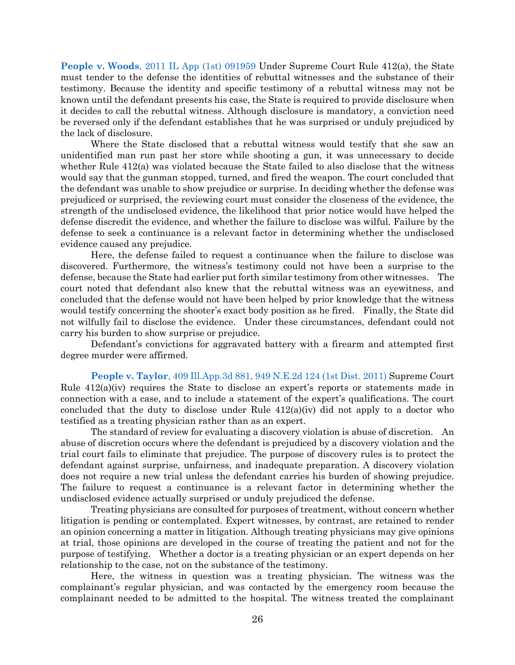**People v. Woods**[, 2011 IL App \(1st\) 091959](https://www.westlaw.com/Document/I4ce5d154936311e0a34df17ea74c323f/View/FullText.html?transitionType=Default&contextData=(sc.Default)&VR=3.0&RS=da3.0) Under Supreme Court Rule 412(a), the State must tender to the defense the identities of rebuttal witnesses and the substance of their testimony. Because the identity and specific testimony of a rebuttal witness may not be known until the defendant presents his case, the State is required to provide disclosure when it decides to call the rebuttal witness. Although disclosure is mandatory, a conviction need be reversed only if the defendant establishes that he was surprised or unduly prejudiced by the lack of disclosure.

Where the State disclosed that a rebuttal witness would testify that she saw an unidentified man run past her store while shooting a gun, it was unnecessary to decide whether Rule 412(a) was violated because the State failed to also disclose that the witness would say that the gunman stopped, turned, and fired the weapon. The court concluded that the defendant was unable to show prejudice or surprise. In deciding whether the defense was prejudiced or surprised, the reviewing court must consider the closeness of the evidence, the strength of the undisclosed evidence, the likelihood that prior notice would have helped the defense discredit the evidence, and whether the failure to disclose was wilful. Failure by the defense to seek a continuance is a relevant factor in determining whether the undisclosed evidence caused any prejudice.

Here, the defense failed to request a continuance when the failure to disclose was discovered. Furthermore, the witness's testimony could not have been a surprise to the defense, because the State had earlier put forth similar testimony from other witnesses. The court noted that defendant also knew that the rebuttal witness was an eyewitness, and concluded that the defense would not have been helped by prior knowledge that the witness would testify concerning the shooter's exact body position as he fired. Finally, the State did not wilfully fail to disclose the evidence. Under these circumstances, defendant could not carry his burden to show surprise or prejudice.

Defendant's convictions for aggravated battery with a firearm and attempted first degree murder were affirmed.

**People v. Taylor**[, 409 Ill.App.3d 881, 949 N.E.2d 124 \(1st Dist. 2011\)](https://www.westlaw.com/Document/I11898c874e4211e0b931b80af77abaf1/View/FullText.html?transitionType=Default&contextData=(sc.Default)&VR=3.0&RS=da3.0) Supreme Court Rule 412(a)(iv) requires the State to disclose an expert's reports or statements made in connection with a case, and to include a statement of the expert's qualifications. The court concluded that the duty to disclose under Rule  $412(a)(iv)$  did not apply to a doctor who testified as a treating physician rather than as an expert.

The standard of review for evaluating a discovery violation is abuse of discretion. An abuse of discretion occurs where the defendant is prejudiced by a discovery violation and the trial court fails to eliminate that prejudice. The purpose of discovery rules is to protect the defendant against surprise, unfairness, and inadequate preparation. A discovery violation does not require a new trial unless the defendant carries his burden of showing prejudice. The failure to request a continuance is a relevant factor in determining whether the undisclosed evidence actually surprised or unduly prejudiced the defense.

Treating physicians are consulted for purposes of treatment, without concern whether litigation is pending or contemplated. Expert witnesses, by contrast, are retained to render an opinion concerning a matter in litigation. Although treating physicians may give opinions at trial, those opinions are developed in the course of treating the patient and not for the purpose of testifying. Whether a doctor is a treating physician or an expert depends on her relationship to the case, not on the substance of the testimony.

Here, the witness in question was a treating physician. The witness was the complainant's regular physician, and was contacted by the emergency room because the complainant needed to be admitted to the hospital. The witness treated the complainant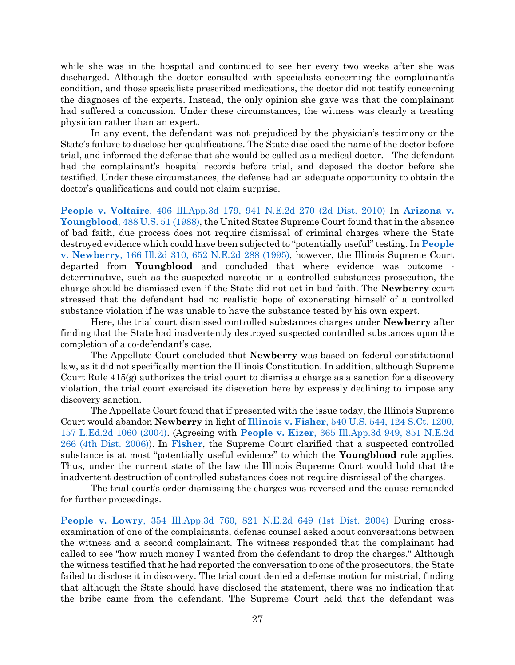while she was in the hospital and continued to see her every two weeks after she was discharged. Although the doctor consulted with specialists concerning the complainant's condition, and those specialists prescribed medications, the doctor did not testify concerning the diagnoses of the experts. Instead, the only opinion she gave was that the complainant had suffered a concussion. Under these circumstances, the witness was clearly a treating physician rather than an expert.

In any event, the defendant was not prejudiced by the physician's testimony or the State's failure to disclose her qualifications. The State disclosed the name of the doctor before trial, and informed the defense that she would be called as a medical doctor. The defendant had the complainant's hospital records before trial, and deposed the doctor before she testified. Under these circumstances, the defense had an adequate opportunity to obtain the doctor's qualifications and could not claim surprise.

**People v. Voltaire**[, 406 Ill.App.3d 179, 941 N.E.2d 270 \(2d Dist. 2010\)](https://www.westlaw.com/Document/Ic45d67b10f7911e09d9cae30585baa87/View/FullText.html?transitionType=Default&contextData=(sc.Default)&VR=3.0&RS=da3.0) In **[Arizona v.](https://www.westlaw.com/Document/I234f1ece9c1e11d9bdd1cfdd544ca3a4/View/FullText.html?transitionType=Default&contextData=(sc.Default)&VR=3.0&RS=da3.0)  Youngblood**[, 488 U.S. 51 \(1988\),](https://www.westlaw.com/Document/I234f1ece9c1e11d9bdd1cfdd544ca3a4/View/FullText.html?transitionType=Default&contextData=(sc.Default)&VR=3.0&RS=da3.0) the United States Supreme Court found that in the absence of bad faith, due process does not require dismissal of criminal charges where the State destroyed evidence which could have been subjected to "potentially useful" testing. In **[People](https://www.westlaw.com/Document/Ifa04fccad3c111d98ac8f235252e36df/View/FullText.html?transitionType=Default&contextData=(sc.Default)&VR=3.0&RS=da3.0)  v. Newberry**[, 166 Ill.2d 310, 652 N.E.2d 288 \(1995\),](https://www.westlaw.com/Document/Ifa04fccad3c111d98ac8f235252e36df/View/FullText.html?transitionType=Default&contextData=(sc.Default)&VR=3.0&RS=da3.0) however, the Illinois Supreme Court departed from **Youngblood** and concluded that where evidence was outcome determinative, such as the suspected narcotic in a controlled substances prosecution, the charge should be dismissed even if the State did not act in bad faith. The **Newberry** court stressed that the defendant had no realistic hope of exonerating himself of a controlled substance violation if he was unable to have the substance tested by his own expert.

Here, the trial court dismissed controlled substances charges under **Newberry** after finding that the State had inadvertently destroyed suspected controlled substances upon the completion of a co-defendant's case.

The Appellate Court concluded that **Newberry** was based on federal constitutional law, as it did not specifically mention the Illinois Constitution. In addition, although Supreme Court Rule 415(g) authorizes the trial court to dismiss a charge as a sanction for a discovery violation, the trial court exercised its discretion here by expressly declining to impose any discovery sanction.

The Appellate Court found that if presented with the issue today, the Illinois Supreme Court would abandon **Newberry** in light of **Illinois v. Fisher**[, 540 U.S. 544, 124 S.Ct. 1200,](https://www.westlaw.com/Document/I72f389869c9a11d991d0cc6b54f12d4d/View/FullText.html?transitionType=Default&contextData=(sc.Default)&VR=3.0&RS=da3.0)  [157 L.Ed.2d 1060 \(2004\).](https://www.westlaw.com/Document/I72f389869c9a11d991d0cc6b54f12d4d/View/FullText.html?transitionType=Default&contextData=(sc.Default)&VR=3.0&RS=da3.0) (Agreeing with **People v. Kizer**[, 365 Ill.App.3d 949, 851 N.E.2d](https://www.westlaw.com/Document/Id4524cf4008711dbb3be92e40de4b42f/View/FullText.html?transitionType=Default&contextData=(sc.Default)&VR=3.0&RS=da3.0)  [266 \(4th Dist. 2006\)\)](https://www.westlaw.com/Document/Id4524cf4008711dbb3be92e40de4b42f/View/FullText.html?transitionType=Default&contextData=(sc.Default)&VR=3.0&RS=da3.0). In **[Fisher](https://www.westlaw.com/Document/I72f389869c9a11d991d0cc6b54f12d4d/View/FullText.html?transitionType=Default&contextData=(sc.Default)&VR=3.0&RS=da3.0)**, the Supreme Court clarified that a suspected controlled substance is at most "potentially useful evidence" to which the **Youngblood** rule applies. Thus, under the current state of the law the Illinois Supreme Court would hold that the inadvertent destruction of controlled substances does not require dismissal of the charges.

The trial court's order dismissing the charges was reversed and the cause remanded for further proceedings.

**People v. Lowry**[, 354 Ill.App.3d 760, 821 N.E.2d 649 \(1st Dist. 2004\)](https://www.westlaw.com/Document/I3aec9a72d45a11d98ac8f235252e36df/View/FullText.html?transitionType=Default&contextData=(sc.Default)&VR=3.0&RS=da3.0) During crossexamination of one of the complainants, defense counsel asked about conversations between the witness and a second complainant. The witness responded that the complainant had called to see "how much money I wanted from the defendant to drop the charges." Although the witness testified that he had reported the conversation to one of the prosecutors, the State failed to disclose it in discovery. The trial court denied a defense motion for mistrial, finding that although the State should have disclosed the statement, there was no indication that the bribe came from the defendant. The Supreme Court held that the defendant was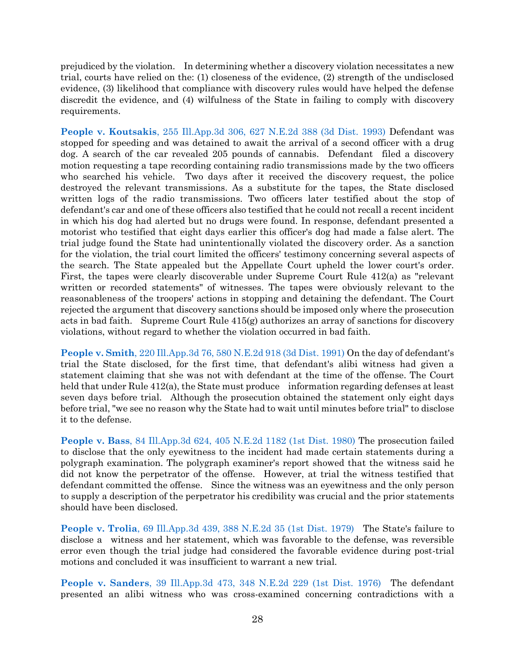prejudiced by the violation. In determining whether a discovery violation necessitates a new trial, courts have relied on the: (1) closeness of the evidence, (2) strength of the undisclosed evidence, (3) likelihood that compliance with discovery rules would have helped the defense discredit the evidence, and (4) wilfulness of the State in failing to comply with discovery requirements.

**People v. Koutsakis**[, 255 Ill.App.3d 306, 627 N.E.2d 388 \(3d Dist. 1993\)](https://www.westlaw.com/Document/I4b4572a2d3ee11d9bf60c1d57ebc853e/View/FullText.html?transitionType=Default&contextData=(sc.Default)&VR=3.0&RS=da3.0) Defendant was stopped for speeding and was detained to await the arrival of a second officer with a drug dog. A search of the car revealed 205 pounds of cannabis. Defendant filed a discovery motion requesting a tape recording containing radio transmissions made by the two officers who searched his vehicle. Two days after it received the discovery request, the police destroyed the relevant transmissions. As a substitute for the tapes, the State disclosed written logs of the radio transmissions. Two officers later testified about the stop of defendant's car and one of these officers also testified that he could not recall a recent incident in which his dog had alerted but no drugs were found. In response, defendant presented a motorist who testified that eight days earlier this officer's dog had made a false alert. The trial judge found the State had unintentionally violated the discovery order. As a sanction for the violation, the trial court limited the officers' testimony concerning several aspects of the search. The State appealed but the Appellate Court upheld the lower court's order. First, the tapes were clearly discoverable under Supreme Court Rule 412(a) as "relevant written or recorded statements" of witnesses. The tapes were obviously relevant to the reasonableness of the troopers' actions in stopping and detaining the defendant. The Court rejected the argument that discovery sanctions should be imposed only where the prosecution acts in bad faith. Supreme Court Rule 415(g) authorizes an array of sanctions for discovery violations, without regard to whether the violation occurred in bad faith.

**People v. Smith**[, 220 Ill.App.3d 76, 580 N.E.2d 918 \(3d Dist. 1991\)](https://www.westlaw.com/Document/I59712b35d43e11d983e7e9deff98dc6f/View/FullText.html?transitionType=Default&contextData=(sc.Default)&VR=3.0&RS=da3.0) On the day of defendant's trial the State disclosed, for the first time, that defendant's alibi witness had given a statement claiming that she was not with defendant at the time of the offense. The Court held that under Rule 412(a), the State must produce information regarding defenses at least seven days before trial. Although the prosecution obtained the statement only eight days before trial, "we see no reason why the State had to wait until minutes before trial" to disclose it to the defense.

**People v. Bass**[, 84 Ill.App.3d 624, 405 N.E.2d 1182 \(1st Dist. 1980\)](https://www.westlaw.com/Document/Ia5bfb359d33d11d983e7e9deff98dc6f/View/FullText.html?transitionType=Default&contextData=(sc.Default)&VR=3.0&RS=da3.0) The prosecution failed to disclose that the only eyewitness to the incident had made certain statements during a polygraph examination. The polygraph examiner's report showed that the witness said he did not know the perpetrator of the offense. However, at trial the witness testified that defendant committed the offense. Since the witness was an eyewitness and the only person to supply a description of the perpetrator his credibility was crucial and the prior statements should have been disclosed.

**People v. Trolia**[, 69 Ill.App.3d 439, 388 N.E.2d 35 \(1st Dist. 1979\)](https://www.westlaw.com/Document/Ib1311383d94311d983e7e9deff98dc6f/View/FullText.html?transitionType=Default&contextData=(sc.Default)&VR=3.0&RS=da3.0) The State's failure to disclose a witness and her statement, which was favorable to the defense, was reversible error even though the trial judge had considered the favorable evidence during post-trial motions and concluded it was insufficient to warrant a new trial.

**People v. Sanders**[, 39 Ill.App.3d 473, 348 N.E.2d 229 \(1st Dist. 1976\)](https://www.westlaw.com/Document/Iad6709a9d93711d9a489ee624f1f6e1a/View/FullText.html?transitionType=Default&contextData=(sc.Default)&VR=3.0&RS=da3.0&fragmentIdentifier=co_pp_sp_435_473) The defendant presented an alibi witness who was cross-examined concerning contradictions with a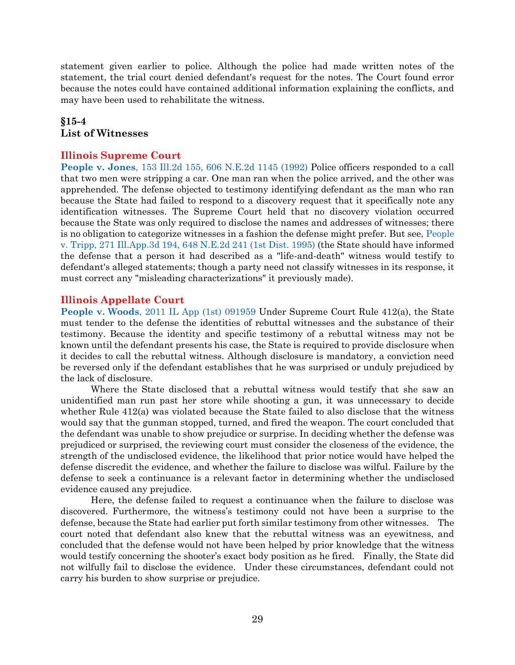statement given earlier to police. Although the police had made written notes of the statement, the trial court denied defendant's request for the notes. The Court found error because the notes could have contained additional information explaining the conflicts, and may have been used to rehabilitate the witness.

# <span id="page-29-0"></span>**§15-4 List of Witnesses**

#### **Illinois Supreme Court**

**People v. Jones**[, 153 Ill.2d 155, 606 N.E.2d 1145 \(1992\)](https://www.westlaw.com/Document/I74e017c6d44711d9a489ee624f1f6e1a/View/FullText.html?transitionType=Default&contextData=(sc.Default)&VR=3.0&RS=da3.0) Police officers responded to a call that two men were stripping a car. One man ran when the police arrived, and the other was apprehended. The defense objected to testimony identifying defendant as the man who ran because the State had failed to respond to a discovery request that it specifically note any identification witnesses. The Supreme Court held that no discovery violation occurred because the State was only required to disclose the names and addresses of witnesses; there is no obligation to categorize witnesses in a fashion the defense might prefer. But see, [People](https://www.westlaw.com/Document/Ice61ac7cd3d611d99439b076ef9ec4de/View/FullText.html?transitionType=Default&contextData=(sc.Default)&VR=3.0&RS=da3.0)  [v. Tripp, 271 Ill.App.3d 194, 648 N.E.2d 241 \(1st Dist. 1995\)](https://www.westlaw.com/Document/Ice61ac7cd3d611d99439b076ef9ec4de/View/FullText.html?transitionType=Default&contextData=(sc.Default)&VR=3.0&RS=da3.0) (the State should have informed the defense that a person it had described as a "life-and-death" witness would testify to defendant's alleged statements; though a party need not classify witnesses in its response, it must correct any "misleading characterizations" it previously made).

#### **Illinois Appellate Court**

**People v. Woods**[, 2011 IL App \(1st\) 091959](https://www.westlaw.com/Document/I4ce5d154936311e0a34df17ea74c323f/View/FullText.html?transitionType=Default&contextData=(sc.Default)&VR=3.0&RS=da3.0) Under Supreme Court Rule 412(a), the State must tender to the defense the identities of rebuttal witnesses and the substance of their testimony. Because the identity and specific testimony of a rebuttal witness may not be known until the defendant presents his case, the State is required to provide disclosure when it decides to call the rebuttal witness. Although disclosure is mandatory, a conviction need be reversed only if the defendant establishes that he was surprised or unduly prejudiced by the lack of disclosure.

Where the State disclosed that a rebuttal witness would testify that she saw an unidentified man run past her store while shooting a gun, it was unnecessary to decide whether Rule 412(a) was violated because the State failed to also disclose that the witness would say that the gunman stopped, turned, and fired the weapon. The court concluded that the defendant was unable to show prejudice or surprise. In deciding whether the defense was prejudiced or surprised, the reviewing court must consider the closeness of the evidence, the strength of the undisclosed evidence, the likelihood that prior notice would have helped the defense discredit the evidence, and whether the failure to disclose was wilful. Failure by the defense to seek a continuance is a relevant factor in determining whether the undisclosed evidence caused any prejudice.

Here, the defense failed to request a continuance when the failure to disclose was discovered. Furthermore, the witness's testimony could not have been a surprise to the defense, because the State had earlier put forth similar testimony from other witnesses. The court noted that defendant also knew that the rebuttal witness was an eyewitness, and concluded that the defense would not have been helped by prior knowledge that the witness would testify concerning the shooter's exact body position as he fired. Finally, the State did not wilfully fail to disclose the evidence. Under these circumstances, defendant could not carry his burden to show surprise or prejudice.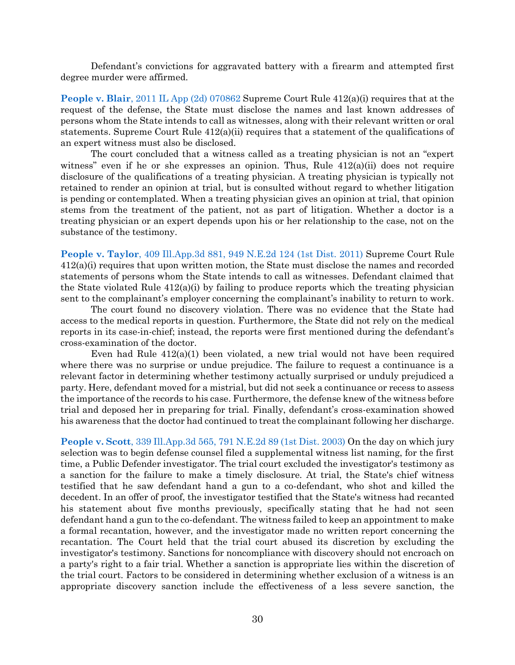Defendant's convictions for aggravated battery with a firearm and attempted first degree murder were affirmed.

**[People v. Blair](https://www.westlaw.com/Document/If15310ca8ac811e0a34df17ea74c323f/View/FullText.html?transitionType=Default&contextData=(sc.Default)&VR=3.0&RS=da3.0)**, 2011 IL App (2d) 070862 Supreme Court Rule 412(a)(i) requires that at the request of the defense, the State must disclose the names and last known addresses of persons whom the State intends to call as witnesses, along with their relevant written or oral statements. Supreme Court Rule  $412(a)(ii)$  requires that a statement of the qualifications of an expert witness must also be disclosed.

The court concluded that a witness called as a treating physician is not an "expert witness" even if he or she expresses an opinion. Thus, Rule  $412(a)(ii)$  does not require disclosure of the qualifications of a treating physician. A treating physician is typically not retained to render an opinion at trial, but is consulted without regard to whether litigation is pending or contemplated. When a treating physician gives an opinion at trial, that opinion stems from the treatment of the patient, not as part of litigation. Whether a doctor is a treating physician or an expert depends upon his or her relationship to the case, not on the substance of the testimony.

**People v. Taylor**[, 409 Ill.App.3d 881, 949 N.E.2d 124 \(1st Dist. 2011\)](https://www.westlaw.com/Document/I11898c874e4211e0b931b80af77abaf1/View/FullText.html?transitionType=Default&contextData=(sc.Default)&VR=3.0&RS=da3.0) Supreme Court Rule 412(a)(i) requires that upon written motion, the State must disclose the names and recorded statements of persons whom the State intends to call as witnesses. Defendant claimed that the State violated Rule  $412(a)(i)$  by failing to produce reports which the treating physician sent to the complainant's employer concerning the complainant's inability to return to work.

The court found no discovery violation. There was no evidence that the State had access to the medical reports in question. Furthermore, the State did not rely on the medical reports in its case-in-chief; instead, the reports were first mentioned during the defendant's cross-examination of the doctor.

Even had Rule 412(a)(1) been violated, a new trial would not have been required where there was no surprise or undue prejudice. The failure to request a continuance is a relevant factor in determining whether testimony actually surprised or unduly prejudiced a party. Here, defendant moved for a mistrial, but did not seek a continuance or recess to assess the importance of the records to his case. Furthermore, the defense knew of the witness before trial and deposed her in preparing for trial. Finally, defendant's cross-examination showed his awareness that the doctor had continued to treat the complainant following her discharge.

**People v. Scott**, 339 Ill.App.3d [565, 791 N.E.2d 89 \(1st Dist. 2003\)](https://www.westlaw.com/Document/If7be58f9d44111d9bf60c1d57ebc853e/View/FullText.html?transitionType=Default&contextData=(sc.Default)&VR=3.0&RS=da3.0) On the day on which jury selection was to begin defense counsel filed a supplemental witness list naming, for the first time, a Public Defender investigator. The trial court excluded the investigator's testimony as a sanction for the failure to make a timely disclosure. At trial, the State's chief witness testified that he saw defendant hand a gun to a co-defendant, who shot and killed the decedent. In an offer of proof, the investigator testified that the State's witness had recanted his statement about five months previously, specifically stating that he had not seen defendant hand a gun to the co-defendant. The witness failed to keep an appointment to make a formal recantation, however, and the investigator made no written report concerning the recantation. The Court held that the trial court abused its discretion by excluding the investigator's testimony. Sanctions for noncompliance with discovery should not encroach on a party's right to a fair trial. Whether a sanction is appropriate lies within the discretion of the trial court. Factors to be considered in determining whether exclusion of a witness is an appropriate discovery sanction include the effectiveness of a less severe sanction, the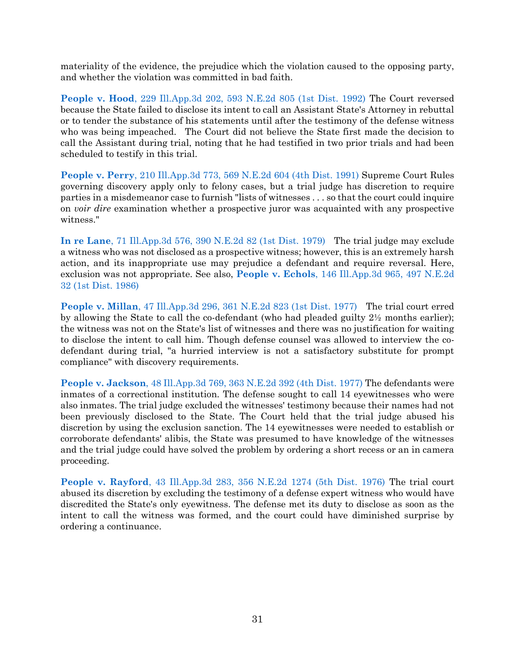materiality of the evidence, the prejudice which the violation caused to the opposing party, and whether the violation was committed in bad faith.

**People v. Hood**[, 229 Ill.App.3d 202, 593 N.E.2d 805 \(1st Dist. 1992\)](https://www.westlaw.com/Document/Ie770a036d3f011d98ac8f235252e36df/View/FullText.html?transitionType=Default&contextData=(sc.Default)&VR=3.0&RS=da3.0) The Court reversed because the State failed to disclose its intent to call an Assistant State's Attorney in rebuttal or to tender the substance of his statements until after the testimony of the defense witness who was being impeached. The Court did not believe the State first made the decision to call the Assistant during trial, noting that he had testified in two prior trials and had been scheduled to testify in this trial.

**People v. Perry**[, 210 Ill.App.3d 773, 569 N.E.2d 604 \(4th Dist. 1991\)](https://www.westlaw.com/Document/I57b98263d43911d9bf60c1d57ebc853e/View/FullText.html?transitionType=Default&contextData=(sc.Default)&VR=3.0&RS=da3.0) Supreme Court Rules governing discovery apply only to felony cases, but a trial judge has discretion to require parties in a misdemeanor case to furnish "lists of witnesses . . . so that the court could inquire on *voir dire* examination whether a prospective juror was acquainted with any prospective witness."

**In re Lane**[, 71 Ill.App.3d 576, 390 N.E.2d 82 \(1st Dist. 1979\)](https://www.westlaw.com/Document/Ia8e8c2a8d93911d9a489ee624f1f6e1a/View/FullText.html?transitionType=Default&contextData=(sc.Default)&VR=3.0&RS=da3.0) The trial judge may exclude a witness who was not disclosed as a prospective witness; however, this is an extremely harsh action, and its inappropriate use may prejudice a defendant and require reversal. Here, exclusion was not appropriate. See also, **People v. Echols**[, 146 Ill.App.3d 965, 497 N.E.2d](https://www.westlaw.com/Document/I358d1bd5d34311d9bf60c1d57ebc853e/View/FullText.html?transitionType=Default&contextData=(sc.Default)&VR=3.0&RS=da3.0)  [32 \(1st Dist. 1986\)](https://www.westlaw.com/Document/I358d1bd5d34311d9bf60c1d57ebc853e/View/FullText.html?transitionType=Default&contextData=(sc.Default)&VR=3.0&RS=da3.0)

**People v. Millan**[, 47 Ill.App.3d 296, 361 N.E.2d 823 \(1st Dist. 1977\)](https://www.westlaw.com/Document/Ibb6f50c8d93c11d9bf60c1d57ebc853e/View/FullText.html?transitionType=Default&contextData=(sc.Default)&VR=3.0&RS=da3.0) The trial court erred by allowing the State to call the co-defendant (who had pleaded guilty 2½ months earlier); the witness was not on the State's list of witnesses and there was no justification for waiting to disclose the intent to call him. Though defense counsel was allowed to interview the codefendant during trial, "a hurried interview is not a satisfactory substitute for prompt compliance" with discovery requirements.

**People v. Jackson**[, 48 Ill.App.3d 769, 363 N.E.2d 392 \(4th Dist. 1977\)](https://www.westlaw.com/Document/I6509c120d94111d9bf60c1d57ebc853e/View/FullText.html?transitionType=Default&contextData=(sc.Default)&VR=3.0&RS=da3.0) The defendants were inmates of a correctional institution. The defense sought to call 14 eyewitnesses who were also inmates. The trial judge excluded the witnesses' testimony because their names had not been previously disclosed to the State. The Court held that the trial judge abused his discretion by using the exclusion sanction. The 14 eyewitnesses were needed to establish or corroborate defendants' alibis, the State was presumed to have knowledge of the witnesses and the trial judge could have solved the problem by ordering a short recess or an in camera proceeding.

**People v. Rayford**[, 43 Ill.App.3d 283, 356 N.E.2d 1274 \(5th Dist. 1976\)](https://www.westlaw.com/Document/Iee3af35cd94211d99439b076ef9ec4de/View/FullText.html?transitionType=Default&contextData=(sc.Default)&VR=3.0&RS=da3.0) The trial court abused its discretion by excluding the testimony of a defense expert witness who would have discredited the State's only eyewitness. The defense met its duty to disclose as soon as the intent to call the witness was formed, and the court could have diminished surprise by ordering a continuance.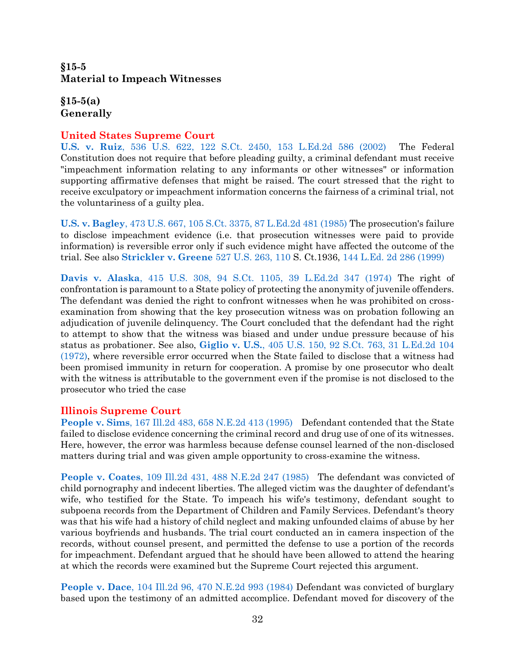# <span id="page-32-0"></span>**§15-5 Material to Impeach Witnesses**

<span id="page-32-1"></span>**§15-5(a) Generally**

### **United States Supreme Court**

**U.S. v. Ruiz**[, 536 U.S. 622, 122 S.Ct. 2450, 153 L.Ed.2d 586 \(2002\)](https://www.westlaw.com/Document/Ibdf1e55e9c2511d9bc61beebb95be672/View/FullText.html?transitionType=Default&contextData=(sc.Default)&VR=3.0&RS=da3.0) The Federal Constitution does not require that before pleading guilty, a criminal defendant must receive "impeachment information relating to any informants or other witnesses" or information supporting affirmative defenses that might be raised. The court stressed that the right to receive exculpatory or impeachment information concerns the fairness of a criminal trial, not the voluntariness of a guilty plea.

**U.S. v. Bagley**[, 473 U.S. 667, 105 S.Ct. 3375, 87 L.Ed.2d 481 \(1985\)](https://www.westlaw.com/Document/Ic1d899979c1e11d991d0cc6b54f12d4d/View/FullText.html?transitionType=Default&contextData=(sc.Default)&VR=3.0&RS=da3.0) The prosecution's failure to disclose impeachment evidence (i.e. that prosecution witnesses were paid to provide information) is reversible error only if such evidence might have affected the outcome of the trial. See also **[Strickler v. Greene](https://www.westlaw.com/Document/I1d1d62429c9711d993e6d35cc61aab4a/View/FullText.html?transitionType=Default&contextData=(sc.Default)&VR=3.0&RS=da3.0&fragmentIdentifier=co_pp_sp_780_110)** 527 U.S. 263, 110 S. Ct.1936, [144 L.Ed. 2d 286](https://www.westlaw.com/Document/I1d1d62429c9711d993e6d35cc61aab4a/View/FullText.html?transitionType=Default&contextData=(sc.Default)&VR=3.0&RS=da3.0) (1999)

**Davis v. Alaska**[, 415 U.S. 308, 94 S.Ct. 1105, 39 L.Ed.2d 347 \(1974\)](https://www.westlaw.com/Document/Ida7299269bf011d9bdd1cfdd544ca3a4/View/FullText.html?transitionType=Default&contextData=(sc.Default)&VR=3.0&RS=da3.0) The right of confrontation is paramount to a State policy of protecting the anonymity of juvenile offenders. The defendant was denied the right to confront witnesses when he was prohibited on crossexamination from showing that the key prosecution witness was on probation following an adjudication of juvenile delinquency. The Court concluded that the defendant had the right to attempt to show that the witness was biased and under undue pressure because of his status as probationer. See also, **Giglio v. U.S.**[, 405 U.S. 150, 92 S.Ct. 763, 31 L.Ed.2d 104](https://www.westlaw.com/Document/Id4c698f09c1d11d991d0cc6b54f12d4d/View/FullText.html?transitionType=Default&contextData=(sc.Default)&VR=3.0&RS=da3.0)  [\(1972\),](https://www.westlaw.com/Document/Id4c698f09c1d11d991d0cc6b54f12d4d/View/FullText.html?transitionType=Default&contextData=(sc.Default)&VR=3.0&RS=da3.0) where reversible error occurred when the State failed to disclose that a witness had been promised immunity in return for cooperation. A promise by one prosecutor who dealt with the witness is attributable to the government even if the promise is not disclosed to the prosecutor who tried the case

### **Illinois Supreme Court**

**People v. Sims**[, 167 Ill.2d 483, 658 N.E.2d 413 \(1995\)](https://www.westlaw.com/Document/I7e98a57ad3d811d99439b076ef9ec4de/View/FullText.html?transitionType=Default&contextData=(sc.Default)&VR=3.0&RS=da3.0) Defendant contended that the State failed to disclose evidence concerning the criminal record and drug use of one of its witnesses. Here, however, the error was harmless because defense counsel learned of the non-disclosed matters during trial and was given ample opportunity to cross-examine the witness.

**People v. Coates**[, 109 Ill.2d 431, 488 N.E.2d 247 \(1985\)](https://www.westlaw.com/Document/I377f0a8ad37411d9a489ee624f1f6e1a/View/FullText.html?transitionType=Default&contextData=(sc.Default)&VR=3.0&RS=da3.0) The defendant was convicted of child pornography and indecent liberties. The alleged victim was the daughter of defendant's wife, who testified for the State. To impeach his wife's testimony, defendant sought to subpoena records from the Department of Children and Family Services. Defendant's theory was that his wife had a history of child neglect and making unfounded claims of abuse by her various boyfriends and husbands. The trial court conducted an in camera inspection of the records, without counsel present, and permitted the defense to use a portion of the records for impeachment. Defendant argued that he should have been allowed to attend the hearing at which the records were examined but the Supreme Court rejected this argument.

**People v. Dace**[, 104 Ill.2d 96, 470 N.E.2d 993 \(1984\)](https://www.westlaw.com/Document/Iaaa11a5dd34111d9a489ee624f1f6e1a/View/FullText.html?transitionType=Default&contextData=(sc.Default)&VR=3.0&RS=da3.0) Defendant was convicted of burglary based upon the testimony of an admitted accomplice. Defendant moved for discovery of the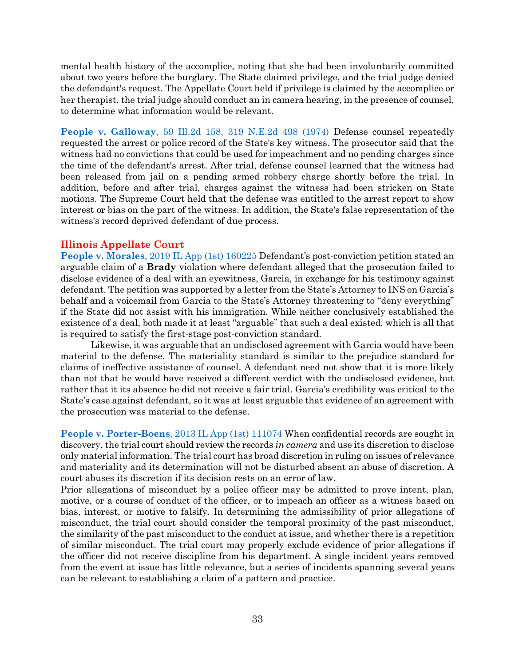mental health history of the accomplice, noting that she had been involuntarily committed about two years before the burglary. The State claimed privilege, and the trial judge denied the defendant's request. The Appellate Court held if privilege is claimed by the accomplice or her therapist, the trial judge should conduct an in camera hearing, in the presence of counsel, to determine what information would be relevant.

**People v. Galloway**[, 59 Ill.2d 158, 319 N.E.2d 498 \(1974\)](https://www.westlaw.com/Document/If672d815de0311d983e7e9deff98dc6f/View/FullText.html?transitionType=Default&contextData=(sc.Default)&VR=3.0&RS=da3.0) Defense counsel repeatedly requested the arrest or police record of the State's key witness. The prosecutor said that the witness had no convictions that could be used for impeachment and no pending charges since the time of the defendant's arrest. After trial, defense counsel learned that the witness had been released from jail on a pending armed robbery charge shortly before the trial. In addition, before and after trial, charges against the witness had been stricken on State motions. The Supreme Court held that the defense was entitled to the arrest report to show interest or bias on the part of the witness. In addition, the State's false representation of the witness's record deprived defendant of due process.

### **Illinois Appellate Court**

**People v. Morales**[, 2019 IL App \(1st\) 160225](https://www.westlaw.com/Document/I24a386008e3811e9a3ecec4a01914b9c/View/FullText.html?transitionType=Default&contextData=(sc.Default)&VR=3.0&RS=da3.0) Defendant's post-conviction petition stated an arguable claim of a **Brady** violation where defendant alleged that the prosecution failed to disclose evidence of a deal with an eyewitness, Garcia, in exchange for his testimony against defendant. The petition was supported by a letter from the State's Attorney to INS on Garcia's behalf and a voicemail from Garcia to the State's Attorney threatening to "deny everything" if the State did not assist with his immigration. While neither conclusively established the existence of a deal, both made it at least "arguable" that such a deal existed, which is all that is required to satisfy the first-stage post-conviction standard.

Likewise, it was arguable that an undisclosed agreement with Garcia would have been material to the defense. The materiality standard is similar to the prejudice standard for claims of ineffective assistance of counsel. A defendant need not show that it is more likely than not that he would have received a different verdict with the undisclosed evidence, but rather that it its absence he did not receive a fair trial. Garcia's credibility was critical to the State's case against defendant, so it was at least arguable that evidence of an agreement with the prosecution was material to the defense.

**People v. Porter-Boens**[, 2013 IL App \(1st\) 111074](https://www.westlaw.com/Document/Ia33bdb8d174811e3b0499ca71fc6ba70/View/FullText.html?transitionType=Default&contextData=(sc.Default)&VR=3.0&RS=da3.0) When confidential records are sought in discovery, the trial court should review the records *in camera* and use its discretion to disclose only material information. The trial court has broad discretion in ruling on issues of relevance and materiality and its determination will not be disturbed absent an abuse of discretion. A court abuses its discretion if its decision rests on an error of law.

Prior allegations of misconduct by a police officer may be admitted to prove intent, plan, motive, or a course of conduct of the officer, or to impeach an officer as a witness based on bias, interest, or motive to falsify. In determining the admissibility of prior allegations of misconduct, the trial court should consider the temporal proximity of the past misconduct, the similarity of the past misconduct to the conduct at issue, and whether there is a repetition of similar misconduct. The trial court may properly exclude evidence of prior allegations if the officer did not receive discipline from his department. A single incident years removed from the event at issue has little relevance, but a series of incidents spanning several years can be relevant to establishing a claim of a pattern and practice.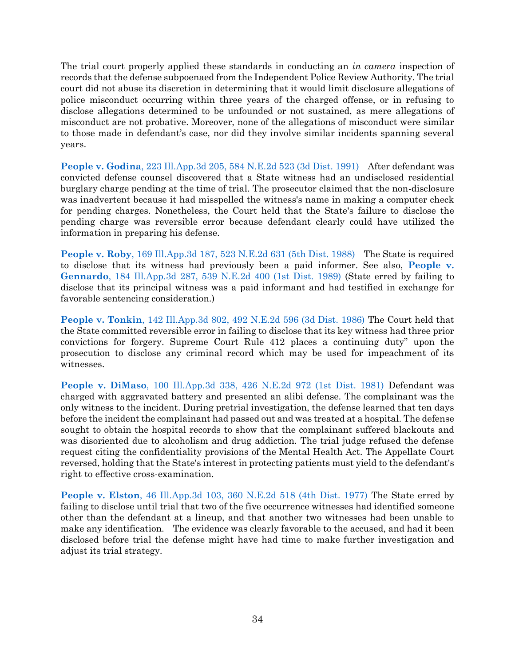The trial court properly applied these standards in conducting an *in camera* inspection of records that the defense subpoenaed from the Independent Police Review Authority. The trial court did not abuse its discretion in determining that it would limit disclosure allegations of police misconduct occurring within three years of the charged offense, or in refusing to disclose allegations determined to be unfounded or not sustained, as mere allegations of misconduct are not probative. Moreover, none of the allegations of misconduct were similar to those made in defendant's case, nor did they involve similar incidents spanning several years.

**People v. Godina**[, 223 Ill.App.3d 205, 584 N.E.2d 523 \(3d Dist. 1991\)](https://www.westlaw.com/Document/I6e018df9d45311d99439b076ef9ec4de/View/FullText.html?transitionType=Default&contextData=(sc.Default)&VR=3.0&RS=da3.0) After defendant was convicted defense counsel discovered that a State witness had an undisclosed residential burglary charge pending at the time of trial. The prosecutor claimed that the non-disclosure was inadvertent because it had misspelled the witness's name in making a computer check for pending charges. Nonetheless, the Court held that the State's failure to disclose the pending charge was reversible error because defendant clearly could have utilized the information in preparing his defense.

**People v. Roby**[, 169 Ill.App.3d 187, 523 N.E.2d 631 \(5th Dist. 1988\)](https://www.westlaw.com/Document/I3584de7ed34311d9bf60c1d57ebc853e/View/FullText.html?transitionType=Default&contextData=(sc.Default)&VR=3.0&RS=da3.0) The State is required to disclose that its witness had previously been a paid informer. See also, **[People v.](https://www.westlaw.com/Document/I6866c1c2d34111d9bf60c1d57ebc853e/View/FullText.html?transitionType=Default&contextData=(sc.Default)&VR=3.0&RS=da3.0)  Gennardo**[, 184 Ill.App.3d 287, 539 N.E.2d 400 \(1st Dist. 1989\)](https://www.westlaw.com/Document/I6866c1c2d34111d9bf60c1d57ebc853e/View/FullText.html?transitionType=Default&contextData=(sc.Default)&VR=3.0&RS=da3.0) (State erred by failing to disclose that its principal witness was a paid informant and had testified in exchange for favorable sentencing consideration.)

**People v. Tonkin**[, 142 Ill.App.3d 802, 492 N.E.2d 596 \(3d Dist. 1986\)](https://www.westlaw.com/Document/Ia7f45623ce2511d9a489ee624f1f6e1a/View/FullText.html?transitionType=Default&contextData=(sc.Default)&VR=3.0&RS=da3.0) The Court held that the State committed reversible error in failing to disclose that its key witness had three prior convictions for forgery. Supreme Court Rule 412 places a continuing duty" upon the prosecution to disclose any criminal record which may be used for impeachment of its witnesses.

**People v. DiMaso**[, 100 Ill.App.3d 338, 426 N.E.2d 972 \(1st Dist. 1981\)](https://www.westlaw.com/Document/I41e9a116d34311d9a489ee624f1f6e1a/View/FullText.html?transitionType=Default&contextData=(sc.Default)&VR=3.0&RS=da3.0) Defendant was charged with aggravated battery and presented an alibi defense. The complainant was the only witness to the incident. During pretrial investigation, the defense learned that ten days before the incident the complainant had passed out and was treated at a hospital. The defense sought to obtain the hospital records to show that the complainant suffered blackouts and was disoriented due to alcoholism and drug addiction. The trial judge refused the defense request citing the confidentiality provisions of the Mental Health Act. The Appellate Court reversed, holding that the State's interest in protecting patients must yield to the defendant's right to effective cross-examination.

**People v. Elston**, 46 [Ill.App.3d 103, 360 N.E.2d 518 \(4th Dist. 1977\)](https://www.westlaw.com/Document/Ie4981566ce0911d9a489ee624f1f6e1a/View/FullText.html?transitionType=Default&contextData=(sc.Default)&VR=3.0&RS=da3.0) The State erred by failing to disclose until trial that two of the five occurrence witnesses had identified someone other than the defendant at a lineup, and that another two witnesses had been unable to make any identification. The evidence was clearly favorable to the accused, and had it been disclosed before trial the defense might have had time to make further investigation and adjust its trial strategy.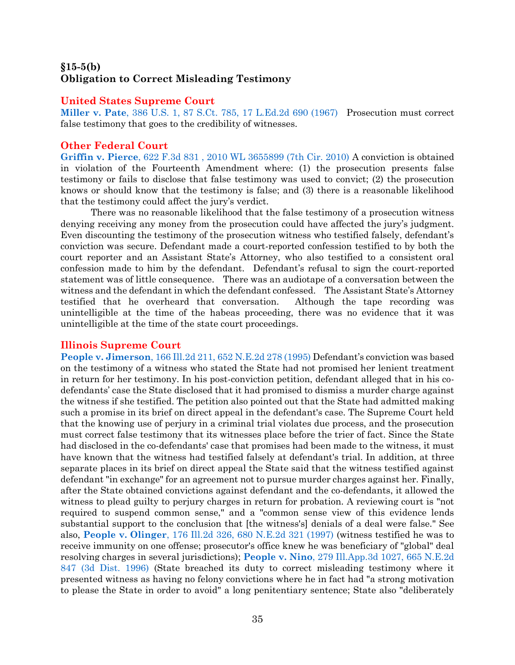### <span id="page-35-0"></span>**§15-5(b) Obligation to Correct Misleading Testimony**

#### **United States Supreme Court**

**Miller v. Pate**[, 386 U.S. 1, 87 S.Ct. 785, 17 L.Ed.2d 690 \(1967\)](https://www.westlaw.com/Document/I5ab8b5409be911d9bc61beebb95be672/View/FullText.html?transitionType=Default&contextData=(sc.Default)&VR=3.0&RS=da3.0) Prosecution must correct false testimony that goes to the credibility of witnesses.

### **Other Federal Court**

**Griffin v. Pierce**[, 622 F.3d 831 , 2010 WL 3655899 \(7th Cir. 2010\)](https://www.westlaw.com/Document/Id1f07516c63411dfb5fdfcf739be147c/View/FullText.html?transitionType=Default&contextData=(sc.Default)&VR=3.0&RS=da3.0) A conviction is obtained in violation of the Fourteenth Amendment where: (1) the prosecution presents false testimony or fails to disclose that false testimony was used to convict; (2) the prosecution knows or should know that the testimony is false; and (3) there is a reasonable likelihood that the testimony could affect the jury's verdict.

There was no reasonable likelihood that the false testimony of a prosecution witness denying receiving any money from the prosecution could have affected the jury's judgment. Even discounting the testimony of the prosecution witness who testified falsely, defendant's conviction was secure. Defendant made a court-reported confession testified to by both the court reporter and an Assistant State's Attorney, who also testified to a consistent oral confession made to him by the defendant. Defendant's refusal to sign the court-reported statement was of little consequence. There was an audiotape of a conversation between the witness and the defendant in which the defendant confessed. The Assistant State's Attorney testified that he overheard that conversation. Although the tape recording was unintelligible at the time of the habeas proceeding, there was no evidence that it was unintelligible at the time of the state court proceedings.

#### **Illinois Supreme Court**

**People v. Jimerson**[, 166 Ill.2d 211, 652 N.E.2d 278 \(1995\)](https://www.westlaw.com/Document/Ibd3e6310d46811d983e7e9deff98dc6f/View/FullText.html?transitionType=Default&contextData=(sc.Default)&VR=3.0&RS=da3.0) Defendant's conviction was based on the testimony of a witness who stated the State had not promised her lenient treatment in return for her testimony. In his post-conviction petition, defendant alleged that in his codefendants' case the State disclosed that it had promised to dismiss a murder charge against the witness if she testified. The petition also pointed out that the State had admitted making such a promise in its brief on direct appeal in the defendant's case. The Supreme Court held that the knowing use of perjury in a criminal trial violates due process, and the prosecution must correct false testimony that its witnesses place before the trier of fact. Since the State had disclosed in the co-defendants' case that promises had been made to the witness, it must have known that the witness had testified falsely at defendant's trial. In addition, at three separate places in its brief on direct appeal the State said that the witness testified against defendant "in exchange" for an agreement not to pursue murder charges against her. Finally, after the State obtained convictions against defendant and the co-defendants, it allowed the witness to plead guilty to perjury charges in return for probation. A reviewing court is "not required to suspend common sense," and a "common sense view of this evidence lends substantial support to the conclusion that [the witness's] denials of a deal were false." See also, **People v. Olinger**[, 176 Ill.2d 326, 680 N.E.2d 321 \(1997\)](https://www.westlaw.com/Document/I77d1546bd3bc11d9bf60c1d57ebc853e/View/FullText.html?transitionType=Default&contextData=(sc.Default)&VR=3.0&RS=da3.0) (witness testified he was to receive immunity on one offense; prosecutor's office knew he was beneficiary of "global" deal resolving charges in several jurisdictions); **People v. Nino**[, 279 Ill.App.3d 1027, 665 N.E.2d](https://www.westlaw.com/Document/I7c69d500d3cc11d9bf60c1d57ebc853e/View/FullText.html?transitionType=Default&contextData=(sc.Default)&VR=3.0&RS=da3.0)  [847 \(3d Dist. 1996\)](https://www.westlaw.com/Document/I7c69d500d3cc11d9bf60c1d57ebc853e/View/FullText.html?transitionType=Default&contextData=(sc.Default)&VR=3.0&RS=da3.0) (State breached its duty to correct misleading testimony where it presented witness as having no felony convictions where he in fact had "a strong motivation to please the State in order to avoid" a long penitentiary sentence; State also "deliberately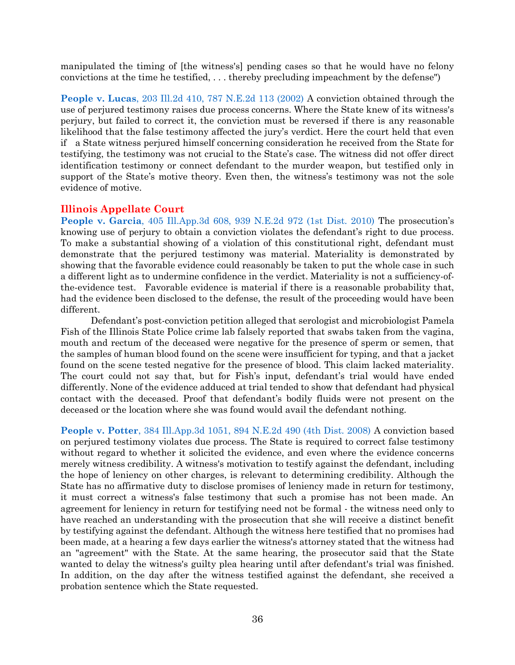manipulated the timing of [the witness's] pending cases so that he would have no felony convictions at the time he testified, . . . thereby precluding impeachment by the defense")

**People v. Lucas**[, 203 Ill.2d 410, 787 N.E.2d 113 \(2002\)](https://www.westlaw.com/Document/I45fd4959d39711d98ac8f235252e36df/View/FullText.html?transitionType=Default&contextData=(sc.Default)&VR=3.0&RS=da3.0) A conviction obtained through the use of perjured testimony raises due process concerns. Where the State knew of its witness's perjury, but failed to correct it, the conviction must be reversed if there is any reasonable likelihood that the false testimony affected the jury's verdict. Here the court held that even if a State witness perjured himself concerning consideration he received from the State for testifying, the testimony was not crucial to the State's case. The witness did not offer direct identification testimony or connect defendant to the murder weapon, but testified only in support of the State's motive theory. Even then, the witness's testimony was not the sole evidence of motive.

#### **Illinois Appellate Court**

**People v. Garcia**[, 405 Ill.App.3d 608, 939 N.E.2d 972 \(1st Dist. 2010\)](https://www.westlaw.com/Document/I80846cf4edb511dfaa23bccc834e9520/View/FullText.html?transitionType=Default&contextData=(sc.Default)&VR=3.0&RS=da3.0) The prosecution's knowing use of perjury to obtain a conviction violates the defendant's right to due process. To make a substantial showing of a violation of this constitutional right, defendant must demonstrate that the perjured testimony was material. Materiality is demonstrated by showing that the favorable evidence could reasonably be taken to put the whole case in such a different light as to undermine confidence in the verdict. Materiality is not a sufficiency-ofthe-evidence test. Favorable evidence is material if there is a reasonable probability that, had the evidence been disclosed to the defense, the result of the proceeding would have been different.

Defendant's post-conviction petition alleged that serologist and microbiologist Pamela Fish of the Illinois State Police crime lab falsely reported that swabs taken from the vagina, mouth and rectum of the deceased were negative for the presence of sperm or semen, that the samples of human blood found on the scene were insufficient for typing, and that a jacket found on the scene tested negative for the presence of blood. This claim lacked materiality. The court could not say that, but for Fish's input, defendant's trial would have ended differently. None of the evidence adduced at trial tended to show that defendant had physical contact with the deceased. Proof that defendant's bodily fluids were not present on the deceased or the location where she was found would avail the defendant nothing.

**People v. Potter**[, 384 Ill.App.3d 1051, 894 N.E.2d 490 \(4th Dist. 2008\)](https://www.westlaw.com/Document/I5d1769df866411ddbc7bf97f340af743/View/FullText.html?transitionType=Default&contextData=(sc.Default)&VR=3.0&RS=da3.0) A conviction based on perjured testimony violates due process. The State is required to correct false testimony without regard to whether it solicited the evidence, and even where the evidence concerns merely witness credibility. A witness's motivation to testify against the defendant, including the hope of leniency on other charges, is relevant to determining credibility. Although the State has no affirmative duty to disclose promises of leniency made in return for testimony, it must correct a witness's false testimony that such a promise has not been made. An agreement for leniency in return for testifying need not be formal - the witness need only to have reached an understanding with the prosecution that she will receive a distinct benefit by testifying against the defendant. Although the witness here testified that no promises had been made, at a hearing a few days earlier the witness's attorney stated that the witness had an "agreement" with the State. At the same hearing, the prosecutor said that the State wanted to delay the witness's guilty plea hearing until after defendant's trial was finished. In addition, on the day after the witness testified against the defendant, she received a probation sentence which the State requested.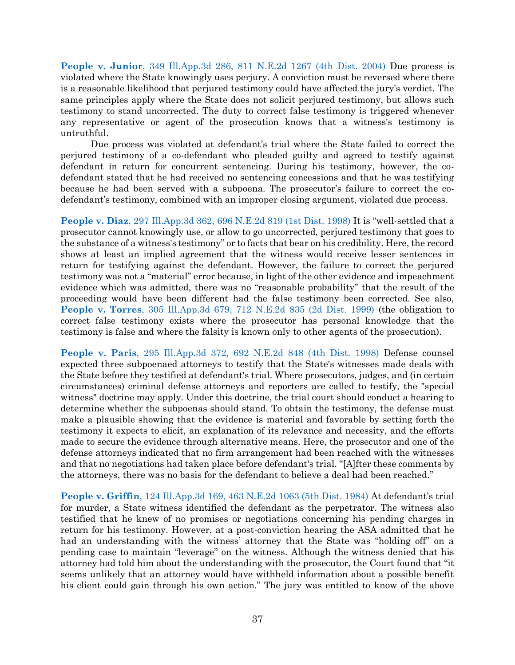**People v. Junior**[, 349 Ill.App.3d 286, 811 N.E.2d 1267 \(4th Dist. 2004\)](https://www.westlaw.com/Document/Ia9f9ebedd45411d9a489ee624f1f6e1a/View/FullText.html?transitionType=Default&contextData=(sc.Default)&VR=3.0&RS=da3.0) Due process is violated where the State knowingly uses perjury. A conviction must be reversed where there is a reasonable likelihood that perjured testimony could have affected the jury's verdict. The same principles apply where the State does not solicit perjured testimony, but allows such testimony to stand uncorrected. The duty to correct false testimony is triggered whenever any representative or agent of the prosecution knows that a witness's testimony is untruthful.

Due process was violated at defendant's trial where the State failed to correct the perjured testimony of a co-defendant who pleaded guilty and agreed to testify against defendant in return for concurrent sentencing. During his testimony, however, the codefendant stated that he had received no sentencing concessions and that he was testifying because he had been served with a subpoena. The prosecutor's failure to correct the codefendant's testimony, combined with an improper closing argument, violated due process.

**People v. Diaz**[, 297 Ill.App.3d 362, 696 N.E.2d 819 \(1st Dist. 1998\)](https://www.westlaw.com/Document/Ic051c53ad3c611d98ac8f235252e36df/View/FullText.html?transitionType=Default&contextData=(sc.Default)&VR=3.0&RS=da3.0) It is "well-settled that a prosecutor cannot knowingly use, or allow to go uncorrected, perjured testimony that goes to the substance of a witness's testimony" or to facts that bear on his credibility. Here, the record shows at least an implied agreement that the witness would receive lesser sentences in return for testifying against the defendant. However, the failure to correct the perjured testimony was not a "material" error because, in light of the other evidence and impeachment evidence which was admitted, there was no "reasonable probability" that the result of the proceeding would have been different had the false testimony been corrected. See also, **People v. Torres**[, 305 Ill.App.3d 679, 712 N.E.2d 835 \(2d Dist. 1999\)](https://www.westlaw.com/Document/I79f0b3f7d3a611d98ac8f235252e36df/View/FullText.html?transitionType=Default&contextData=(sc.Default)&VR=3.0&RS=da3.0) (the obligation to correct false testimony exists where the prosecutor has personal knowledge that the testimony is false and where the falsity is known only to other agents of the prosecution).

**People v. Paris**[, 295 Ill.App.3d 372, 692 N.E.2d 848 \(4th Dist. 1998\)](https://www.westlaw.com/Document/I11c28047d3ae11d9a489ee624f1f6e1a/View/FullText.html?transitionType=Default&contextData=(sc.Default)&VR=3.0&RS=da3.0) Defense counsel expected three subpoenaed attorneys to testify that the State's witnesses made deals with the State before they testified at defendant's trial. Where prosecutors, judges, and (in certain circumstances) criminal defense attorneys and reporters are called to testify, the "special witness" doctrine may apply. Under this doctrine, the trial court should conduct a hearing to determine whether the subpoenas should stand. To obtain the testimony, the defense must make a plausible showing that the evidence is material and favorable by setting forth the testimony it expects to elicit, an explanation of its relevance and necessity, and the efforts made to secure the evidence through alternative means. Here, the prosecutor and one of the defense attorneys indicated that no firm arrangement had been reached with the witnesses and that no negotiations had taken place before defendant's trial. "[A]fter these comments by the attorneys, there was no basis for the defendant to believe a deal had been reached."

**People v. Griffin**[, 124 Ill.App.3d 169, 463 N.E.2d 1063 \(5th Dist. 1984\)](https://www.westlaw.com/Document/I2f02e94dd37311d98ac8f235252e36df/View/FullText.html?transitionType=Default&contextData=(sc.Default)&VR=3.0&RS=da3.0) At defendant's trial for murder, a State witness identified the defendant as the perpetrator. The witness also testified that he knew of no promises or negotiations concerning his pending charges in return for his testimony. However, at a post-conviction hearing the ASA admitted that he had an understanding with the witness' attorney that the State was "holding off" on a pending case to maintain "leverage" on the witness. Although the witness denied that his attorney had told him about the understanding with the prosecutor, the Court found that "it seems unlikely that an attorney would have withheld information about a possible benefit his client could gain through his own action." The jury was entitled to know of the above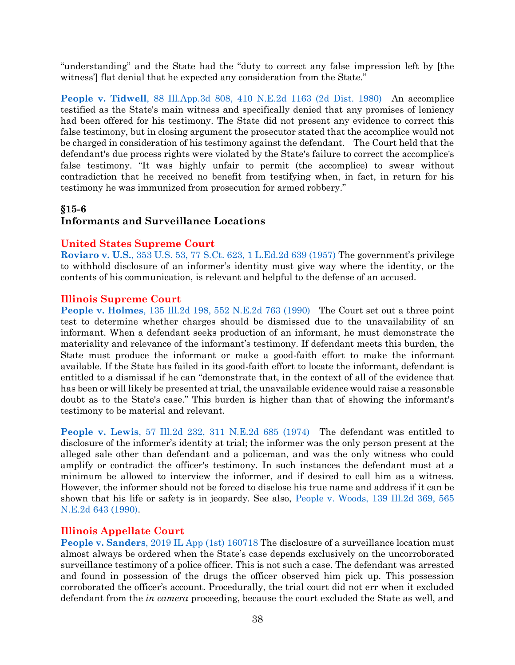"understanding" and the State had the "duty to correct any false impression left by [the witness'] flat denial that he expected any consideration from the State."

**People v. Tidwell**[, 88 Ill.App.3d 808, 410 N.E.2d 1163 \(2d Dist. 1980\)](https://www.westlaw.com/Document/I532723edd38711d98ac8f235252e36df/View/FullText.html?transitionType=Default&contextData=(sc.Default)&VR=3.0&RS=da3.0) An accomplice testified as the State's main witness and specifically denied that any promises of leniency had been offered for his testimony. The State did not present any evidence to correct this false testimony, but in closing argument the prosecutor stated that the accomplice would not be charged in consideration of his testimony against the defendant. The Court held that the defendant's due process rights were violated by the State's failure to correct the accomplice's false testimony. "It was highly unfair to permit (the accomplice) to swear without contradiction that he received no benefit from testifying when, in fact, in return for his testimony he was immunized from prosecution for armed robbery."

# <span id="page-38-0"></span>**§15-6 Informants and Surveillance Locations**

### **United States Supreme Court**

**Roviaro v. U.S.**[, 353 U.S. 53, 77 S.Ct. 623, 1 L.Ed.2d 639 \(1957\)](https://www.westlaw.com/Document/I72f02e359c9a11d991d0cc6b54f12d4d/View/FullText.html?transitionType=Default&contextData=(sc.Default)&VR=3.0&RS=da3.0) The government's privilege to withhold disclosure of an informer's identity must give way where the identity, or the contents of his communication, is relevant and helpful to the defense of an accused.

### **Illinois Supreme Court**

**People v. Holmes**[, 135 Ill.2d 198, 552 N.E.2d 763 \(1990\)](https://www.westlaw.com/Document/I6fa21f98d44811d98ac8f235252e36df/View/FullText.html?transitionType=Default&contextData=(sc.Default)&VR=3.0&RS=da3.0) The Court set out a three point test to determine whether charges should be dismissed due to the unavailability of an informant. When a defendant seeks production of an informant, he must demonstrate the materiality and relevance of the informant's testimony. If defendant meets this burden, the State must produce the informant or make a good-faith effort to make the informant available. If the State has failed in its good-faith effort to locate the informant, defendant is entitled to a dismissal if he can "demonstrate that, in the context of all of the evidence that has been or will likely be presented at trial, the unavailable evidence would raise a reasonable doubt as to the State's case." This burden is higher than that of showing the informant's testimony to be material and relevant.

**People v. Lewis**[, 57 Ill.2d 232, 311 N.E.2d 685 \(1974\)](https://www.westlaw.com/Document/I23e5fd32d94b11d983e7e9deff98dc6f/View/FullText.html?transitionType=Default&contextData=(sc.Default)&VR=3.0&RS=da3.0) The defendant was entitled to disclosure of the informer's identity at trial; the informer was the only person present at the alleged sale other than defendant and a policeman, and was the only witness who could amplify or contradict the officer's testimony. In such instances the defendant must at a minimum be allowed to interview the informer, and if desired to call him as a witness. However, the informer should not be forced to disclose his true name and address if it can be shown that his life or safety is in jeopardy. See also, [People v. Woods, 139 Ill.2d 369, 565](https://www.westlaw.com/Document/I4d94e6b9d44b11d9a489ee624f1f6e1a/View/FullText.html?transitionType=Default&contextData=(sc.Default)&VR=3.0&RS=da3.0)  [N.E.2d 643 \(1990\).](https://www.westlaw.com/Document/I4d94e6b9d44b11d9a489ee624f1f6e1a/View/FullText.html?transitionType=Default&contextData=(sc.Default)&VR=3.0&RS=da3.0)

### **Illinois Appellate Court**

**People v. Sanders**[, 2019 IL App \(1st\) 160718 T](https://www.westlaw.com/Document/I8b2a3d4096e111e9a3ecec4a01914b9c/View/FullText.html?transitionType=Default&contextData=(sc.Default)&VR=3.0&RS=da3.0)he disclosure of a surveillance location must almost always be ordered when the State's case depends exclusively on the uncorroborated surveillance testimony of a police officer. This is not such a case. The defendant was arrested and found in possession of the drugs the officer observed him pick up. This possession corroborated the officer's account. Procedurally, the trial court did not err when it excluded defendant from the *in camera* proceeding, because the court excluded the State as well, and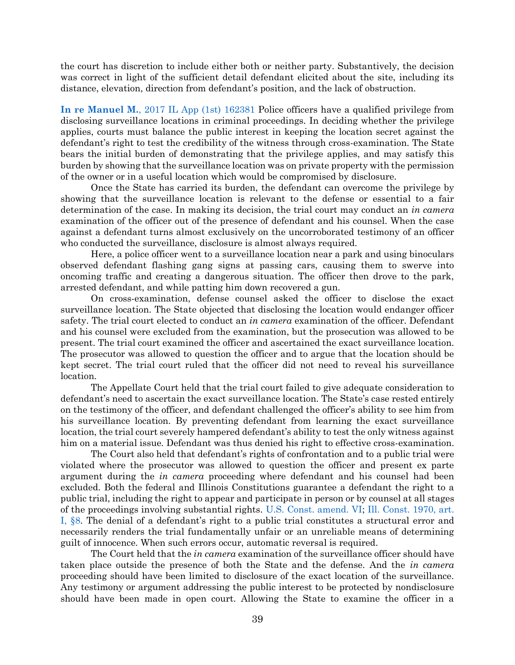the court has discretion to include either both or neither party. Substantively, the decision was correct in light of the sufficient detail defendant elicited about the site, including its distance, elevation, direction from defendant's position, and the lack of obstruction.

**In re Manuel M.**[, 2017 IL App \(1st\) 162381](https://www.westlaw.com/Link/Document/FullText?cite=2017ILA1PDC162381&VR=3.0&RS=da3.0) Police officers have a qualified privilege from disclosing surveillance locations in criminal proceedings. In deciding whether the privilege applies, courts must balance the public interest in keeping the location secret against the defendant's right to test the credibility of the witness through cross-examination. The State bears the initial burden of demonstrating that the privilege applies, and may satisfy this burden by showing that the surveillance location was on private property with the permission of the owner or in a useful location which would be compromised by disclosure.

Once the State has carried its burden, the defendant can overcome the privilege by showing that the surveillance location is relevant to the defense or essential to a fair determination of the case. In making its decision, the trial court may conduct an *in camera* examination of the officer out of the presence of defendant and his counsel. When the case against a defendant turns almost exclusively on the uncorroborated testimony of an officer who conducted the surveillance, disclosure is almost always required.

Here, a police officer went to a surveillance location near a park and using binoculars observed defendant flashing gang signs at passing cars, causing them to swerve into oncoming traffic and creating a dangerous situation. The officer then drove to the park, arrested defendant, and while patting him down recovered a gun.

On cross-examination, defense counsel asked the officer to disclose the exact surveillance location. The State objected that disclosing the location would endanger officer safety. The trial court elected to conduct an *in camera* examination of the officer. Defendant and his counsel were excluded from the examination, but the prosecution was allowed to be present. The trial court examined the officer and ascertained the exact surveillance location. The prosecutor was allowed to question the officer and to argue that the location should be kept secret. The trial court ruled that the officer did not need to reveal his surveillance location.

The Appellate Court held that the trial court failed to give adequate consideration to defendant's need to ascertain the exact surveillance location. The State's case rested entirely on the testimony of the officer, and defendant challenged the officer's ability to see him from his surveillance location. By preventing defendant from learning the exact surveillance location, the trial court severely hampered defendant's ability to test the only witness against him on a material issue. Defendant was thus denied his right to effective cross-examination.

The Court also held that defendant's rights of confrontation and to a public trial were violated where the prosecutor was allowed to question the officer and present ex parte argument during the *in camera* proceeding where defendant and his counsel had been excluded. Both the federal and Illinois Constitutions guarantee a defendant the right to a public trial, including the right to appear and participate in person or by counsel at all stages of the proceedings involving substantial rights. [U.S. Const. amend. VI;](https://www.westlaw.com/Document/N9EBD71B09DFA11D8A63DAA9EBCE8FE5A/View/FullText.html?transitionType=Default&contextData=(sc.Default)&VR=3.0&RS=da3.0) [Ill. Const. 1970, art.](https://www.westlaw.com/Document/N7AF8E580DAEC11DA9F00E4F82CEBF25B/View/FullText.html?transitionType=Default&contextData=(sc.Default)&VR=3.0&RS=da3.0)  [I, §8](https://www.westlaw.com/Document/N7AF8E580DAEC11DA9F00E4F82CEBF25B/View/FullText.html?transitionType=Default&contextData=(sc.Default)&VR=3.0&RS=da3.0). The denial of a defendant's right to a public trial constitutes a structural error and necessarily renders the trial fundamentally unfair or an unreliable means of determining guilt of innocence. When such errors occur, automatic reversal is required.

The Court held that the *in camera* examination of the surveillance officer should have taken place outside the presence of both the State and the defense. And the *in camera* proceeding should have been limited to disclosure of the exact location of the surveillance. Any testimony or argument addressing the public interest to be protected by nondisclosure should have been made in open court. Allowing the State to examine the officer in a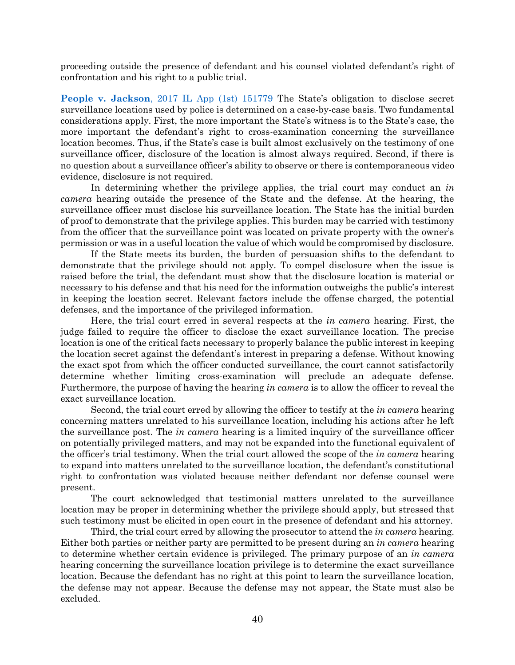proceeding outside the presence of defendant and his counsel violated defendant's right of confrontation and his right to a public trial.

**People v. Jackson**[, 2017 IL App \(1st\) 151779](https://www.westlaw.com/Document/Ibf2df100cbf311e7adf1d38c358a4230/View/FullText.html?transitionType=Default&contextData=(sc.Default)&VR=3.0&RS=da3.0) The State's obligation to disclose secret surveillance locations used by police is determined on a case-by-case basis. Two fundamental considerations apply. First, the more important the State's witness is to the State's case, the more important the defendant's right to cross-examination concerning the surveillance location becomes. Thus, if the State's case is built almost exclusively on the testimony of one surveillance officer, disclosure of the location is almost always required. Second, if there is no question about a surveillance officer's ability to observe or there is contemporaneous video evidence, disclosure is not required.

In determining whether the privilege applies, the trial court may conduct an *in camera* hearing outside the presence of the State and the defense. At the hearing, the surveillance officer must disclose his surveillance location. The State has the initial burden of proof to demonstrate that the privilege applies. This burden may be carried with testimony from the officer that the surveillance point was located on private property with the owner's permission or was in a useful location the value of which would be compromised by disclosure.

If the State meets its burden, the burden of persuasion shifts to the defendant to demonstrate that the privilege should not apply. To compel disclosure when the issue is raised before the trial, the defendant must show that the disclosure location is material or necessary to his defense and that his need for the information outweighs the public's interest in keeping the location secret. Relevant factors include the offense charged, the potential defenses, and the importance of the privileged information.

Here, the trial court erred in several respects at the *in camera* hearing. First, the judge failed to require the officer to disclose the exact surveillance location. The precise location is one of the critical facts necessary to properly balance the public interest in keeping the location secret against the defendant's interest in preparing a defense. Without knowing the exact spot from which the officer conducted surveillance, the court cannot satisfactorily determine whether limiting cross-examination will preclude an adequate defense. Furthermore, the purpose of having the hearing *in camera* is to allow the officer to reveal the exact surveillance location.

Second, the trial court erred by allowing the officer to testify at the *in camera* hearing concerning matters unrelated to his surveillance location, including his actions after he left the surveillance post. The *in camera* hearing is a limited inquiry of the surveillance officer on potentially privileged matters, and may not be expanded into the functional equivalent of the officer's trial testimony. When the trial court allowed the scope of the *in camera* hearing to expand into matters unrelated to the surveillance location, the defendant's constitutional right to confrontation was violated because neither defendant nor defense counsel were present.

The court acknowledged that testimonial matters unrelated to the surveillance location may be proper in determining whether the privilege should apply, but stressed that such testimony must be elicited in open court in the presence of defendant and his attorney.

Third, the trial court erred by allowing the prosecutor to attend the *in camera* hearing. Either both parties or neither party are permitted to be present during an *in camera* hearing to determine whether certain evidence is privileged. The primary purpose of an *in camera* hearing concerning the surveillance location privilege is to determine the exact surveillance location. Because the defendant has no right at this point to learn the surveillance location, the defense may not appear. Because the defense may not appear, the State must also be excluded.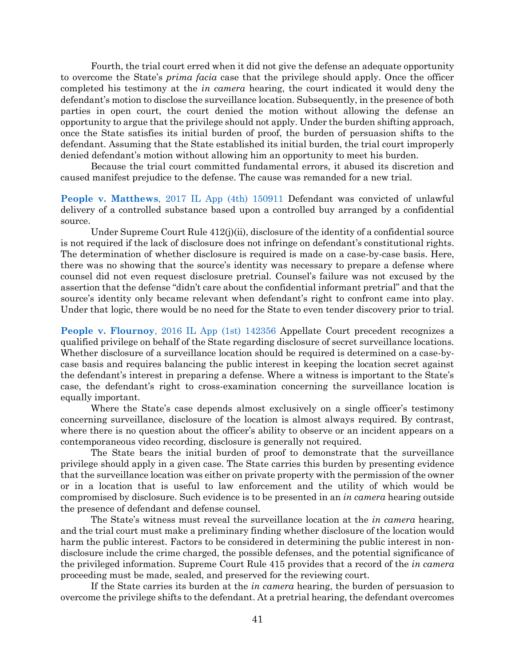Fourth, the trial court erred when it did not give the defense an adequate opportunity to overcome the State's *prima facia* case that the privilege should apply. Once the officer completed his testimony at the *in camera* hearing, the court indicated it would deny the defendant's motion to disclose the surveillance location. Subsequently, in the presence of both parties in open court, the court denied the motion without allowing the defense an opportunity to argue that the privilege should not apply. Under the burden shifting approach, once the State satisfies its initial burden of proof, the burden of persuasion shifts to the defendant. Assuming that the State established its initial burden, the trial court improperly denied defendant's motion without allowing him an opportunity to meet his burden.

Because the trial court committed fundamental errors, it abused its discretion and caused manifest prejudice to the defense. The cause was remanded for a new trial.

**People v. Matthews**[, 2017 IL App \(4th\) 150911](https://www.westlaw.com/Document/Icb5b4540e52011e7929ecf6e705a87cd/View/FullText.html?transitionType=Default&contextData=(sc.Default)&VR=3.0&RS=da3.0) Defendant was convicted of unlawful delivery of a controlled substance based upon a controlled buy arranged by a confidential source.

Under Supreme Court Rule 412(j)(ii), disclosure of the identity of a confidential source is not required if the lack of disclosure does not infringe on defendant's constitutional rights. The determination of whether disclosure is required is made on a case-by-case basis. Here, there was no showing that the source's identity was necessary to prepare a defense where counsel did not even request disclosure pretrial. Counsel's failure was not excused by the assertion that the defense "didn't care about the confidential informant pretrial" and that the source's identity only became relevant when defendant's right to confront came into play. Under that logic, there would be no need for the State to even tender discovery prior to trial.

**People v. Flournoy**[, 2016 IL App \(1st\) 142356](https://www.westlaw.com/Document/I0794e6a7a4ea11e6bfb79a463a4b3bc7/View/FullText.html?transitionType=Default&contextData=(sc.Default)&VR=3.0&RS=da3.0) Appellate Court precedent recognizes a qualified privilege on behalf of the State regarding disclosure of secret surveillance locations. Whether disclosure of a surveillance location should be required is determined on a case-bycase basis and requires balancing the public interest in keeping the location secret against the defendant's interest in preparing a defense. Where a witness is important to the State's case, the defendant's right to cross-examination concerning the surveillance location is equally important.

Where the State's case depends almost exclusively on a single officer's testimony concerning surveillance, disclosure of the location is almost always required. By contrast, where there is no question about the officer's ability to observe or an incident appears on a contemporaneous video recording, disclosure is generally not required.

The State bears the initial burden of proof to demonstrate that the surveillance privilege should apply in a given case. The State carries this burden by presenting evidence that the surveillance location was either on private property with the permission of the owner or in a location that is useful to law enforcement and the utility of which would be compromised by disclosure. Such evidence is to be presented in an *in camera* hearing outside the presence of defendant and defense counsel.

The State's witness must reveal the surveillance location at the *in camera* hearing, and the trial court must make a preliminary finding whether disclosure of the location would harm the public interest. Factors to be considered in determining the public interest in nondisclosure include the crime charged, the possible defenses, and the potential significance of the privileged information. Supreme Court Rule 415 provides that a record of the *in camera* proceeding must be made, sealed, and preserved for the reviewing court.

If the State carries its burden at the *in camera* hearing, the burden of persuasion to overcome the privilege shifts to the defendant. At a pretrial hearing, the defendant overcomes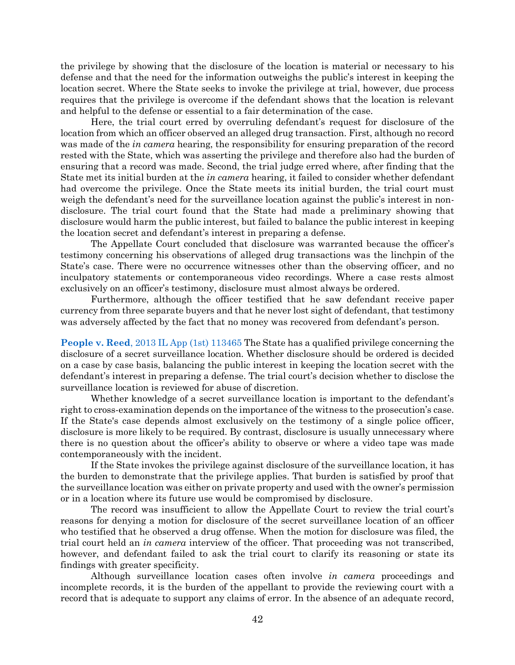the privilege by showing that the disclosure of the location is material or necessary to his defense and that the need for the information outweighs the public's interest in keeping the location secret. Where the State seeks to invoke the privilege at trial, however, due process requires that the privilege is overcome if the defendant shows that the location is relevant and helpful to the defense or essential to a fair determination of the case.

Here, the trial court erred by overruling defendant's request for disclosure of the location from which an officer observed an alleged drug transaction. First, although no record was made of the *in camera* hearing, the responsibility for ensuring preparation of the record rested with the State, which was asserting the privilege and therefore also had the burden of ensuring that a record was made. Second, the trial judge erred where, after finding that the State met its initial burden at the *in camera* hearing, it failed to consider whether defendant had overcome the privilege. Once the State meets its initial burden, the trial court must weigh the defendant's need for the surveillance location against the public's interest in nondisclosure. The trial court found that the State had made a preliminary showing that disclosure would harm the public interest, but failed to balance the public interest in keeping the location secret and defendant's interest in preparing a defense.

The Appellate Court concluded that disclosure was warranted because the officer's testimony concerning his observations of alleged drug transactions was the linchpin of the State's case. There were no occurrence witnesses other than the observing officer, and no inculpatory statements or contemporaneous video recordings. Where a case rests almost exclusively on an officer's testimony, disclosure must almost always be ordered.

Furthermore, although the officer testified that he saw defendant receive paper currency from three separate buyers and that he never lost sight of defendant, that testimony was adversely affected by the fact that no money was recovered from defendant's person.

**People v. Reed**[, 2013 IL App \(1st\) 113465](https://www.westlaw.com/Document/Ied450a7073b011e39ac8bab74931929c/View/FullText.html?transitionType=Default&contextData=(sc.Default)&VR=3.0&RS=da3.0) The State has a qualified privilege concerning the disclosure of a secret surveillance location. Whether disclosure should be ordered is decided on a case by case basis, balancing the public interest in keeping the location secret with the defendant's interest in preparing a defense. The trial court's decision whether to disclose the surveillance location is reviewed for abuse of discretion.

Whether knowledge of a secret surveillance location is important to the defendant's right to cross-examination depends on the importance of the witness to the prosecution's case. If the State's case depends almost exclusively on the testimony of a single police officer, disclosure is more likely to be required. By contrast, disclosure is usually unnecessary where there is no question about the officer's ability to observe or where a video tape was made contemporaneously with the incident.

If the State invokes the privilege against disclosure of the surveillance location, it has the burden to demonstrate that the privilege applies. That burden is satisfied by proof that the surveillance location was either on private property and used with the owner's permission or in a location where its future use would be compromised by disclosure.

The record was insufficient to allow the Appellate Court to review the trial court's reasons for denying a motion for disclosure of the secret surveillance location of an officer who testified that he observed a drug offense. When the motion for disclosure was filed, the trial court held an *in camera* interview of the officer. That proceeding was not transcribed, however, and defendant failed to ask the trial court to clarify its reasoning or state its findings with greater specificity.

Although surveillance location cases often involve *in camera* proceedings and incomplete records, it is the burden of the appellant to provide the reviewing court with a record that is adequate to support any claims of error. In the absence of an adequate record,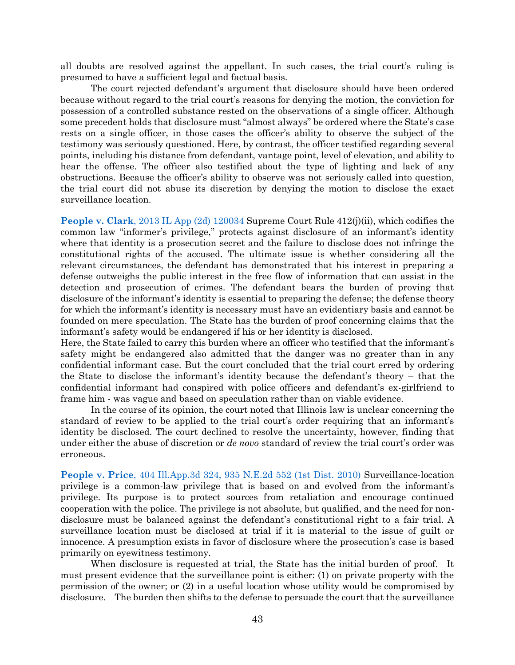all doubts are resolved against the appellant. In such cases, the trial court's ruling is presumed to have a sufficient legal and factual basis.

The court rejected defendant's argument that disclosure should have been ordered because without regard to the trial court's reasons for denying the motion, the conviction for possession of a controlled substance rested on the observations of a single officer. Although some precedent holds that disclosure must "almost always" be ordered where the State's case rests on a single officer, in those cases the officer's ability to observe the subject of the testimony was seriously questioned. Here, by contrast, the officer testified regarding several points, including his distance from defendant, vantage point, level of elevation, and ability to hear the offense. The officer also testified about the type of lighting and lack of any obstructions. Because the officer's ability to observe was not seriously called into question, the trial court did not abuse its discretion by denying the motion to disclose the exact surveillance location.

**People v. Clark**[, 2013 IL App \(2d\) 120034](https://www.westlaw.com/Document/I2bcc0f3698f111e2a160cacff148223f/View/FullText.html?transitionType=Default&contextData=(sc.Default)&VR=3.0&RS=da3.0) Supreme Court Rule 412(j)(ii), which codifies the common law "informer's privilege," protects against disclosure of an informant's identity where that identity is a prosecution secret and the failure to disclose does not infringe the constitutional rights of the accused. The ultimate issue is whether considering all the relevant circumstances, the defendant has demonstrated that his interest in preparing a defense outweighs the public interest in the free flow of information that can assist in the detection and prosecution of crimes. The defendant bears the burden of proving that disclosure of the informant's identity is essential to preparing the defense; the defense theory for which the informant's identity is necessary must have an evidentiary basis and cannot be founded on mere speculation. The State has the burden of proof concerning claims that the informant's safety would be endangered if his or her identity is disclosed.

Here, the State failed to carry this burden where an officer who testified that the informant's safety might be endangered also admitted that the danger was no greater than in any confidential informant case. But the court concluded that the trial court erred by ordering the State to disclose the informant's identity because the defendant's theory – that the confidential informant had conspired with police officers and defendant's ex-girlfriend to frame him - was vague and based on speculation rather than on viable evidence.

In the course of its opinion, the court noted that Illinois law is unclear concerning the standard of review to be applied to the trial court's order requiring that an informant's identity be disclosed. The court declined to resolve the uncertainty, however, finding that under either the abuse of discretion or *de novo* standard of review the trial court's order was erroneous.

**People v. Price**[, 404 Ill.App.3d 324, 935 N.E.2d 552 \(1st Dist. 2010\)](https://www.westlaw.com/Document/I690c379eb77111df952a80d2993fba83/View/FullText.html?transitionType=Default&contextData=(sc.Default)&VR=3.0&RS=da3.0) Surveillance-location privilege is a common-law privilege that is based on and evolved from the informant's privilege. Its purpose is to protect sources from retaliation and encourage continued cooperation with the police. The privilege is not absolute, but qualified, and the need for nondisclosure must be balanced against the defendant's constitutional right to a fair trial. A surveillance location must be disclosed at trial if it is material to the issue of guilt or innocence. A presumption exists in favor of disclosure where the prosecution's case is based primarily on eyewitness testimony.

When disclosure is requested at trial, the State has the initial burden of proof. It must present evidence that the surveillance point is either: (1) on private property with the permission of the owner; or (2) in a useful location whose utility would be compromised by disclosure. The burden then shifts to the defense to persuade the court that the surveillance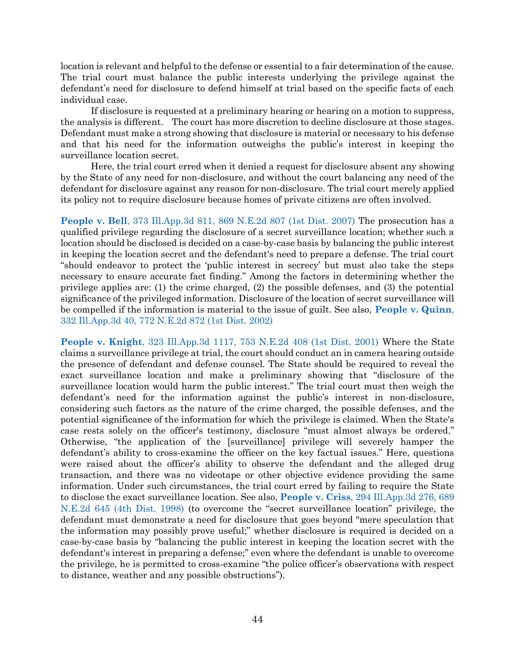location is relevant and helpful to the defense or essential to a fair determination of the cause. The trial court must balance the public interests underlying the privilege against the defendant's need for disclosure to defend himself at trial based on the specific facts of each individual case.

If disclosure is requested at a preliminary hearing or hearing on a motion to suppress, the analysis is different. The court has more discretion to decline disclosure at those stages. Defendant must make a strong showing that disclosure is material or necessary to his defense and that his need for the information outweighs the public's interest in keeping the surveillance location secret.

Here, the trial court erred when it denied a request for disclosure absent any showing by the State of any need for non-disclosure, and without the court balancing any need of the defendant for disclosure against any reason for non-disclosure. The trial court merely applied its policy not to require disclosure because homes of private citizens are often involved.

**People v. Bell**[, 373 Ill.App.3d 811, 869 N.E.2d 807 \(1st Dist. 2007\)](https://www.westlaw.com/Document/I5ed77e3802d611dcb92c924f6a2d2928/View/FullText.html?transitionType=Default&contextData=(sc.Default)&VR=3.0&RS=da3.0) The prosecution has a qualified privilege regarding the disclosure of a secret surveillance location; whether such a location should be disclosed is decided on a case-by-case basis by balancing the public interest in keeping the location secret and the defendant's need to prepare a defense. The trial court "should endeavor to protect the 'public interest in secrecy' but must also take the steps necessary to ensure accurate fact finding." Among the factors in determining whether the privilege applies are: (1) the crime charged, (2) the possible defenses, and (3) the potential significance of the privileged information. Disclosure of the location of secret surveillance will be compelled if the information is material to the issue of guilt. See also, **[People v. Quinn](https://www.westlaw.com/Document/I37510bfbd39011d99439b076ef9ec4de/View/FullText.html?transitionType=Default&contextData=(sc.Default)&VR=3.0&RS=da3.0)**, [332 Ill.App.3d 40, 772 N.E.2d 872 \(1st Dist. 2002\)](https://www.westlaw.com/Document/I37510bfbd39011d99439b076ef9ec4de/View/FullText.html?transitionType=Default&contextData=(sc.Default)&VR=3.0&RS=da3.0)

**People v. Knight**[, 323 Ill.App.3d 1117, 753 N.E.2d 408 \(1st Dist. 2001\)](https://www.westlaw.com/Document/Ia7956384d39a11d99439b076ef9ec4de/View/FullText.html?transitionType=Default&contextData=(sc.Default)&VR=3.0&RS=da3.0) Where the State claims a surveillance privilege at trial, the court should conduct an in camera hearing outside the presence of defendant and defense counsel. The State should be required to reveal the exact surveillance location and make a preliminary showing that "disclosure of the surveillance location would harm the public interest." The trial court must then weigh the defendant's need for the information against the public's interest in non-disclosure, considering such factors as the nature of the crime charged, the possible defenses, and the potential significance of the information for which the privilege is claimed. When the State's case rests solely on the officer's testimony, disclosure "must almost always be ordered." Otherwise, "the application of the [surveillance] privilege will severely hamper the defendant's ability to cross-examine the officer on the key factual issues." Here, questions were raised about the officer's ability to observe the defendant and the alleged drug transaction, and there was no videotape or other objective evidence providing the same information. Under such circumstances, the trial court erred by failing to require the State to disclose the exact surveillance location. See also, **People v. Criss**[, 294 Ill.App.3d 276, 689](https://www.westlaw.com/Document/Ibb20e0bed3ac11d983e7e9deff98dc6f/View/FullText.html?transitionType=Default&contextData=(sc.Default)&VR=3.0&RS=da3.0)  [N.E.2d 645 \(4th Dist. 1998\)](https://www.westlaw.com/Document/Ibb20e0bed3ac11d983e7e9deff98dc6f/View/FullText.html?transitionType=Default&contextData=(sc.Default)&VR=3.0&RS=da3.0) (to overcome the "secret surveillance location" privilege, the defendant must demonstrate a need for disclosure that goes beyond "mere speculation that the information may possibly prove useful;" whether disclosure is required is decided on a case-by-case basis by "balancing the public interest in keeping the location secret with the defendant's interest in preparing a defense;" even where the defendant is unable to overcome the privilege, he is permitted to cross-examine "the police officer's observations with respect to distance, weather and any possible obstructions").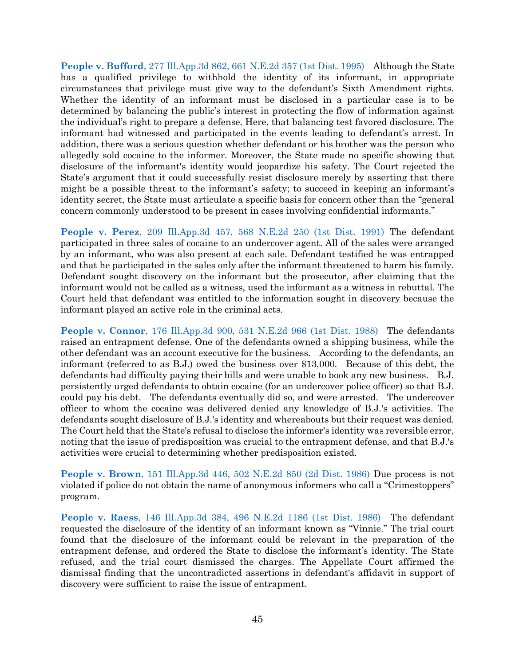**People v. Bufford**[, 277 Ill.App.3d 862, 661 N.E.2d 357 \(1st Dist. 1995\)](https://www.westlaw.com/Document/Icf885cb6d3d711d98ac8f235252e36df/View/FullText.html?transitionType=Default&contextData=(sc.Default)&VR=3.0&RS=da3.0) Although the State has a qualified privilege to withhold the identity of its informant, in appropriate circumstances that privilege must give way to the defendant's Sixth Amendment rights. Whether the identity of an informant must be disclosed in a particular case is to be determined by balancing the public's interest in protecting the flow of information against the individual's right to prepare a defense. Here, that balancing test favored disclosure. The informant had witnessed and participated in the events leading to defendant's arrest. In addition, there was a serious question whether defendant or his brother was the person who allegedly sold cocaine to the informer. Moreover, the State made no specific showing that disclosure of the informant's identity would jeopardize his safety. The Court rejected the State's argument that it could successfully resist disclosure merely by asserting that there might be a possible threat to the informant's safety; to succeed in keeping an informant's identity secret, the State must articulate a specific basis for concern other than the "general concern commonly understood to be present in cases involving confidential informants."

**People v. Perez**[, 209 Ill.App.3d 457, 568 N.E.2d 250 \(1st Dist. 1991\)](https://www.westlaw.com/Document/I50b4b451d43711d99439b076ef9ec4de/View/FullText.html?transitionType=Default&contextData=(sc.Default)&VR=3.0&RS=da3.0) The defendant participated in three sales of cocaine to an undercover agent. All of the sales were arranged by an informant, who was also present at each sale. Defendant testified he was entrapped and that he participated in the sales only after the informant threatened to harm his family. Defendant sought discovery on the informant but the prosecutor, after claiming that the informant would not be called as a witness, used the informant as a witness in rebuttal. The Court held that defendant was entitled to the information sought in discovery because the informant played an active role in the criminal acts.

**People v. Connor**[, 176 Ill.App.3d 900, 531 N.E.2d 966 \(1st Dist. 1988\)](https://www.westlaw.com/Document/I2ca4924ad34411d9a489ee624f1f6e1a/View/FullText.html?transitionType=Default&contextData=(sc.Default)&VR=3.0&RS=da3.0) The defendants raised an entrapment defense. One of the defendants owned a shipping business, while the other defendant was an account executive for the business. According to the defendants, an informant (referred to as B.J.) owed the business over \$13,000. Because of this debt, the defendants had difficulty paying their bills and were unable to book any new business. B.J. persistently urged defendants to obtain cocaine (for an undercover police officer) so that B.J. could pay his debt. The defendants eventually did so, and were arrested. The undercover officer to whom the cocaine was delivered denied any knowledge of B.J.'s activities. The defendants sought disclosure of B.J.'s identity and whereabouts but their request was denied. The Court held that the State's refusal to disclose the informer's identity was reversible error, noting that the issue of predisposition was crucial to the entrapment defense, and that B.J.'s activities were crucial to determining whether predisposition existed.

**People v. Brown**[, 151 Ill.App.3d 446, 502 N.E.2d 850 \(2d Dist. 1986\)](https://www.westlaw.com/Document/Ia5bd1b45d33d11d983e7e9deff98dc6f/View/FullText.html?transitionType=Default&contextData=(sc.Default)&VR=3.0&RS=da3.0) Due process is not violated if police do not obtain the name of anonymous informers who call a "Crimestoppers" program.

**People v. Raess**[, 146 Ill.App.3d 384, 496 N.E.2d 1186 \(1st Dist. 1986\)](https://www.westlaw.com/Document/I2efafa03d37311d98ac8f235252e36df/View/FullText.html?transitionType=Default&contextData=(sc.Default)&VR=3.0&RS=da3.0) The defendant requested the disclosure of the identity of an informant known as "Vinnie." The trial court found that the disclosure of the informant could be relevant in the preparation of the entrapment defense, and ordered the State to disclose the informant's identity. The State refused, and the trial court dismissed the charges. The Appellate Court affirmed the dismissal finding that the uncontradicted assertions in defendant's affidavit in support of discovery were sufficient to raise the issue of entrapment.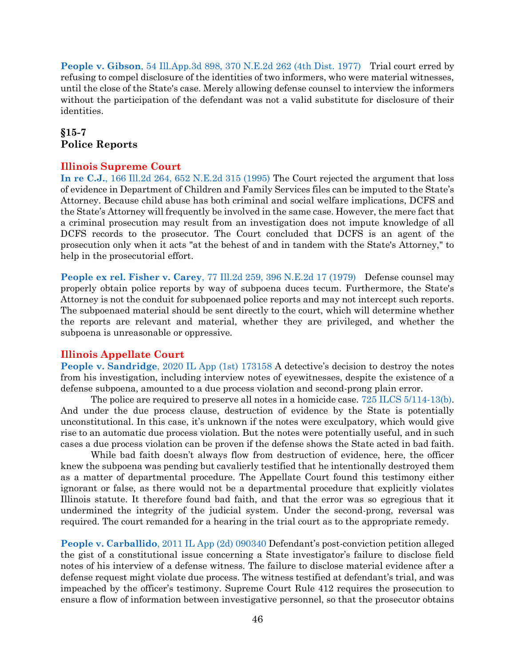**People v. Gibson**[, 54 Ill.App.3d 898, 370 N.E.2d 262 \(4th Dist. 1977\)](https://www.westlaw.com/Document/I792db733d93a11d9bf60c1d57ebc853e/View/FullText.html?transitionType=Default&contextData=(sc.Default)&VR=3.0&RS=da3.0) Trial court erred by refusing to compel disclosure of the identities of two informers, who were material witnesses, until the close of the State's case. Merely allowing defense counsel to interview the informers without the participation of the defendant was not a valid substitute for disclosure of their identities.

# <span id="page-46-0"></span>**§15-7 Police Reports**

#### **Illinois Supreme Court**

**In re C.J.**[, 166 Ill.2d 264, 652 N.E.2d 315 \(1995\)](https://www.westlaw.com/Document/I3279f5cad3c211d9a489ee624f1f6e1a/View/FullText.html?transitionType=Default&contextData=(sc.Default)&VR=3.0&RS=da3.0) The Court rejected the argument that loss of evidence in Department of Children and Family Services files can be imputed to the State's Attorney. Because child abuse has both criminal and social welfare implications, DCFS and the State's Attorney will frequently be involved in the same case. However, the mere fact that a criminal prosecution may result from an investigation does not impute knowledge of all DCFS records to the prosecutor. The Court concluded that DCFS is an agent of the prosecution only when it acts "at the behest of and in tandem with the State's Attorney," to help in the prosecutorial effort.

**People ex rel. Fisher v. Carey**[, 77 Ill.2d 259, 396 N.E.2d 17 \(1979\)](https://www.westlaw.com/Document/If90be565d91411d983e7e9deff98dc6f/View/FullText.html?transitionType=Default&contextData=(sc.Default)&VR=3.0&RS=da3.0) Defense counsel may properly obtain police reports by way of subpoena duces tecum. Furthermore, the State's Attorney is not the conduit for subpoenaed police reports and may not intercept such reports. The subpoenaed material should be sent directly to the court, which will determine whether the reports are relevant and material, whether they are privileged, and whether the subpoena is unreasonable or oppressive.

### **Illinois Appellate Court**

**People v. Sandridge**[, 2020 IL App \(1st\) 173158](https://www.westlaw.com/Document/Id322a490b80d11eabb91c2e2bc8b49a5/View/FullText.html?transitionType=Default&contextData=(sc.Default)&VR=3.0&RS=da3.0) A detective's decision to destroy the notes from his investigation, including interview notes of eyewitnesses, despite the existence of a defense subpoena, amounted to a due process violation and second-prong plain error.

The police are required to preserve all notes in a homicide case. [725 ILCS 5/114-13\(b\).](https://www.westlaw.com/Document/NDFCE47F0DAFD11DA9F00E4F82CEBF25B/View/FullText.html?transitionType=Default&contextData=(sc.Default)&VR=3.0&RS=da3.0) And under the due process clause, destruction of evidence by the State is potentially unconstitutional. In this case, it's unknown if the notes were exculpatory, which would give rise to an automatic due process violation. But the notes were potentially useful, and in such cases a due process violation can be proven if the defense shows the State acted in bad faith.

While bad faith doesn't always flow from destruction of evidence, here, the officer knew the subpoena was pending but cavalierly testified that he intentionally destroyed them as a matter of departmental procedure. The Appellate Court found this testimony either ignorant or false, as there would not be a departmental procedure that explicitly violates Illinois statute. It therefore found bad faith, and that the error was so egregious that it undermined the integrity of the judicial system. Under the second-prong, reversal was required. The court remanded for a hearing in the trial court as to the appropriate remedy.

**People v. Carballido**[, 2011 IL App \(2d\) 090340](https://www.westlaw.com/Document/I2d44866855fc11e0af6af9916f973d19/View/FullText.html?transitionType=Default&contextData=(sc.Default)&VR=3.0&RS=da3.0) Defendant's post-conviction petition alleged the gist of a constitutional issue concerning a State investigator's failure to disclose field notes of his interview of a defense witness. The failure to disclose material evidence after a defense request might violate due process. The witness testified at defendant's trial, and was impeached by the officer's testimony. Supreme Court Rule 412 requires the prosecution to ensure a flow of information between investigative personnel, so that the prosecutor obtains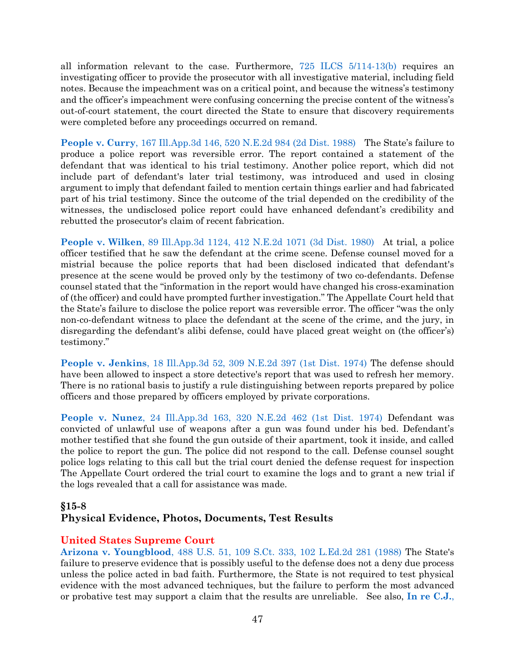all information relevant to the case. Furthermore, [725 ILCS 5/114-13\(b\)](https://www.westlaw.com/Document/NDFCE47F0DAFD11DA9F00E4F82CEBF25B/View/FullText.html?transitionType=Default&contextData=(sc.Default)&VR=3.0&RS=da3.0) requires an investigating officer to provide the prosecutor with all investigative material, including field notes. Because the impeachment was on a critical point, and because the witness's testimony and the officer's impeachment were confusing concerning the precise content of the witness's out-of-court statement, the court directed the State to ensure that discovery requirements were completed before any proceedings occurred on remand.

**People v. Curry**[, 167 Ill.App.3d 146, 520 N.E.2d 984 \(2d Dist. 1988\)](https://www.westlaw.com/Document/I3585058ad34311d9bf60c1d57ebc853e/View/FullText.html?transitionType=Default&contextData=(sc.Default)&VR=3.0&RS=da3.0) The State's failure to produce a police report was reversible error. The report contained a statement of the defendant that was identical to his trial testimony. Another police report, which did not include part of defendant's later trial testimony, was introduced and used in closing argument to imply that defendant failed to mention certain things earlier and had fabricated part of his trial testimony. Since the outcome of the trial depended on the credibility of the witnesses, the undisclosed police report could have enhanced defendant's credibility and rebutted the prosecutor's claim of recent fabrication.

**People v. Wilken**[, 89 Ill.App.3d 1124, 412 N.E.2d 1071 \(3d Dist. 1980\)](https://www.westlaw.com/Document/Ia3852018d35211d9bf60c1d57ebc853e/View/FullText.html?transitionType=Default&contextData=(sc.Default)&VR=3.0&RS=da3.0) At trial, a police officer testified that he saw the defendant at the crime scene. Defense counsel moved for a mistrial because the police reports that had been disclosed indicated that defendant's presence at the scene would be proved only by the testimony of two co-defendants. Defense counsel stated that the "information in the report would have changed his cross-examination of (the officer) and could have prompted further investigation." The Appellate Court held that the State's failure to disclose the police report was reversible error. The officer "was the only non-co-defendant witness to place the defendant at the scene of the crime, and the jury, in disregarding the defendant's alibi defense, could have placed great weight on (the officer's) testimony."

**People v. Jenkins**[, 18 Ill.App.3d 52, 309 N.E.2d 397 \(1st Dist. 1974\)](https://www.westlaw.com/Document/If67744e1de0311d983e7e9deff98dc6f/View/FullText.html?transitionType=Default&contextData=(sc.Default)&VR=3.0&RS=da3.0) The defense should have been allowed to inspect a store detective's report that was used to refresh her memory. There is no rational basis to justify a rule distinguishing between reports prepared by police officers and those prepared by officers employed by private corporations.

**People v. Nunez**[, 24 Ill.App.3d 163, 320 N.E.2d 462 \(1st Dist. 1974\)](https://www.westlaw.com/Document/I0c779d43d93511d98ac8f235252e36df/View/FullText.html?transitionType=Default&contextData=(sc.Default)&VR=3.0&RS=da3.0) Defendant was convicted of unlawful use of weapons after a gun was found under his bed. Defendant's mother testified that she found the gun outside of their apartment, took it inside, and called the police to report the gun. The police did not respond to the call. Defense counsel sought police logs relating to this call but the trial court denied the defense request for inspection The Appellate Court ordered the trial court to examine the logs and to grant a new trial if the logs revealed that a call for assistance was made.

### <span id="page-47-0"></span>**§15-8 Physical Evidence, Photos, Documents, Test Results**

# **United States Supreme Court**

**Arizona v. Youngblood**[, 488 U.S. 51, 109 S.Ct. 333, 102 L.Ed.2d 281 \(1988\)](https://www.westlaw.com/Document/I234f1ece9c1e11d9bdd1cfdd544ca3a4/View/FullText.html?transitionType=Default&contextData=(sc.Default)&VR=3.0&RS=da3.0) The State's failure to preserve evidence that is possibly useful to the defense does not a deny due process unless the police acted in bad faith. Furthermore, the State is not required to test physical evidence with the most advanced techniques, but the failure to perform the most advanced or probative test may support a claim that the results are unreliable. See also, **[In re C.J.](https://www.westlaw.com/Document/I3279f5cad3c211d9a489ee624f1f6e1a/View/FullText.html?transitionType=Default&contextData=(sc.Default)&VR=3.0&RS=da3.0)**,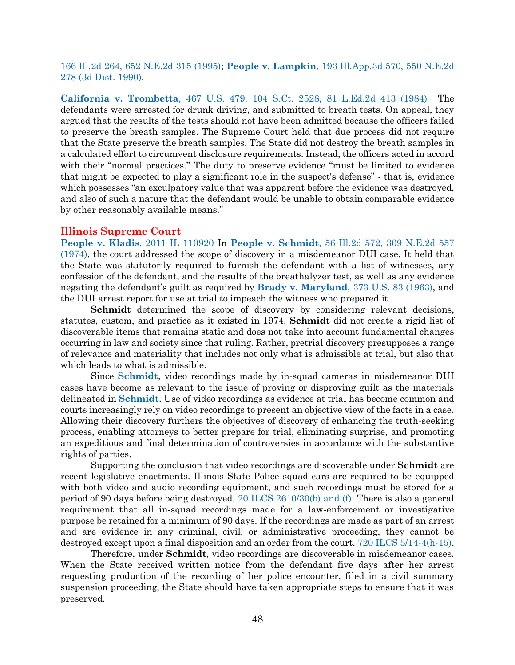[166 Ill.2d 264, 652 N.E.2d 315 \(1995\);](https://www.westlaw.com/Document/I3279f5cad3c211d9a489ee624f1f6e1a/View/FullText.html?transitionType=Default&contextData=(sc.Default)&VR=3.0&RS=da3.0) **People v. Lampkin**[, 193 Ill.App.3d 570, 550 N.E.2d](https://www.westlaw.com/Document/I540de1bbd44811d99439b076ef9ec4de/View/FullText.html?transitionType=Default&contextData=(sc.Default)&VR=3.0&RS=da3.0)  [278 \(3d Dist. 1990\).](https://www.westlaw.com/Document/I540de1bbd44811d99439b076ef9ec4de/View/FullText.html?transitionType=Default&contextData=(sc.Default)&VR=3.0&RS=da3.0)

**California v. Trombetta**[, 467 U.S. 479, 104 S.Ct. 2528, 81 L.Ed.2d 413 \(1984\)](https://www.westlaw.com/Document/I236629319c1e11d9bdd1cfdd544ca3a4/View/FullText.html?transitionType=Default&contextData=(sc.Default)&VR=3.0&RS=da3.0) The defendants were arrested for drunk driving, and submitted to breath tests. On appeal, they argued that the results of the tests should not have been admitted because the officers failed to preserve the breath samples. The Supreme Court held that due process did not require that the State preserve the breath samples. The State did not destroy the breath samples in a calculated effort to circumvent disclosure requirements. Instead, the officers acted in accord with their "normal practices." The duty to preserve evidence "must be limited to evidence that might be expected to play a significant role in the suspect's defense" - that is, evidence which possesses "an exculpatory value that was apparent before the evidence was destroyed, and also of such a nature that the defendant would be unable to obtain comparable evidence by other reasonably available means."

#### **Illinois Supreme Court**

**[People v. Kladis](https://www.westlaw.com/Document/I113ef895330811e1a1fbb12042fe3ee4/View/FullText.html?transitionType=Default&contextData=(sc.Default)&VR=3.0&RS=da3.0)**, 2011 IL 110920 In **People v. Schmidt**[, 56 Ill.2d 572, 309 N.E.2d 557](https://www.westlaw.com/Document/Ie4a61f3fce0911d9a489ee624f1f6e1a/View/FullText.html?transitionType=Default&contextData=(sc.Default)&VR=3.0&RS=da3.0)  [\(1974\),](https://www.westlaw.com/Document/Ie4a61f3fce0911d9a489ee624f1f6e1a/View/FullText.html?transitionType=Default&contextData=(sc.Default)&VR=3.0&RS=da3.0) the court addressed the scope of discovery in a misdemeanor DUI case. It held that the State was statutorily required to furnish the defendant with a list of witnesses, any confession of the defendant, and the results of the breathalyzer test, as well as any evidence negating the defendant's guilt as required by **[Brady v. Maryland](https://www.westlaw.com/Document/I236bf5969c1e11d9bdd1cfdd544ca3a4/View/FullText.html?transitionType=Default&contextData=(sc.Default)&VR=3.0&RS=da3.0)**, 373 U.S. 83 (1963), and the DUI arrest report for use at trial to impeach the witness who prepared it.

**Schmidt** determined the scope of discovery by considering relevant decisions, statutes, custom, and practice as it existed in 1974. **Schmidt** did not create a rigid list of discoverable items that remains static and does not take into account fundamental changes occurring in law and society since that ruling. Rather, pretrial discovery presupposes a range of relevance and materiality that includes not only what is admissible at trial, but also that which leads to what is admissible.

Since **[Schmidt](https://www.westlaw.com/Document/Ie4a61f3fce0911d9a489ee624f1f6e1a/View/FullText.html?transitionType=Default&contextData=(sc.Default)&VR=3.0&RS=da3.0)**, video recordings made by in-squad cameras in misdemeanor DUI cases have become as relevant to the issue of proving or disproving guilt as the materials delineated in **[Schmidt](https://www.westlaw.com/Document/Ie4a61f3fce0911d9a489ee624f1f6e1a/View/FullText.html?transitionType=Default&contextData=(sc.Default)&VR=3.0&RS=da3.0)**. Use of video recordings as evidence at trial has become common and courts increasingly rely on video recordings to present an objective view of the facts in a case. Allowing their discovery furthers the objectives of discovery of enhancing the truth-seeking process, enabling attorneys to better prepare for trial, eliminating surprise, and promoting an expeditious and final determination of controversies in accordance with the substantive rights of parties.

Supporting the conclusion that video recordings are discoverable under **Schmidt** are recent legislative enactments. Illinois State Police squad cars are required to be equipped with both video and audio recording equipment, and such recordings must be stored for a period of 90 days before being destroyed. [20 ILCS 2610/30\(b\) and \(f\).](https://www.westlaw.com/Document/N54824790CC5A11DD950CF413BE109009/View/FullText.html?transitionType=Default&contextData=(sc.Default)&VR=3.0&RS=da3.0) There is also a general requirement that all in-squad recordings made for a law-enforcement or investigative purpose be retained for a minimum of 90 days. If the recordings are made as part of an arrest and are evidence in any criminal, civil, or administrative proceeding, they cannot be destroyed except upon a final disposition and an order from the court. [720 ILCS 5/14-4\(h-15\).](https://www.westlaw.com/Document/N3ED431C0957A11E4AA00EA1B67EF9F8F/View/FullText.html?transitionType=Default&contextData=(sc.Default)&VR=3.0&RS=da3.0)

Therefore, under **Schmidt**, video recordings are discoverable in misdemeanor cases. When the State received written notice from the defendant five days after her arrest requesting production of the recording of her police encounter, filed in a civil summary suspension proceeding, the State should have taken appropriate steps to ensure that it was preserved.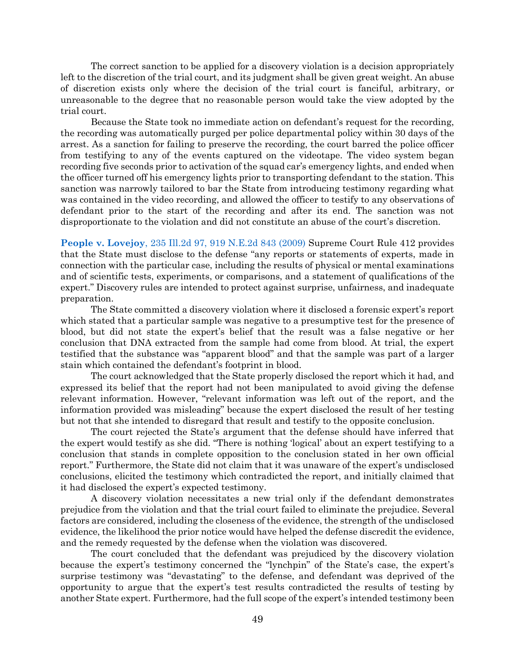The correct sanction to be applied for a discovery violation is a decision appropriately left to the discretion of the trial court, and its judgment shall be given great weight. An abuse of discretion exists only where the decision of the trial court is fanciful, arbitrary, or unreasonable to the degree that no reasonable person would take the view adopted by the trial court.

Because the State took no immediate action on defendant's request for the recording, the recording was automatically purged per police departmental policy within 30 days of the arrest. As a sanction for failing to preserve the recording, the court barred the police officer from testifying to any of the events captured on the videotape. The video system began recording five seconds prior to activation of the squad car's emergency lights, and ended when the officer turned off his emergency lights prior to transporting defendant to the station. This sanction was narrowly tailored to bar the State from introducing testimony regarding what was contained in the video recording, and allowed the officer to testify to any observations of defendant prior to the start of the recording and after its end. The sanction was not disproportionate to the violation and did not constitute an abuse of the court's discretion.

**People v. Lovejoy**[, 235 Ill.2d 97, 919 N.E.2d 843 \(2009\)](https://www.westlaw.com/Document/Ib12defb5ac3711de8bf6cd8525c41437/View/FullText.html?transitionType=Default&contextData=(sc.Default)&VR=3.0&RS=da3.0) Supreme Court Rule 412 provides that the State must disclose to the defense "any reports or statements of experts, made in connection with the particular case, including the results of physical or mental examinations and of scientific tests, experiments, or comparisons, and a statement of qualifications of the expert." Discovery rules are intended to protect against surprise, unfairness, and inadequate preparation.

The State committed a discovery violation where it disclosed a forensic expert's report which stated that a particular sample was negative to a presumptive test for the presence of blood, but did not state the expert's belief that the result was a false negative or her conclusion that DNA extracted from the sample had come from blood. At trial, the expert testified that the substance was "apparent blood" and that the sample was part of a larger stain which contained the defendant's footprint in blood.

The court acknowledged that the State properly disclosed the report which it had, and expressed its belief that the report had not been manipulated to avoid giving the defense relevant information. However, "relevant information was left out of the report, and the information provided was misleading" because the expert disclosed the result of her testing but not that she intended to disregard that result and testify to the opposite conclusion.

The court rejected the State's argument that the defense should have inferred that the expert would testify as she did. "There is nothing 'logical' about an expert testifying to a conclusion that stands in complete opposition to the conclusion stated in her own official report." Furthermore, the State did not claim that it was unaware of the expert's undisclosed conclusions, elicited the testimony which contradicted the report, and initially claimed that it had disclosed the expert's expected testimony.

A discovery violation necessitates a new trial only if the defendant demonstrates prejudice from the violation and that the trial court failed to eliminate the prejudice. Several factors are considered, including the closeness of the evidence, the strength of the undisclosed evidence, the likelihood the prior notice would have helped the defense discredit the evidence, and the remedy requested by the defense when the violation was discovered.

The court concluded that the defendant was prejudiced by the discovery violation because the expert's testimony concerned the "lynchpin" of the State's case, the expert's surprise testimony was "devastating" to the defense, and defendant was deprived of the opportunity to argue that the expert's test results contradicted the results of testing by another State expert. Furthermore, had the full scope of the expert's intended testimony been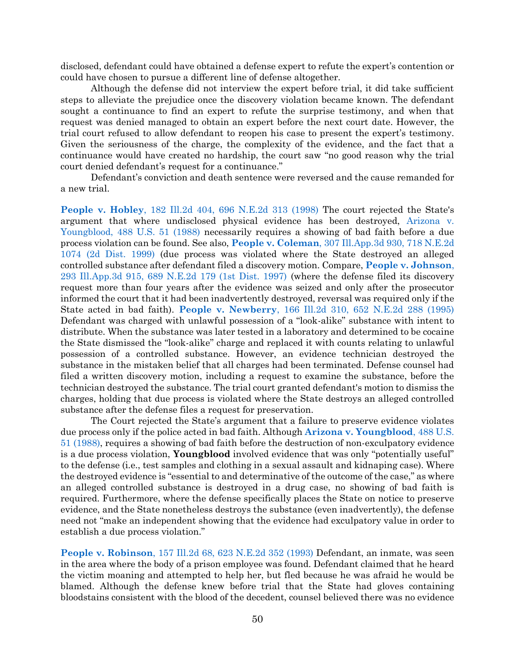disclosed, defendant could have obtained a defense expert to refute the expert's contention or could have chosen to pursue a different line of defense altogether.

Although the defense did not interview the expert before trial, it did take sufficient steps to alleviate the prejudice once the discovery violation became known. The defendant sought a continuance to find an expert to refute the surprise testimony, and when that request was denied managed to obtain an expert before the next court date. However, the trial court refused to allow defendant to reopen his case to present the expert's testimony. Given the seriousness of the charge, the complexity of the evidence, and the fact that a continuance would have created no hardship, the court saw "no good reason why the trial court denied defendant's request for a continuance."

Defendant's conviction and death sentence were reversed and the cause remanded for a new trial.

**People v. Hobley**[, 182 Ill.2d 404, 696 N.E.2d 313 \(1998\)](https://www.westlaw.com/Document/I25701424d3af11d9bf60c1d57ebc853e/View/FullText.html?transitionType=Default&contextData=(sc.Default)&VR=3.0&RS=da3.0) The court rejected the State's argument that where undisclosed physical evidence has been destroyed, [Arizona v.](https://www.westlaw.com/Document/I234f1ece9c1e11d9bdd1cfdd544ca3a4/View/FullText.html?transitionType=Default&contextData=(sc.Default)&VR=3.0&RS=da3.0)  [Youngblood, 488](https://www.westlaw.com/Document/I234f1ece9c1e11d9bdd1cfdd544ca3a4/View/FullText.html?transitionType=Default&contextData=(sc.Default)&VR=3.0&RS=da3.0) U.S. 51 (1988) necessarily requires a showing of bad faith before a due process violation can be found. See also, **People v. Coleman**[, 307 Ill.App.3d 930, 718 N.E.2d](https://www.westlaw.com/Document/I2f337c16d3a811d99439b076ef9ec4de/View/FullText.html?transitionType=Default&contextData=(sc.Default)&VR=3.0&RS=da3.0)  [1074 \(2d Dist. 1999\)](https://www.westlaw.com/Document/I2f337c16d3a811d99439b076ef9ec4de/View/FullText.html?transitionType=Default&contextData=(sc.Default)&VR=3.0&RS=da3.0) (due process was violated where the State destroyed an alleged controlled substance after defendant filed a discovery motion. Compare, **[People v. Johnson](https://www.westlaw.com/Document/I2bc8ed0fd3c011d9a489ee624f1f6e1a/View/FullText.html?transitionType=Default&contextData=(sc.Default)&VR=3.0&RS=da3.0)**, [293 Ill.App.3d 915, 689 N.E.2d 179 \(1st Dist. 1997\)](https://www.westlaw.com/Document/I2bc8ed0fd3c011d9a489ee624f1f6e1a/View/FullText.html?transitionType=Default&contextData=(sc.Default)&VR=3.0&RS=da3.0) (where the defense filed its discovery request more than four years after the evidence was seized and only after the prosecutor informed the court that it had been inadvertently destroyed, reversal was required only if the State acted in bad faith). **People v. Newberry**[, 166 Ill.2d 310, 652 N.E.2d 288 \(1995\)](https://www.westlaw.com/Document/Ifa04fccad3c111d98ac8f235252e36df/View/FullText.html?transitionType=Default&contextData=(sc.Default)&VR=3.0&RS=da3.0) Defendant was charged with unlawful possession of a "look-alike" substance with intent to distribute. When the substance was later tested in a laboratory and determined to be cocaine the State dismissed the "look-alike" charge and replaced it with counts relating to unlawful possession of a controlled substance. However, an evidence technician destroyed the substance in the mistaken belief that all charges had been terminated. Defense counsel had filed a written discovery motion, including a request to examine the substance, before the technician destroyed the substance. The trial court granted defendant's motion to dismiss the charges, holding that due process is violated where the State destroys an alleged controlled substance after the defense files a request for preservation.

The Court rejected the State's argument that a failure to preserve evidence violates due process only if the police acted in bad faith. Although **[Arizona v. Youngblood](https://www.westlaw.com/Document/I234f1ece9c1e11d9bdd1cfdd544ca3a4/View/FullText.html?transitionType=Default&contextData=(sc.Default)&VR=3.0&RS=da3.0)**, 488 U.S. [51 \(1988\),](https://www.westlaw.com/Document/I234f1ece9c1e11d9bdd1cfdd544ca3a4/View/FullText.html?transitionType=Default&contextData=(sc.Default)&VR=3.0&RS=da3.0) requires a showing of bad faith before the destruction of non-exculpatory evidence is a due process violation, **Youngblood** involved evidence that was only "potentially useful" to the defense (i.e., test samples and clothing in a sexual assault and kidnaping case). Where the destroyed evidence is "essential to and determinative of the outcome of the case," as where an alleged controlled substance is destroyed in a drug case, no showing of bad faith is required. Furthermore, where the defense specifically places the State on notice to preserve evidence, and the State nonetheless destroys the substance (even inadvertently), the defense need not "make an independent showing that the evidence had exculpatory value in order to establish a due process violation."

**People v. Robinson**[, 157 Ill.2d 68, 623 N.E.2d 352](https://www.westlaw.com/Document/I0472c2ccd3ed11d983e7e9deff98dc6f/View/FullText.html?transitionType=Default&contextData=(sc.Default)&VR=3.0&RS=da3.0) (1993) Defendant, an inmate, was seen in the area where the body of a prison employee was found. Defendant claimed that he heard the victim moaning and attempted to help her, but fled because he was afraid he would be blamed. Although the defense knew before trial that the State had gloves containing bloodstains consistent with the blood of the decedent, counsel believed there was no evidence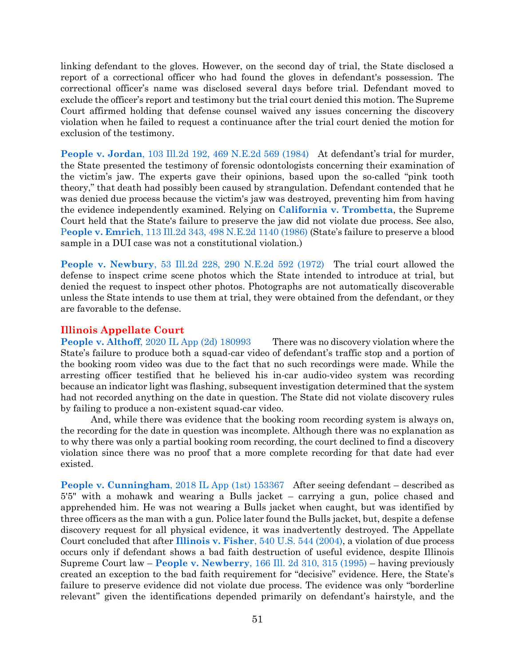linking defendant to the gloves. However, on the second day of trial, the State disclosed a report of a correctional officer who had found the gloves in defendant's possession. The correctional officer's name was disclosed several days before trial. Defendant moved to exclude the officer's report and testimony but the trial court denied this motion. The Supreme Court affirmed holding that defense counsel waived any issues concerning the discovery violation when he failed to request a continuance after the trial court denied the motion for exclusion of the testimony.

**People v. Jordan**[, 103 Ill.2d 192, 469 N.E.2d 569 \(1984\)](https://www.westlaw.com/Document/I9682e003d38911d9bf60c1d57ebc853e/View/FullText.html?transitionType=Default&contextData=(sc.Default)&VR=3.0&RS=da3.0) At defendant's trial for murder, the State presented the testimony of forensic odontologists concerning their examination of the victim's jaw. The experts gave their opinions, based upon the so-called "pink tooth theory," that death had possibly been caused by strangulation. Defendant contended that he was denied due process because the victim's jaw was destroyed, preventing him from having the evidence independently examined. Relying on **[California v. Trombetta](https://www.westlaw.com/Document/I236629319c1e11d9bdd1cfdd544ca3a4/View/FullText.html?transitionType=Default&contextData=(sc.Default)&VR=3.0&RS=da3.0)**, the Supreme Court held that the State's failure to preserve the jaw did not violate due process. See also, P**eople v. Emrich**[, 113 Ill.2d 343, 498 N.E.2d 1140 \(1986\)](https://www.westlaw.com/Document/I35b23006d34311d9bf60c1d57ebc853e/View/FullText.html?transitionType=Default&contextData=(sc.Default)&VR=3.0&RS=da3.0) (State's failure to preserve a blood sample in a DUI case was not a constitutional violation.)

**People v. Newbury**[, 53 Ill.2d 228, 290 N.E.2d 592 \(1972\)](https://www.westlaw.com/Document/I44e70c62d93f11d9bf60c1d57ebc853e/View/FullText.html?transitionType=Default&contextData=(sc.Default)&VR=3.0&RS=da3.0) The trial court allowed the defense to inspect crime scene photos which the State intended to introduce at trial, but denied the request to inspect other photos. Photographs are not automatically discoverable unless the State intends to use them at trial, they were obtained from the defendant, or they are favorable to the defense.

### **Illinois Appellate Court**

**People v. Althoff**[, 2020 IL App \(2d\) 180993](https://www.westlaw.com/Document/I0ae673b0327c11eabed3a1bc09b332eb/View/FullText.html?transitionType=Default&contextData=(sc.Default)&VR=3.0&RS=da3.0) There was no discovery violation where the State's failure to produce both a squad-car video of defendant's traffic stop and a portion of the booking room video was due to the fact that no such recordings were made. While the arresting officer testified that he believed his in-car audio-video system was recording because an indicator light was flashing, subsequent investigation determined that the system had not recorded anything on the date in question. The State did not violate discovery rules by failing to produce a non-existent squad-car video.

And, while there was evidence that the booking room recording system is always on, the recording for the date in question was incomplete. Although there was no explanation as to why there was only a partial booking room recording, the court declined to find a discovery violation since there was no proof that a more complete recording for that date had ever existed.

**People v. Cunningham**[, 2018 IL App \(1st\) 153367](https://www.westlaw.com/Document/I7b60dcc06dd411e89034f60e1699ddbe/View/FullText.html?transitionType=Default&contextData=(sc.Default)&VR=3.0&RS=da3.0) After seeing defendant – described as 5'5" with a mohawk and wearing a Bulls jacket – carrying a gun, police chased and apprehended him. He was not wearing a Bulls jacket when caught, but was identified by three officers as the man with a gun. Police later found the Bulls jacket, but, despite a defense discovery request for all physical evidence, it was inadvertently destroyed. The Appellate Court concluded that after **Illinois v. Fisher**[, 540 U.S. 544 \(2004\),](https://www.westlaw.com/Document/I72f389869c9a11d991d0cc6b54f12d4d/View/FullText.html?transitionType=Default&contextData=(sc.Default)&VR=3.0&RS=da3.0) a violation of due process occurs only if defendant shows a bad faith destruction of useful evidence, despite Illinois Supreme Court law – **People v. Newberry**[, 166 Ill. 2d 310, 315 \(1995\)](https://www.westlaw.com/Document/Ifa04fccad3c111d98ac8f235252e36df/View/FullText.html?transitionType=Default&contextData=(sc.Default)&VR=3.0&RS=da3.0&fragmentIdentifier=co_pp_sp_439_315) – having previously created an exception to the bad faith requirement for "decisive" evidence. Here, the State's failure to preserve evidence did not violate due process. The evidence was only "borderline relevant" given the identifications depended primarily on defendant's hairstyle, and the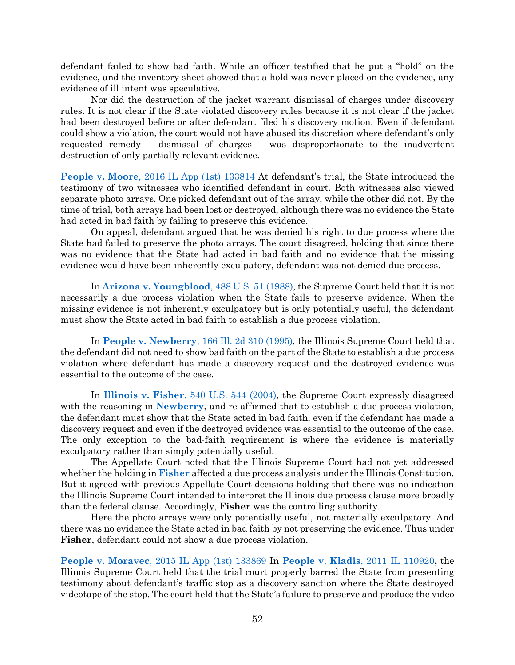defendant failed to show bad faith. While an officer testified that he put a "hold" on the evidence, and the inventory sheet showed that a hold was never placed on the evidence, any evidence of ill intent was speculative.

Nor did the destruction of the jacket warrant dismissal of charges under discovery rules. It is not clear if the State violated discovery rules because it is not clear if the jacket had been destroyed before or after defendant filed his discovery motion. Even if defendant could show a violation, the court would not have abused its discretion where defendant's only requested remedy – dismissal of charges – was disproportionate to the inadvertent destruction of only partially relevant evidence.

**People v. Moore**[, 2016 IL App \(1st\) 133814](https://www.westlaw.com/Document/I95d67ea6d93e11e5a795ac035416da91/View/FullText.html?transitionType=Default&contextData=(sc.Default)&VR=3.0&RS=da3.0) At defendant's trial, the State introduced the testimony of two witnesses who identified defendant in court. Both witnesses also viewed separate photo arrays. One picked defendant out of the array, while the other did not. By the time of trial, both arrays had been lost or destroyed, although there was no evidence the State had acted in bad faith by failing to preserve this evidence.

On appeal, defendant argued that he was denied his right to due process where the State had failed to preserve the photo arrays. The court disagreed, holding that since there was no evidence that the State had acted in bad faith and no evidence that the missing evidence would have been inherently exculpatory, defendant was not denied due process.

In **[Arizona v. Youngblood](https://www.westlaw.com/Document/I234f1ece9c1e11d9bdd1cfdd544ca3a4/View/FullText.html?transitionType=Default&contextData=(sc.Default)&VR=3.0&RS=da3.0)**, 488 U.S. 51 (1988), the Supreme Court held that it is not necessarily a due process violation when the State fails to preserve evidence. When the missing evidence is not inherently exculpatory but is only potentially useful, the defendant must show the State acted in bad faith to establish a due process violation.

In **People v. Newberry**[, 166 Ill. 2d 310 \(1995\),](https://www.westlaw.com/Document/Ifa04fccad3c111d98ac8f235252e36df/View/FullText.html?transitionType=Default&contextData=(sc.Default)&VR=3.0&RS=da3.0) the Illinois Supreme Court held that the defendant did not need to show bad faith on the part of the State to establish a due process violation where defendant has made a discovery request and the destroyed evidence was essential to the outcome of the case.

In **Illinois v. Fisher**[, 540 U.S. 544 \(2004\),](https://www.westlaw.com/Document/I72f389869c9a11d991d0cc6b54f12d4d/View/FullText.html?transitionType=Default&contextData=(sc.Default)&VR=3.0&RS=da3.0) the Supreme Court expressly disagreed with the reasoning in **[Newberry](https://www.westlaw.com/Document/Ifa04fccad3c111d98ac8f235252e36df/View/FullText.html?transitionType=Default&contextData=(sc.Default)&VR=3.0&RS=da3.0)**, and re-affirmed that to establish a due process violation, the defendant must show that the State acted in bad faith, even if the defendant has made a discovery request and even if the destroyed evidence was essential to the outcome of the case. The only exception to the bad-faith requirement is where the evidence is materially exculpatory rather than simply potentially useful.

The Appellate Court noted that the Illinois Supreme Court had not yet addressed whether the holding in **[Fisher](https://www.westlaw.com/Document/I72f389869c9a11d991d0cc6b54f12d4d/View/FullText.html?transitionType=Default&contextData=(sc.Default)&VR=3.0&RS=da3.0)** affected a due process analysis under the Illinois Constitution. But it agreed with previous Appellate Court decisions holding that there was no indication the Illinois Supreme Court intended to interpret the Illinois due process clause more broadly than the federal clause. Accordingly, **Fisher** was the controlling authority.

Here the photo arrays were only potentially useful, not materially exculpatory. And there was no evidence the State acted in bad faith by not preserving the evidence. Thus under **Fisher**, defendant could not show a due process violation.

**People v. Moravec**[, 2015 IL App \(1st\) 133869](https://www.westlaw.com/Document/I29fed04d835211e5b86bd602cb8781fa/View/FullText.html?transitionType=Default&contextData=(sc.Default)&VR=3.0&RS=da3.0) In **[People v. Kladis](https://www.westlaw.com/Document/I113ef895330811e1a1fbb12042fe3ee4/View/FullText.html?transitionType=Default&contextData=(sc.Default)&VR=3.0&RS=da3.0)**, 2011 IL 110920**,** the Illinois Supreme Court held that the trial court properly barred the State from presenting testimony about defendant's traffic stop as a discovery sanction where the State destroyed videotape of the stop. The court held that the State's failure to preserve and produce the video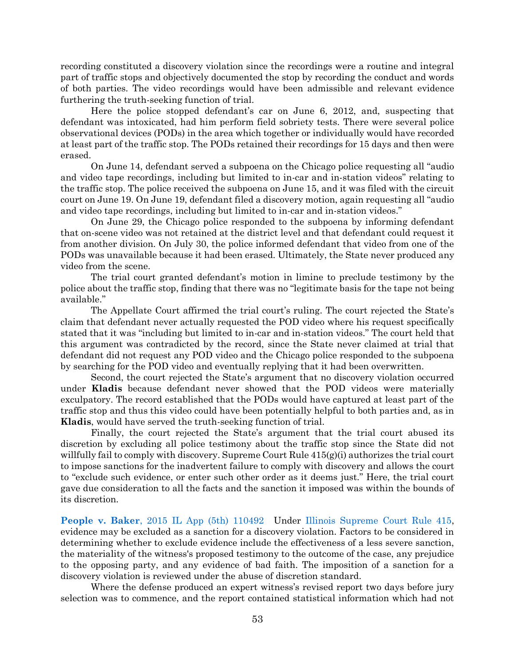recording constituted a discovery violation since the recordings were a routine and integral part of traffic stops and objectively documented the stop by recording the conduct and words of both parties. The video recordings would have been admissible and relevant evidence furthering the truth-seeking function of trial.

Here the police stopped defendant's car on June 6, 2012, and, suspecting that defendant was intoxicated, had him perform field sobriety tests. There were several police observational devices (PODs) in the area which together or individually would have recorded at least part of the traffic stop. The PODs retained their recordings for 15 days and then were erased.

On June 14, defendant served a subpoena on the Chicago police requesting all "audio and video tape recordings, including but limited to in-car and in-station videos" relating to the traffic stop. The police received the subpoena on June 15, and it was filed with the circuit court on June 19. On June 19, defendant filed a discovery motion, again requesting all "audio and video tape recordings, including but limited to in-car and in-station videos."

On June 29, the Chicago police responded to the subpoena by informing defendant that on-scene video was not retained at the district level and that defendant could request it from another division. On July 30, the police informed defendant that video from one of the PODs was unavailable because it had been erased. Ultimately, the State never produced any video from the scene.

The trial court granted defendant's motion in limine to preclude testimony by the police about the traffic stop, finding that there was no "legitimate basis for the tape not being available."

The Appellate Court affirmed the trial court's ruling. The court rejected the State's claim that defendant never actually requested the POD video where his request specifically stated that it was "including but limited to in-car and in-station videos." The court held that this argument was contradicted by the record, since the State never claimed at trial that defendant did not request any POD video and the Chicago police responded to the subpoena by searching for the POD video and eventually replying that it had been overwritten.

Second, the court rejected the State's argument that no discovery violation occurred under **Kladis** because defendant never showed that the POD videos were materially exculpatory. The record established that the PODs would have captured at least part of the traffic stop and thus this video could have been potentially helpful to both parties and, as in **Kladis**, would have served the truth-seeking function of trial.

Finally, the court rejected the State's argument that the trial court abused its discretion by excluding all police testimony about the traffic stop since the State did not willfully fail to comply with discovery. Supreme Court Rule  $415(g)(i)$  authorizes the trial court to impose sanctions for the inadvertent failure to comply with discovery and allows the court to "exclude such evidence, or enter such other order as it deems just." Here, the trial court gave due consideration to all the facts and the sanction it imposed was within the bounds of its discretion.

**People v. Baker**[, 2015 IL App \(5th\) 110492](https://www.westlaw.com/Link/Document/FullText?cite=2015ILA5PDC110492&VR=3.0&RS=da3.0) Under [Illinois Supreme Court Rule 415,](https://www.westlaw.com/Document/N9F7C0F10E62F11DAB663DBBC2EFCE9AD/View/FullText.html?transitionType=Default&contextData=(sc.Default)&VR=3.0&RS=da3.0) evidence may be excluded as a sanction for a discovery violation. Factors to be considered in determining whether to exclude evidence include the effectiveness of a less severe sanction, the materiality of the witness's proposed testimony to the outcome of the case, any prejudice to the opposing party, and any evidence of bad faith. The imposition of a sanction for a discovery violation is reviewed under the abuse of discretion standard.

Where the defense produced an expert witness's revised report two days before jury selection was to commence, and the report contained statistical information which had not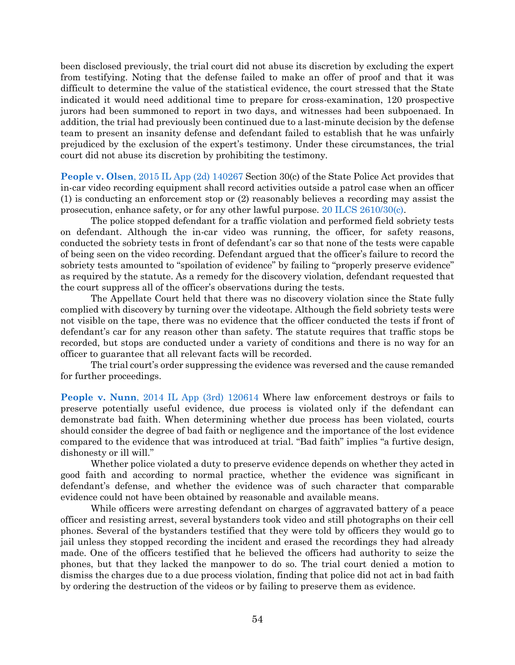been disclosed previously, the trial court did not abuse its discretion by excluding the expert from testifying. Noting that the defense failed to make an offer of proof and that it was difficult to determine the value of the statistical evidence, the court stressed that the State indicated it would need additional time to prepare for cross-examination, 120 prospective jurors had been summoned to report in two days, and witnesses had been subpoenaed. In addition, the trial had previously been continued due to a last-minute decision by the defense team to present an insanity defense and defendant failed to establish that he was unfairly prejudiced by the exclusion of the expert's testimony. Under these circumstances, the trial court did not abuse its discretion by prohibiting the testimony.

**People v. Olsen**[, 2015 IL App \(2d\) 140267](https://www.westlaw.com/Document/If1a83d800d8e11e5b86bd602cb8781fa/View/FullText.html?transitionType=Default&contextData=(sc.Default)&VR=3.0&RS=da3.0) Section 30(c) of the State Police Act provides that in-car video recording equipment shall record activities outside a patrol case when an officer (1) is conducting an enforcement stop or (2) reasonably believes a recording may assist the prosecution, enhance safety, or for any other lawful purpose. [20 ILCS 2610/30\(c\).](https://www.westlaw.com/Document/N54824790CC5A11DD950CF413BE109009/View/FullText.html?transitionType=Default&contextData=(sc.Default)&VR=3.0&RS=da3.0)

The police stopped defendant for a traffic violation and performed field sobriety tests on defendant. Although the in-car video was running, the officer, for safety reasons, conducted the sobriety tests in front of defendant's car so that none of the tests were capable of being seen on the video recording. Defendant argued that the officer's failure to record the sobriety tests amounted to "spoilation of evidence" by failing to "properly preserve evidence" as required by the statute. As a remedy for the discovery violation, defendant requested that the court suppress all of the officer's observations during the tests.

The Appellate Court held that there was no discovery violation since the State fully complied with discovery by turning over the videotape. Although the field sobriety tests were not visible on the tape, there was no evidence that the officer conducted the tests if front of defendant's car for any reason other than safety. The statute requires that traffic stops be recorded, but stops are conducted under a variety of conditions and there is no way for an officer to guarantee that all relevant facts will be recorded.

The trial court's order suppressing the evidence was reversed and the cause remanded for further proceedings.

**People v. Nunn**[, 2014 IL App \(3rd\) 120614](https://www.westlaw.com/Document/Ia4610edc638d11e4b86bd602cb8781fa/View/FullText.html?transitionType=Default&contextData=(sc.Default)&VR=3.0&RS=da3.0) Where law enforcement destroys or fails to preserve potentially useful evidence, due process is violated only if the defendant can demonstrate bad faith. When determining whether due process has been violated, courts should consider the degree of bad faith or negligence and the importance of the lost evidence compared to the evidence that was introduced at trial. "Bad faith" implies "a furtive design, dishonesty or ill will."

Whether police violated a duty to preserve evidence depends on whether they acted in good faith and according to normal practice, whether the evidence was significant in defendant's defense, and whether the evidence was of such character that comparable evidence could not have been obtained by reasonable and available means.

While officers were arresting defendant on charges of aggravated battery of a peace officer and resisting arrest, several bystanders took video and still photographs on their cell phones. Several of the bystanders testified that they were told by officers they would go to jail unless they stopped recording the incident and erased the recordings they had already made. One of the officers testified that he believed the officers had authority to seize the phones, but that they lacked the manpower to do so. The trial court denied a motion to dismiss the charges due to a due process violation, finding that police did not act in bad faith by ordering the destruction of the videos or by failing to preserve them as evidence.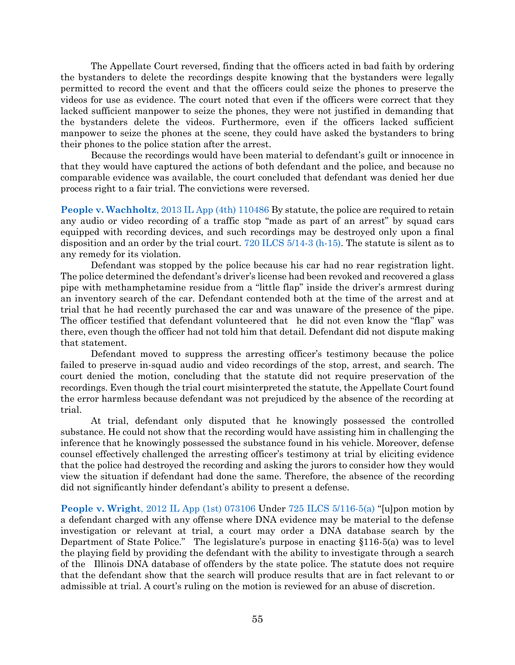The Appellate Court reversed, finding that the officers acted in bad faith by ordering the bystanders to delete the recordings despite knowing that the bystanders were legally permitted to record the event and that the officers could seize the phones to preserve the videos for use as evidence. The court noted that even if the officers were correct that they lacked sufficient manpower to seize the phones, they were not justified in demanding that the bystanders delete the videos. Furthermore, even if the officers lacked sufficient manpower to seize the phones at the scene, they could have asked the bystanders to bring their phones to the police station after the arrest.

Because the recordings would have been material to defendant's guilt or innocence in that they would have captured the actions of both defendant and the police, and because no comparable evidence was available, the court concluded that defendant was denied her due process right to a fair trial. The convictions were reversed.

**People v. Wachholtz**[, 2013 IL App \(4th\) 110486](https://www.westlaw.com/Document/I521438aeb1da11e2a555d241dae65084/View/FullText.html?transitionType=Default&contextData=(sc.Default)&VR=3.0&RS=da3.0) By statute, the police are required to retain any audio or video recording of a traffic stop "made as part of an arrest" by squad cars equipped with recording devices, and such recordings may be destroyed only upon a final disposition and an order by the trial court. [720 ILCS 5/14-3 \(h-15\).](https://www.westlaw.com/Document/NF8805A81F1B711E79777B78D14725D70/View/FullText.html?transitionType=Default&contextData=(sc.Default)&VR=3.0&RS=da3.0) The statute is silent as to any remedy for its violation.

Defendant was stopped by the police because his car had no rear registration light. The police determined the defendant's driver's license had been revoked and recovered a glass pipe with methamphetamine residue from a "little flap" inside the driver's armrest during an inventory search of the car. Defendant contended both at the time of the arrest and at trial that he had recently purchased the car and was unaware of the presence of the pipe. The officer testified that defendant volunteered that he did not even know the "flap" was there, even though the officer had not told him that detail. Defendant did not dispute making that statement.

Defendant moved to suppress the arresting officer's testimony because the police failed to preserve in-squad audio and video recordings of the stop, arrest, and search. The court denied the motion, concluding that the statute did not require preservation of the recordings. Even though the trial court misinterpreted the statute, the Appellate Court found the error harmless because defendant was not prejudiced by the absence of the recording at trial.

At trial, defendant only disputed that he knowingly possessed the controlled substance. He could not show that the recording would have assisting him in challenging the inference that he knowingly possessed the substance found in his vehicle. Moreover, defense counsel effectively challenged the arresting officer's testimony at trial by eliciting evidence that the police had destroyed the recording and asking the jurors to consider how they would view the situation if defendant had done the same. Therefore, the absence of the recording did not significantly hinder defendant's ability to present a defense.

**People v. Wright**[, 2012 IL App \(1st\) 073106](https://www.westlaw.com/Document/If8c734c67e2511e1ac60ad556f635d49/View/FullText.html?transitionType=Default&contextData=(sc.Default)&VR=3.0&RS=da3.0) Under [725 ILCS 5/116-5\(a\)](https://www.westlaw.com/Document/NE0472170DAFD11DA9F00E4F82CEBF25B/View/FullText.html?transitionType=Default&contextData=(sc.Default)&VR=3.0&RS=da3.0) "[u]pon motion by a defendant charged with any offense where DNA evidence may be material to the defense investigation or relevant at trial, a court may order a DNA database search by the Department of State Police." The legislature's purpose in enacting §116-5(a) was to level the playing field by providing the defendant with the ability to investigate through a search of the Illinois DNA database of offenders by the state police. The statute does not require that the defendant show that the search will produce results that are in fact relevant to or admissible at trial. A court's ruling on the motion is reviewed for an abuse of discretion.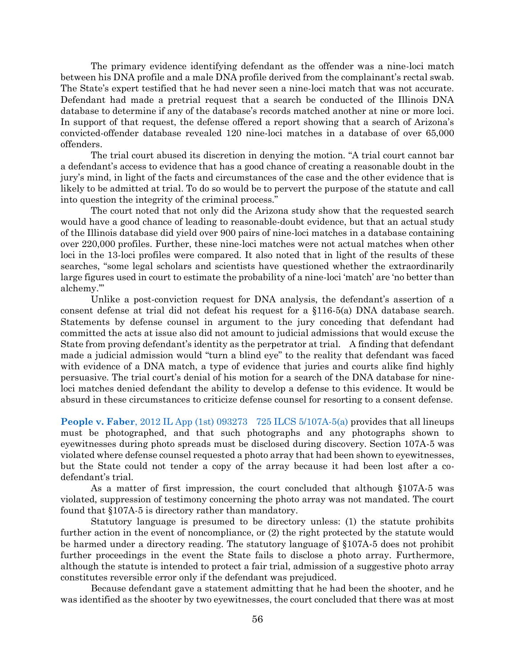The primary evidence identifying defendant as the offender was a nine-loci match between his DNA profile and a male DNA profile derived from the complainant's rectal swab. The State's expert testified that he had never seen a nine-loci match that was not accurate. Defendant had made a pretrial request that a search be conducted of the Illinois DNA database to determine if any of the database's records matched another at nine or more loci. In support of that request, the defense offered a report showing that a search of Arizona's convicted-offender database revealed 120 nine-loci matches in a database of over 65,000 offenders.

The trial court abused its discretion in denying the motion. "A trial court cannot bar a defendant's access to evidence that has a good chance of creating a reasonable doubt in the jury's mind, in light of the facts and circumstances of the case and the other evidence that is likely to be admitted at trial. To do so would be to pervert the purpose of the statute and call into question the integrity of the criminal process."

The court noted that not only did the Arizona study show that the requested search would have a good chance of leading to reasonable-doubt evidence, but that an actual study of the Illinois database did yield over 900 pairs of nine-loci matches in a database containing over 220,000 profiles. Further, these nine-loci matches were not actual matches when other loci in the 13-loci profiles were compared. It also noted that in light of the results of these searches, "some legal scholars and scientists have questioned whether the extraordinarily large figures used in court to estimate the probability of a nine-loci 'match' are 'no better than alchemy.'"

Unlike a post-conviction request for DNA analysis, the defendant's assertion of a consent defense at trial did not defeat his request for a §116-5(a) DNA database search. Statements by defense counsel in argument to the jury conceding that defendant had committed the acts at issue also did not amount to judicial admissions that would excuse the State from proving defendant's identity as the perpetrator at trial. A finding that defendant made a judicial admission would "turn a blind eye" to the reality that defendant was faced with evidence of a DNA match, a type of evidence that juries and courts alike find highly persuasive. The trial court's denial of his motion for a search of the DNA database for nineloci matches denied defendant the ability to develop a defense to this evidence. It would be absurd in these circumstances to criticize defense counsel for resorting to a consent defense.

**People v. Faber**[, 2012 IL App \(1st\) 093273](https://www.westlaw.com/Document/I6be045a4c06711e1b343c837631e1747/View/FullText.html?transitionType=Default&contextData=(sc.Default)&VR=3.0&RS=da3.0) [725 ILCS 5/107A-5\(a\)](https://www.westlaw.com/Document/N4F2A77B0A0DC11E48D56F805B8D03621/View/FullText.html?transitionType=Default&contextData=(sc.Default)&VR=3.0&RS=da3.0) provides that all lineups must be photographed, and that such photographs and any photographs shown to eyewitnesses during photo spreads must be disclosed during discovery. Section 107A-5 was violated where defense counsel requested a photo array that had been shown to eyewitnesses, but the State could not tender a copy of the array because it had been lost after a codefendant's trial.

As a matter of first impression, the court concluded that although §107A-5 was violated, suppression of testimony concerning the photo array was not mandated. The court found that §107A-5 is directory rather than mandatory.

Statutory language is presumed to be directory unless: (1) the statute prohibits further action in the event of noncompliance, or (2) the right protected by the statute would be harmed under a directory reading. The statutory language of §107A-5 does not prohibit further proceedings in the event the State fails to disclose a photo array. Furthermore, although the statute is intended to protect a fair trial, admission of a suggestive photo array constitutes reversible error only if the defendant was prejudiced.

Because defendant gave a statement admitting that he had been the shooter, and he was identified as the shooter by two eyewitnesses, the court concluded that there was at most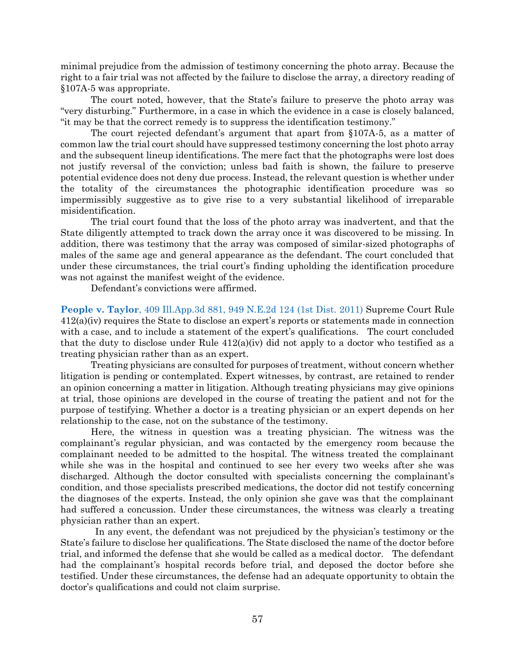minimal prejudice from the admission of testimony concerning the photo array. Because the right to a fair trial was not affected by the failure to disclose the array, a directory reading of §107A-5 was appropriate.

The court noted, however, that the State's failure to preserve the photo array was "very disturbing." Furthermore, in a case in which the evidence in a case is closely balanced, "it may be that the correct remedy is to suppress the identification testimony."

The court rejected defendant's argument that apart from §107A-5, as a matter of common law the trial court should have suppressed testimony concerning the lost photo array and the subsequent lineup identifications. The mere fact that the photographs were lost does not justify reversal of the conviction; unless bad faith is shown, the failure to preserve potential evidence does not deny due process. Instead, the relevant question is whether under the totality of the circumstances the photographic identification procedure was so impermissibly suggestive as to give rise to a very substantial likelihood of irreparable misidentification.

The trial court found that the loss of the photo array was inadvertent, and that the State diligently attempted to track down the array once it was discovered to be missing. In addition, there was testimony that the array was composed of similar-sized photographs of males of the same age and general appearance as the defendant. The court concluded that under these circumstances, the trial court's finding upholding the identification procedure was not against the manifest weight of the evidence.

Defendant's convictions were affirmed.

**People v. Taylor**[, 409 Ill.App.3d 881, 949 N.E.2d 124 \(1st Dist.](https://www.westlaw.com/Document/I11898c874e4211e0b931b80af77abaf1/View/FullText.html?transitionType=Default&contextData=(sc.Default)&VR=3.0&RS=da3.0) 2011) Supreme Court Rule 412(a)(iv) requires the State to disclose an expert's reports or statements made in connection with a case, and to include a statement of the expert's qualifications. The court concluded that the duty to disclose under Rule  $412(a)(iv)$  did not apply to a doctor who testified as a treating physician rather than as an expert.

Treating physicians are consulted for purposes of treatment, without concern whether litigation is pending or contemplated. Expert witnesses, by contrast, are retained to render an opinion concerning a matter in litigation. Although treating physicians may give opinions at trial, those opinions are developed in the course of treating the patient and not for the purpose of testifying. Whether a doctor is a treating physician or an expert depends on her relationship to the case, not on the substance of the testimony.

Here, the witness in question was a treating physician. The witness was the complainant's regular physician, and was contacted by the emergency room because the complainant needed to be admitted to the hospital. The witness treated the complainant while she was in the hospital and continued to see her every two weeks after she was discharged. Although the doctor consulted with specialists concerning the complainant's condition, and those specialists prescribed medications, the doctor did not testify concerning the diagnoses of the experts. Instead, the only opinion she gave was that the complainant had suffered a concussion. Under these circumstances, the witness was clearly a treating physician rather than an expert.

In any event, the defendant was not prejudiced by the physician's testimony or the State's failure to disclose her qualifications. The State disclosed the name of the doctor before trial, and informed the defense that she would be called as a medical doctor. The defendant had the complainant's hospital records before trial, and deposed the doctor before she testified. Under these circumstances, the defense had an adequate opportunity to obtain the doctor's qualifications and could not claim surprise.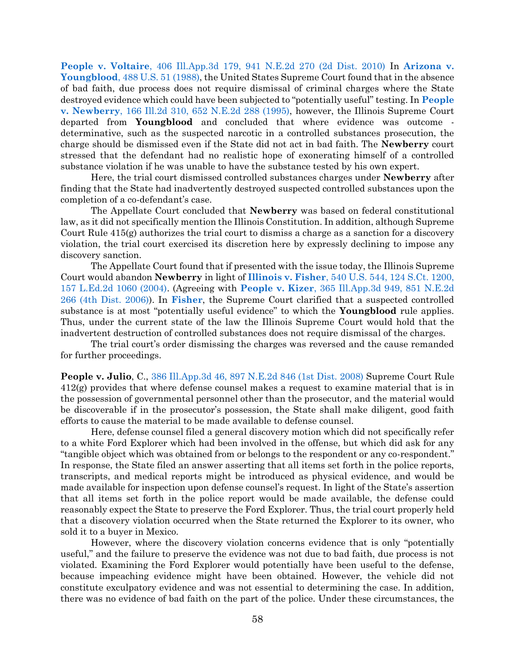**People v. Voltaire**[, 406 Ill.App.3d 179, 941 N.E.2d 270 \(2d Dist. 2010\)](https://www.westlaw.com/Document/Ic45d67b10f7911e09d9cae30585baa87/View/FullText.html?transitionType=Default&contextData=(sc.Default)&VR=3.0&RS=da3.0) In **[Arizona v.](https://www.westlaw.com/Document/I234f1ece9c1e11d9bdd1cfdd544ca3a4/View/FullText.html?transitionType=Default&contextData=(sc.Default)&VR=3.0&RS=da3.0)  Youngblood**[, 488 U.S. 51 \(1988\),](https://www.westlaw.com/Document/I234f1ece9c1e11d9bdd1cfdd544ca3a4/View/FullText.html?transitionType=Default&contextData=(sc.Default)&VR=3.0&RS=da3.0) the United States Supreme Court found that in the absence of bad faith, due process does not require dismissal of criminal charges where the State destroyed evidence which could have been subjected to "potentially useful" testing. In **[People](https://www.westlaw.com/Document/Ifa04fccad3c111d98ac8f235252e36df/View/FullText.html?transitionType=Default&contextData=(sc.Default)&VR=3.0&RS=da3.0)  v. Newberry**[, 166 Ill.2d 310, 652 N.E.2d 288 \(1995\),](https://www.westlaw.com/Document/Ifa04fccad3c111d98ac8f235252e36df/View/FullText.html?transitionType=Default&contextData=(sc.Default)&VR=3.0&RS=da3.0) however, the Illinois Supreme Court departed from **Youngblood** and concluded that where evidence was outcome determinative, such as the suspected narcotic in a controlled substances prosecution, the charge should be dismissed even if the State did not act in bad faith. The **Newberry** court stressed that the defendant had no realistic hope of exonerating himself of a controlled substance violation if he was unable to have the substance tested by his own expert.

Here, the trial court dismissed controlled substances charges under **Newberry** after finding that the State had inadvertently destroyed suspected controlled substances upon the completion of a co-defendant's case.

The Appellate Court concluded that **Newberry** was based on federal constitutional law, as it did not specifically mention the Illinois Constitution. In addition, although Supreme Court Rule 415(g) authorizes the trial court to dismiss a charge as a sanction for a discovery violation, the trial court exercised its discretion here by expressly declining to impose any discovery sanction.

The Appellate Court found that if presented with the issue today, the Illinois Supreme Court would abandon **Newberry** in light of **Illinois v. Fisher**[, 540 U.S. 544, 124 S.Ct. 1200,](https://www.westlaw.com/Document/I72f389869c9a11d991d0cc6b54f12d4d/View/FullText.html?transitionType=Default&contextData=(sc.Default)&VR=3.0&RS=da3.0)  [157 L.Ed.2d 1060 \(2004\).](https://www.westlaw.com/Document/I72f389869c9a11d991d0cc6b54f12d4d/View/FullText.html?transitionType=Default&contextData=(sc.Default)&VR=3.0&RS=da3.0) (Agreeing with **People v. Kizer**[, 365 Ill.App.3d 949, 851 N.E.2d](https://www.westlaw.com/Document/Id4524cf4008711dbb3be92e40de4b42f/View/FullText.html?transitionType=Default&contextData=(sc.Default)&VR=3.0&RS=da3.0)  [266 \(4th Dist. 2006\)\)](https://www.westlaw.com/Document/Id4524cf4008711dbb3be92e40de4b42f/View/FullText.html?transitionType=Default&contextData=(sc.Default)&VR=3.0&RS=da3.0). In **[Fisher](https://www.westlaw.com/Document/I72f389869c9a11d991d0cc6b54f12d4d/View/FullText.html?transitionType=Default&contextData=(sc.Default)&VR=3.0&RS=da3.0)**, the Supreme Court clarified that a suspected controlled substance is at most "potentially useful evidence" to which the **Youngblood** rule applies. Thus, under the current state of the law the Illinois Supreme Court would hold that the inadvertent destruction of controlled substances does not require dismissal of the charges.

The trial court's order dismissing the charges was reversed and the cause remanded for further proceedings.

**People v. Julio**, C., [386 Ill.App.3d 46, 897 N.E.2d 846 \(1st Dist. 2008\)](https://www.westlaw.com/Document/I59ce2f70a66711dd9876f446780b7bdc/View/FullText.html?transitionType=Default&contextData=(sc.Default)&VR=3.0&RS=da3.0) Supreme Court Rule 412(g) provides that where defense counsel makes a request to examine material that is in the possession of governmental personnel other than the prosecutor, and the material would be discoverable if in the prosecutor's possession, the State shall make diligent, good faith efforts to cause the material to be made available to defense counsel.

Here, defense counsel filed a general discovery motion which did not specifically refer to a white Ford Explorer which had been involved in the offense, but which did ask for any "tangible object which was obtained from or belongs to the respondent or any co-respondent." In response, the State filed an answer asserting that all items set forth in the police reports, transcripts, and medical reports might be introduced as physical evidence, and would be made available for inspection upon defense counsel's request. In light of the State's assertion that all items set forth in the police report would be made available, the defense could reasonably expect the State to preserve the Ford Explorer. Thus, the trial court properly held that a discovery violation occurred when the State returned the Explorer to its owner, who sold it to a buyer in Mexico.

However, where the discovery violation concerns evidence that is only "potentially useful," and the failure to preserve the evidence was not due to bad faith, due process is not violated. Examining the Ford Explorer would potentially have been useful to the defense, because impeaching evidence might have been obtained. However, the vehicle did not constitute exculpatory evidence and was not essential to determining the case. In addition, there was no evidence of bad faith on the part of the police. Under these circumstances, the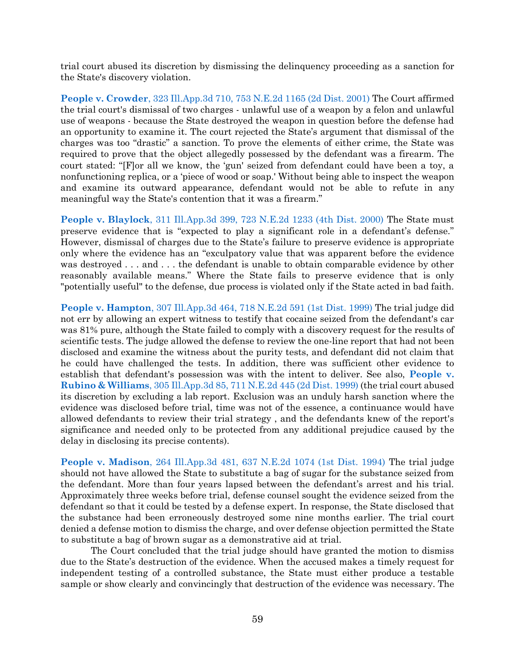trial court abused its discretion by dismissing the delinquency proceeding as a sanction for the State's discovery violation.

**People v. Crowder**[, 323 Ill.App.3d 710, 753 N.E.2d 1165 \(2d Dist. 2001\)](https://www.westlaw.com/Document/Iaee64096d39a11d9bf60c1d57ebc853e/View/FullText.html?transitionType=Default&contextData=(sc.Default)&VR=3.0&RS=da3.0) The Court affirmed the trial court's dismissal of two charges - unlawful use of a weapon by a felon and unlawful use of weapons - because the State destroyed the weapon in question before the defense had an opportunity to examine it. The court rejected the State's argument that dismissal of the charges was too "drastic" a sanction. To prove the elements of either crime, the State was required to prove that the object allegedly possessed by the defendant was a firearm. The court stated: "[F]or all we know, the 'gun' seized from defendant could have been a toy, a nonfunctioning replica, or a 'piece of wood or soap.' Without being able to inspect the weapon and examine its outward appearance, defendant would not be able to refute in any meaningful way the State's contention that it was a firearm."

**People v. Blaylock**[, 311 Ill.App.3d 399, 723 N.E.2d 1233 \(4th Dist. 2000\)](https://www.westlaw.com/Document/I652695d7d38c11d99439b076ef9ec4de/View/FullText.html?transitionType=Default&contextData=(sc.Default)&VR=3.0&RS=da3.0) The State must preserve evidence that is "expected to play a significant role in a defendant's defense." However, dismissal of charges due to the State's failure to preserve evidence is appropriate only where the evidence has an "exculpatory value that was apparent before the evidence was destroyed . . . and . . . the defendant is unable to obtain comparable evidence by other reasonably available means." Where the State fails to preserve evidence that is only "potentially useful" to the defense, due process is violated only if the State acted in bad faith.

**People v. Hampton**[, 307 Ill.App.3d 464, 718 N.E.2d 591 \(1st Dist. 1999\)](https://www.westlaw.com/Document/I06b821b9d3a711d983e7e9deff98dc6f/View/FullText.html?transitionType=Default&contextData=(sc.Default)&VR=3.0&RS=da3.0) The trial judge did not err by allowing an expert witness to testify that cocaine seized from the defendant's car was 81% pure, although the State failed to comply with a discovery request for the results of scientific tests. The judge allowed the defense to review the one-line report that had not been disclosed and examine the witness about the purity tests, and defendant did not claim that he could have challenged the tests. In addition, there was sufficient other evidence to establish that defendant's possession was with the intent to deliver. See also, **[People v.](https://www.westlaw.com/Document/I03c40479d3a611d98ac8f235252e36df/View/FullText.html?transitionType=Default&contextData=(sc.Default)&VR=3.0&RS=da3.0)  Rubino & Williams**[, 305 Ill.App.3d 85, 711 N.E.2d 445 \(2d Dist. 1999\)](https://www.westlaw.com/Document/I03c40479d3a611d98ac8f235252e36df/View/FullText.html?transitionType=Default&contextData=(sc.Default)&VR=3.0&RS=da3.0) (the trial court abused its discretion by excluding a lab report. Exclusion was an unduly harsh sanction where the evidence was disclosed before trial, time was not of the essence, a continuance would have allowed defendants to review their trial strategy , and the defendants knew of the report's significance and needed only to be protected from any additional prejudice caused by the delay in disclosing its precise contents).

**People v. Madison**, 264 Ill.App.3d [481, 637 N.E.2d 1074 \(1st Dist. 1994\)](https://www.westlaw.com/Document/I311bd763d3e511d983e7e9deff98dc6f/View/FullText.html?transitionType=Default&contextData=(sc.Default)&VR=3.0&RS=da3.0) The trial judge should not have allowed the State to substitute a bag of sugar for the substance seized from the defendant. More than four years lapsed between the defendant's arrest and his trial. Approximately three weeks before trial, defense counsel sought the evidence seized from the defendant so that it could be tested by a defense expert. In response, the State disclosed that the substance had been erroneously destroyed some nine months earlier. The trial court denied a defense motion to dismiss the charge, and over defense objection permitted the State to substitute a bag of brown sugar as a demonstrative aid at trial.

The Court concluded that the trial judge should have granted the motion to dismiss due to the State's destruction of the evidence. When the accused makes a timely request for independent testing of a controlled substance, the State must either produce a testable sample or show clearly and convincingly that destruction of the evidence was necessary. The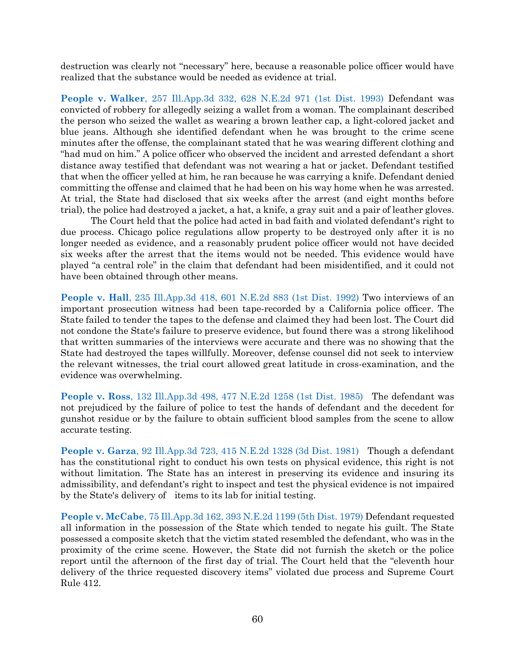destruction was clearly not "necessary" here, because a reasonable police officer would have realized that the substance would be needed as evidence at trial.

**People v. Walker**[, 257 Ill.App.3d 332, 628 N.E.2d 971 \(1st Dist. 1993\)](https://www.westlaw.com/Document/I4b3ff470d3ee11d9bf60c1d57ebc853e/View/FullText.html?transitionType=Default&contextData=(sc.Default)&VR=3.0&RS=da3.0) Defendant was convicted of robbery for allegedly seizing a wallet from a woman. The complainant described the person who seized the wallet as wearing a brown leather cap, a light-colored jacket and blue jeans. Although she identified defendant when he was brought to the crime scene minutes after the offense, the complainant stated that he was wearing different clothing and "had mud on him." A police officer who observed the incident and arrested defendant a short distance away testified that defendant was not wearing a hat or jacket. Defendant testified that when the officer yelled at him, he ran because he was carrying a knife. Defendant denied committing the offense and claimed that he had been on his way home when he was arrested. At trial, the State had disclosed that six weeks after the arrest (and eight months before trial), the police had destroyed a jacket, a hat, a knife, a gray suit and a pair of leather gloves.

The Court held that the police had acted in bad faith and violated defendant's right to due process. Chicago police regulations allow property to be destroyed only after it is no longer needed as evidence, and a reasonably prudent police officer would not have decided six weeks after the arrest that the items would not be needed. This evidence would have played "a central role" in the claim that defendant had been misidentified, and it could not have been obtained through other means.

**People v. Hall**[, 235 Ill.App.3d 418, 601 N.E.2d 883](https://www.westlaw.com/Document/I64467958d42c11d98ac8f235252e36df/View/FullText.html?transitionType=Default&contextData=(sc.Default)&VR=3.0&RS=da3.0) (1st Dist. 1992) Two interviews of an important prosecution witness had been tape-recorded by a California police officer. The State failed to tender the tapes to the defense and claimed they had been lost. The Court did not condone the State's failure to preserve evidence, but found there was a strong likelihood that written summaries of the interviews were accurate and there was no showing that the State had destroyed the tapes willfully. Moreover, defense counsel did not seek to interview the relevant witnesses, the trial court allowed great latitude in cross-examination, and the evidence was overwhelming.

**People v. Ross**[, 132 Ill.App.3d 498, 477 N.E.2d 1258 \(1st Dist. 1985\)](https://www.westlaw.com/Document/Ia4a07627d38911d99439b076ef9ec4de/View/FullText.html?transitionType=Default&contextData=(sc.Default)&VR=3.0&RS=da3.0) The defendant was not prejudiced by the failure of police to test the hands of defendant and the decedent for gunshot residue or by the failure to obtain sufficient blood samples from the scene to allow accurate testing.

**People v. Garza**[, 92 Ill.App.3d 723, 415 N.E.2d 1328 \(3d Dist. 1981\)](https://www.westlaw.com/Document/I5cca04f2d35311d983e7e9deff98dc6f/View/FullText.html?transitionType=Default&contextData=(sc.Default)&VR=3.0&RS=da3.0) Though a defendant has the constitutional right to conduct his own tests on physical evidence, this right is not without limitation. The State has an interest in preserving its evidence and insuring its admissibility, and defendant's right to inspect and test the physical evidence is not impaired by the State's delivery of items to its lab for initial testing.

**People v. McCabe**[, 75 Ill.App.3d 162, 393 N.E.2d 1199 \(5th Dist. 1979\)](https://www.westlaw.com/Document/I4b3817acd93d11d9a489ee624f1f6e1a/View/FullText.html?transitionType=Default&contextData=(sc.Default)&VR=3.0&RS=da3.0) Defendant requested all information in the possession of the State which tended to negate his guilt. The State possessed a composite sketch that the victim stated resembled the defendant, who was in the proximity of the crime scene. However, the State did not furnish the sketch or the police report until the afternoon of the first day of trial. The Court held that the "eleventh hour delivery of the thrice requested discovery items" violated due process and Supreme Court Rule 412.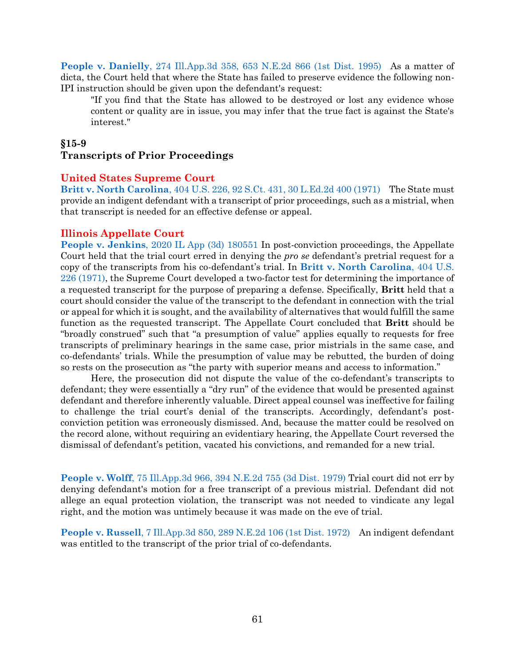**People v. Danielly**[, 274 Ill.App.3d 358, 653 N.E.2d 866 \(1st Dist. 1995\)](https://www.westlaw.com/Document/I32747793d3c211d9a489ee624f1f6e1a/View/FullText.html?transitionType=Default&contextData=(sc.Default)&VR=3.0&RS=da3.0) As a matter of dicta, the Court held that where the State has failed to preserve evidence the following non-IPI instruction should be given upon the defendant's request:

"If you find that the State has allowed to be destroyed or lost any evidence whose content or quality are in issue, you may infer that the true fact is against the State's interest."

#### **§15-9**

### <span id="page-61-0"></span>**Transcripts of Prior Proceedings**

#### **United States Supreme Court**

**Britt v. North Carolina**[, 404 U.S. 226, 92 S.Ct. 431, 30 L.Ed.2d 400 \(1971\)](https://www.westlaw.com/Document/I0a4795409bf011d991d0cc6b54f12d4d/View/FullText.html?transitionType=Default&contextData=(sc.Default)&VR=3.0&RS=da3.0) The State must provide an indigent defendant with a transcript of prior proceedings, such as a mistrial, when that transcript is needed for an effective defense or appeal.

#### **Illinois Appellate Court**

**People v. Jenkins**[, 2020 IL App \(3d\) 180551 I](https://www.westlaw.com/Document/Ie9ac5a8043f411eb9fbcf35452d1df5c/View/FullText.html?transitionType=Default&contextData=(sc.Default)&VR=3.0&RS=da3.0)n post-conviction proceedings, the Appellate Court held that the trial court erred in denying the *pro se* defendant's pretrial request for a copy of the transcripts from his co-defendant's trial. In **[Britt v. North Carolina](https://www.westlaw.com/Document/I0a4795409bf011d991d0cc6b54f12d4d/View/FullText.html?transitionType=Default&contextData=(sc.Default)&VR=3.0&RS=da3.0)**, 404 U.S. [226 \(1971\),](https://www.westlaw.com/Document/I0a4795409bf011d991d0cc6b54f12d4d/View/FullText.html?transitionType=Default&contextData=(sc.Default)&VR=3.0&RS=da3.0) the Supreme Court developed a two-factor test for determining the importance of a requested transcript for the purpose of preparing a defense. Specifically, **Britt** held that a court should consider the value of the transcript to the defendant in connection with the trial or appeal for which it is sought, and the availability of alternatives that would fulfill the same function as the requested transcript. The Appellate Court concluded that **Britt** should be "broadly construed" such that "a presumption of value" applies equally to requests for free transcripts of preliminary hearings in the same case, prior mistrials in the same case, and co-defendants' trials. While the presumption of value may be rebutted, the burden of doing so rests on the prosecution as "the party with superior means and access to information."

Here, the prosecution did not dispute the value of the co-defendant's transcripts to defendant; they were essentially a "dry run" of the evidence that would be presented against defendant and therefore inherently valuable. Direct appeal counsel was ineffective for failing to challenge the trial court's denial of the transcripts. Accordingly, defendant's postconviction petition was erroneously dismissed. And, because the matter could be resolved on the record alone, without requiring an evidentiary hearing, the Appellate Court reversed the dismissal of defendant's petition, vacated his convictions, and remanded for a new trial.

**People v. Wolff**[, 75 Ill.App.3d 966, 394 N.E.2d 755 \(3d Dist. 1979\)](https://www.westlaw.com/Document/Iab9540c2d94011d9a489ee624f1f6e1a/View/FullText.html?transitionType=Default&contextData=(sc.Default)&VR=3.0&RS=da3.0) Trial court did not err by denying defendant's motion for a free transcript of a previous mistrial. Defendant did not allege an equal protection violation, the transcript was not needed to vindicate any legal right, and the motion was untimely because it was made on the eve of trial.

**People v. Russell**[, 7 Ill.App.3d 850, 289 N.E.2d 106 \(1st Dist. 1972\)](https://www.westlaw.com/Document/I3e6e9ee9ee7d11d9bf60c1d57ebc853e/View/FullText.html?transitionType=Default&contextData=(sc.Default)&VR=3.0&RS=da3.0) An indigent defendant was entitled to the transcript of the prior trial of co-defendants.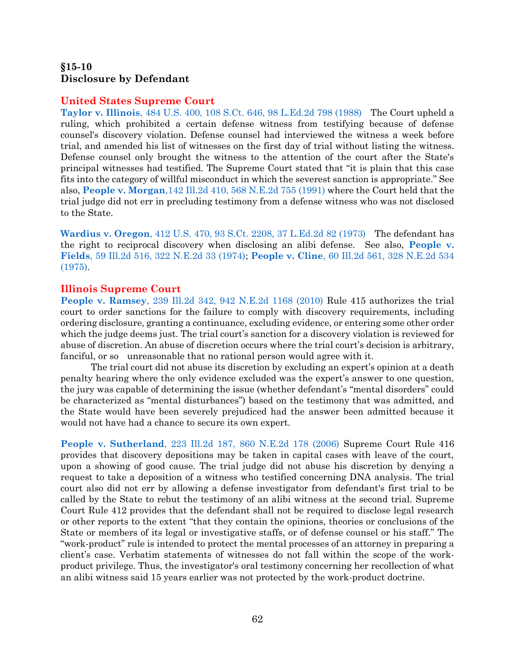# <span id="page-62-0"></span>**§15-10 Disclosure by Defendant**

#### **United States Supreme Court**

**Taylor v. Illinois**[, 484 U.S. 400, 108 S.Ct. 646, 98 L.Ed.2d 798 \(1988\)](https://www.westlaw.com/Document/Ida8bc67a9bf011d9bdd1cfdd544ca3a4/View/FullText.html?transitionType=Default&contextData=(sc.Default)&VR=3.0&RS=da3.0) The Court upheld a ruling, which prohibited a certain defense witness from testifying because of defense counsel's discovery violation. Defense counsel had interviewed the witness a week before trial, and amended his list of witnesses on the first day of trial without listing the witness. Defense counsel only brought the witness to the attention of the court after the State's principal witnesses had testified. The Supreme Court stated that "it is plain that this case fits into the category of willful misconduct in which the severest sanction is appropriate." See also, **People v. Morgan**[,142 Ill.2d 410, 568 N.E.2d 755 \(1991\)](https://www.westlaw.com/Document/I5d4cb902d45811d9a489ee624f1f6e1a/View/FullText.html?transitionType=Default&contextData=(sc.Default)&VR=3.0&RS=da3.0) where the Court held that the trial judge did not err in precluding testimony from a defense witness who was not disclosed to the State.

**Wardius v. Oregon**[, 412 U.S. 470, 93 S.Ct. 2208, 37 L.Ed.2d 82 \(1973\)](https://www.westlaw.com/Document/I23762ec79c1e11d9bdd1cfdd544ca3a4/View/FullText.html?transitionType=Default&contextData=(sc.Default)&VR=3.0&RS=da3.0) The defendant has the right to reciprocal discovery when disclosing an alibi defense. See also, **[People v.](https://www.westlaw.com/Document/I9f2aa3e0ddf811d9bf60c1d57ebc853e/View/FullText.html?transitionType=Default&contextData=(sc.Default)&VR=3.0&RS=da3.0)  Fields**[, 59 Ill.2d 516, 322 N.E.2d 33 \(1974\);](https://www.westlaw.com/Document/I9f2aa3e0ddf811d9bf60c1d57ebc853e/View/FullText.html?transitionType=Default&contextData=(sc.Default)&VR=3.0&RS=da3.0) **People v. Cline**[, 60 Ill.2d 561, 328 N.E.2d 534](https://www.westlaw.com/Document/I667f6e14d93d11d99439b076ef9ec4de/View/FullText.html?transitionType=Default&contextData=(sc.Default)&VR=3.0&RS=da3.0)  [\(1975\).](https://www.westlaw.com/Document/I667f6e14d93d11d99439b076ef9ec4de/View/FullText.html?transitionType=Default&contextData=(sc.Default)&VR=3.0&RS=da3.0)

#### **Illinois Supreme Court**

**People v. Ramsey**[, 239 Ill.2d 342, 942 N.E.2d 1168 \(2010\)](https://www.westlaw.com/Document/I52e81683d22c11df8228ac372eb82649/View/FullText.html?transitionType=Default&contextData=(sc.Default)&VR=3.0&RS=da3.0) Rule 415 authorizes the trial court to order sanctions for the failure to comply with discovery requirements, including ordering disclosure, granting a continuance, excluding evidence, or entering some other order which the judge deems just. The trial court's sanction for a discovery violation is reviewed for abuse of discretion. An abuse of discretion occurs where the trial court's decision is arbitrary, fanciful, or so unreasonable that no rational person would agree with it.

The trial court did not abuse its discretion by excluding an expert's opinion at a death penalty hearing where the only evidence excluded was the expert's answer to one question, the jury was capable of determining the issue (whether defendant's "mental disorders" could be characterized as "mental disturbances") based on the testimony that was admitted, and the State would have been severely prejudiced had the answer been admitted because it would not have had a chance to secure its own expert.

**People v. Sutherland**[, 223 Ill.2d 187, 860 N.E.2d 178 \(2006\)](https://www.westlaw.com/Document/I2e4b030f495411db80c2e56cac103088/View/FullText.html?transitionType=Default&contextData=(sc.Default)&VR=3.0&RS=da3.0) Supreme Court Rule 416 provides that discovery depositions may be taken in capital cases with leave of the court, upon a showing of good cause. The trial judge did not abuse his discretion by denying a request to take a deposition of a witness who testified concerning DNA analysis. The trial court also did not err by allowing a defense investigator from defendant's first trial to be called by the State to rebut the testimony of an alibi witness at the second trial. Supreme Court Rule 412 provides that the defendant shall not be required to disclose legal research or other reports to the extent "that they contain the opinions, theories or conclusions of the State or members of its legal or investigative staffs, or of defense counsel or his staff." The "work-product" rule is intended to protect the mental processes of an attorney in preparing a client's case. Verbatim statements of witnesses do not fall within the scope of the workproduct privilege. Thus, the investigator's oral testimony concerning her recollection of what an alibi witness said 15 years earlier was not protected by the work-product doctrine.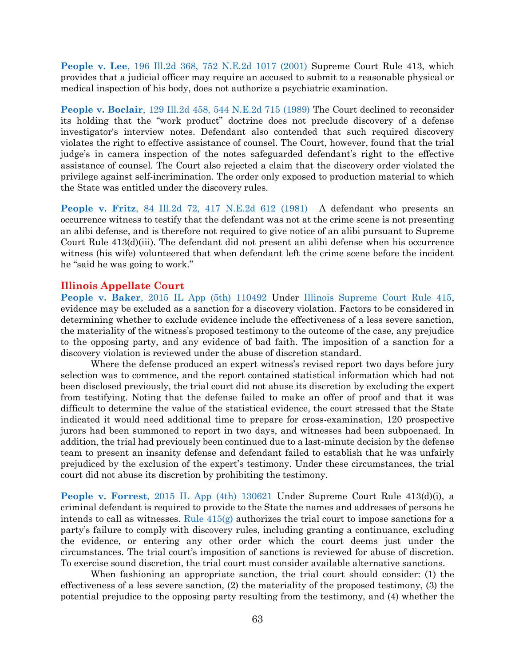**People v. Lee**[, 196 Ill.2d 368, 752 N.E.2d 1017 \(2001\)](https://www.westlaw.com/Document/I111595dbd39711d9bf60c1d57ebc853e/View/FullText.html?transitionType=Default&contextData=(sc.Default)&VR=3.0&RS=da3.0) Supreme Court Rule 413, which provides that a judicial officer may require an accused to submit to a reasonable physical or medical inspection of his body, does not authorize a psychiatric examination.

**People v. Boclair**[, 129 Ill.2d 458, 544 N.E.2d 715 \(1989\)](https://www.westlaw.com/Document/Ia4937ddbd38911d99439b076ef9ec4de/View/FullText.html?transitionType=Default&contextData=(sc.Default)&VR=3.0&RS=da3.0) The Court declined to reconsider its holding that the "work product" doctrine does not preclude discovery of a defense investigator's interview notes. Defendant also contended that such required discovery violates the right to effective assistance of counsel. The Court, however, found that the trial judge's in camera inspection of the notes safeguarded defendant's right to the effective assistance of counsel. The Court also rejected a claim that the discovery order violated the privilege against self-incrimination. The order only exposed to production material to which the State was entitled under the discovery rules.

**People v. Fritz**[, 84 Ill.2d 72, 417 N.E.2d 612 \(1981\)](https://www.westlaw.com/Document/I20ec40e1d38711d983e7e9deff98dc6f/View/FullText.html?transitionType=Default&contextData=(sc.Default)&VR=3.0&RS=da3.0) A defendant who presents an occurrence witness to testify that the defendant was not at the crime scene is not presenting an alibi defense, and is therefore not required to give notice of an alibi pursuant to Supreme Court Rule 413(d)(iii). The defendant did not present an alibi defense when his occurrence witness (his wife) volunteered that when defendant left the crime scene before the incident he "said he was going to work."

#### **Illinois Appellate Court**

**People v. Baker**[, 2015 IL App \(5th\) 110492](https://www.westlaw.com/Link/Document/FullText?cite=2015ILA5PDC110492&VR=3.0&RS=da3.0) Under [Illinois Supreme Court Rule 415,](https://www.westlaw.com/Document/N9F7C0F10E62F11DAB663DBBC2EFCE9AD/View/FullText.html?transitionType=Default&contextData=(sc.Default)&VR=3.0&RS=da3.0) evidence may be excluded as a sanction for a discovery violation. Factors to be considered in determining whether to exclude evidence include the effectiveness of a less severe sanction, the materiality of the witness's proposed testimony to the outcome of the case, any prejudice to the opposing party, and any evidence of bad faith. The imposition of a sanction for a discovery violation is reviewed under the abuse of discretion standard.

Where the defense produced an expert witness's revised report two days before jury selection was to commence, and the report contained statistical information which had not been disclosed previously, the trial court did not abuse its discretion by excluding the expert from testifying. Noting that the defense failed to make an offer of proof and that it was difficult to determine the value of the statistical evidence, the court stressed that the State indicated it would need additional time to prepare for cross-examination, 120 prospective jurors had been summoned to report in two days, and witnesses had been subpoenaed. In addition, the trial had previously been continued due to a last-minute decision by the defense team to present an insanity defense and defendant failed to establish that he was unfairly prejudiced by the exclusion of the expert's testimony. Under these circumstances, the trial court did not abuse its discretion by prohibiting the testimony.

**People v. Forrest**[, 2015 IL App \(4th\) 130621](https://www.westlaw.com/Document/Idbba75506d2711e5a795ac035416da91/View/FullText.html?transitionType=Default&contextData=(sc.Default)&VR=3.0&RS=da3.0) Under Supreme Court Rule 413(d)(i), a criminal defendant is required to provide to the State the names and addresses of persons he intends to call as witnesses. Rule  $415(g)$  authorizes the trial court to impose sanctions for a party's failure to comply with discovery rules, including granting a continuance, excluding the evidence, or entering any other order which the court deems just under the circumstances. The trial court's imposition of sanctions is reviewed for abuse of discretion. To exercise sound discretion, the trial court must consider available alternative sanctions.

When fashioning an appropriate sanction, the trial court should consider: (1) the effectiveness of a less severe sanction, (2) the materiality of the proposed testimony, (3) the potential prejudice to the opposing party resulting from the testimony, and (4) whether the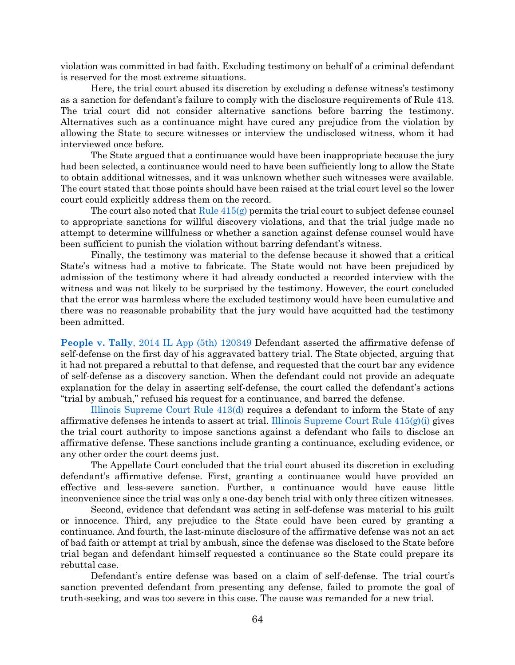violation was committed in bad faith. Excluding testimony on behalf of a criminal defendant is reserved for the most extreme situations.

Here, the trial court abused its discretion by excluding a defense witness's testimony as a sanction for defendant's failure to comply with the disclosure requirements of Rule 413. The trial court did not consider alternative sanctions before barring the testimony. Alternatives such as a continuance might have cured any prejudice from the violation by allowing the State to secure witnesses or interview the undisclosed witness, whom it had interviewed once before.

The State argued that a continuance would have been inappropriate because the jury had been selected, a continuance would need to have been sufficiently long to allow the State to obtain additional witnesses, and it was unknown whether such witnesses were available. The court stated that those points should have been raised at the trial court level so the lower court could explicitly address them on the record.

The court also noted that  $Rule 415(g)$  permits the trial court to subject defense counsel to appropriate sanctions for willful discovery violations, and that the trial judge made no attempt to determine willfulness or whether a sanction against defense counsel would have been sufficient to punish the violation without barring defendant's witness.

Finally, the testimony was material to the defense because it showed that a critical State's witness had a motive to fabricate. The State would not have been prejudiced by admission of the testimony where it had already conducted a recorded interview with the witness and was not likely to be surprised by the testimony. However, the court concluded that the error was harmless where the excluded testimony would have been cumulative and there was no reasonable probability that the jury would have acquitted had the testimony been admitted.

**People v. Tally**[, 2014 IL App \(5th\) 120349](https://www.westlaw.com/Document/I15d215dae24411e3a795ac035416da91/View/FullText.html?transitionType=Default&contextData=(sc.Default)&VR=3.0&RS=da3.0) Defendant asserted the affirmative defense of self-defense on the first day of his aggravated battery trial. The State objected, arguing that it had not prepared a rebuttal to that defense, and requested that the court bar any evidence of self-defense as a discovery sanction. When the defendant could not provide an adequate explanation for the delay in asserting self-defense, the court called the defendant's actions "trial by ambush," refused his request for a continuance, and barred the defense.

[Illinois Supreme Court Rule 413\(d\)](https://www.westlaw.com/Document/N9E777050E62F11DAB663DBBC2EFCE9AD/View/FullText.html?transitionType=Default&contextData=(sc.Default)&VR=3.0&RS=da3.0) requires a defendant to inform the State of any affirmative defenses he intends to assert at trial. Illinois Supreme Court Rule  $415(g)(i)$  gives the trial court authority to impose sanctions against a defendant who fails to disclose an affirmative defense. These sanctions include granting a continuance, excluding evidence, or any other order the court deems just.

The Appellate Court concluded that the trial court abused its discretion in excluding defendant's affirmative defense. First, granting a continuance would have provided an effective and less-severe sanction. Further, a continuance would have cause little inconvenience since the trial was only a one-day bench trial with only three citizen witnesses.

Second, evidence that defendant was acting in self-defense was material to his guilt or innocence. Third, any prejudice to the State could have been cured by granting a continuance. And fourth, the last-minute disclosure of the affirmative defense was not an act of bad faith or attempt at trial by ambush, since the defense was disclosed to the State before trial began and defendant himself requested a continuance so the State could prepare its rebuttal case.

Defendant's entire defense was based on a claim of self-defense. The trial court's sanction prevented defendant from presenting any defense, failed to promote the goal of truth-seeking, and was too severe in this case. The cause was remanded for a new trial.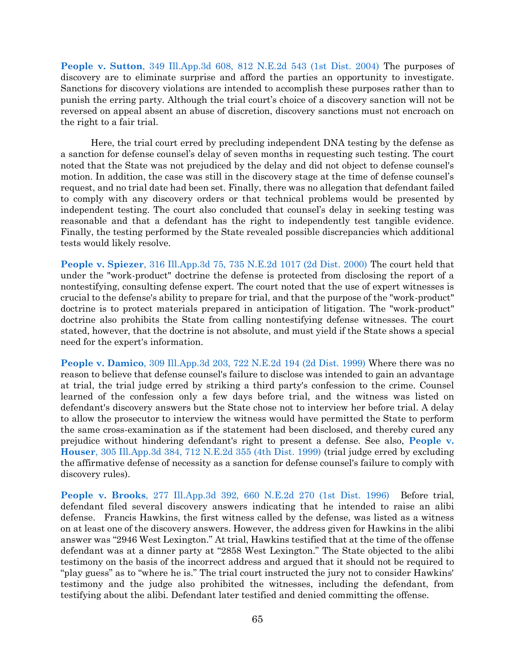**People v. Sutton**[, 349 Ill.App.3d 608, 812 N.E.2d 543 \(1st Dist. 2004\)](https://www.westlaw.com/Document/Ia9fb7290d45411d9a489ee624f1f6e1a/View/FullText.html?transitionType=Default&contextData=(sc.Default)&VR=3.0&RS=da3.0) The purposes of discovery are to eliminate surprise and afford the parties an opportunity to investigate. Sanctions for discovery violations are intended to accomplish these purposes rather than to punish the erring party. Although the trial court's choice of a discovery sanction will not be reversed on appeal absent an abuse of discretion, discovery sanctions must not encroach on the right to a fair trial.

Here, the trial court erred by precluding independent DNA testing by the defense as a sanction for defense counsel's delay of seven months in requesting such testing. The court noted that the State was not prejudiced by the delay and did not object to defense counsel's motion. In addition, the case was still in the discovery stage at the time of defense counsel's request, and no trial date had been set. Finally, there was no allegation that defendant failed to comply with any discovery orders or that technical problems would be presented by independent testing. The court also concluded that counsel's delay in seeking testing was reasonable and that a defendant has the right to independently test tangible evidence. Finally, the testing performed by the State revealed possible discrepancies which additional tests would likely resolve.

**People v. Spiezer**[, 316 Ill.App.3d 75, 735 N.E.2d 1017 \(2d Dist. 2000\)](https://www.westlaw.com/Document/Ic58b9fa0d3ba11d9a489ee624f1f6e1a/View/FullText.html?transitionType=Default&contextData=(sc.Default)&VR=3.0&RS=da3.0) The court held that under the "work-product" doctrine the defense is protected from disclosing the report of a nontestifying, consulting defense expert. The court noted that the use of expert witnesses is crucial to the defense's ability to prepare for trial, and that the purpose of the "work-product" doctrine is to protect materials prepared in anticipation of litigation. The "work-product" doctrine also prohibits the State from calling nontestifying defense witnesses. The court stated, however, that the doctrine is not absolute, and must yield if the State shows a special need for the expert's information.

**People v. Damico**[, 309 Ill.App.3d 203, 722 N.E.2d 194 \(2d Dist. 1999\)](https://www.westlaw.com/Document/I56b27708d45711d983e7e9deff98dc6f/View/FullText.html?transitionType=Default&contextData=(sc.Default)&VR=3.0&RS=da3.0) Where there was no reason to believe that defense counsel's failure to disclose was intended to gain an advantage at trial, the trial judge erred by striking a third party's confession to the crime. Counsel learned of the confession only a few days before trial, and the witness was listed on defendant's discovery answers but the State chose not to interview her before trial. A delay to allow the prosecutor to interview the witness would have permitted the State to perform the same cross-examination as if the statement had been disclosed, and thereby cured any prejudice without hindering defendant's right to present a defense. See also, **[People v.](https://www.westlaw.com/Document/I03bd4db0d3a611d98ac8f235252e36df/View/FullText.html?transitionType=Default&contextData=(sc.Default)&VR=3.0&RS=da3.0)  Houser**[, 305 Ill.App.3d 384, 712 N.E.2d 355 \(4th Dist. 1999\)](https://www.westlaw.com/Document/I03bd4db0d3a611d98ac8f235252e36df/View/FullText.html?transitionType=Default&contextData=(sc.Default)&VR=3.0&RS=da3.0) (trial judge erred by excluding the affirmative defense of necessity as a sanction for defense counsel's failure to comply with discovery rules).

**People v. Brooks**[, 277 Ill.App.3d 392, 660 N.E.2d 270 \(1st Dist. 1996\)](https://www.westlaw.com/Document/I59cf95f6d3dd11d98ac8f235252e36df/View/FullText.html?transitionType=Default&contextData=(sc.Default)&VR=3.0&RS=da3.0) Before trial, defendant filed several discovery answers indicating that he intended to raise an alibi defense. Francis Hawkins, the first witness called by the defense, was listed as a witness on at least one of the discovery answers. However, the address given for Hawkins in the alibi answer was "2946 West Lexington." At trial, Hawkins testified that at the time of the offense defendant was at a dinner party at "2858 West Lexington." The State objected to the alibi testimony on the basis of the incorrect address and argued that it should not be required to "play guess" as to "where he is." The trial court instructed the jury not to consider Hawkins' testimony and the judge also prohibited the witnesses, including the defendant, from testifying about the alibi. Defendant later testified and denied committing the offense.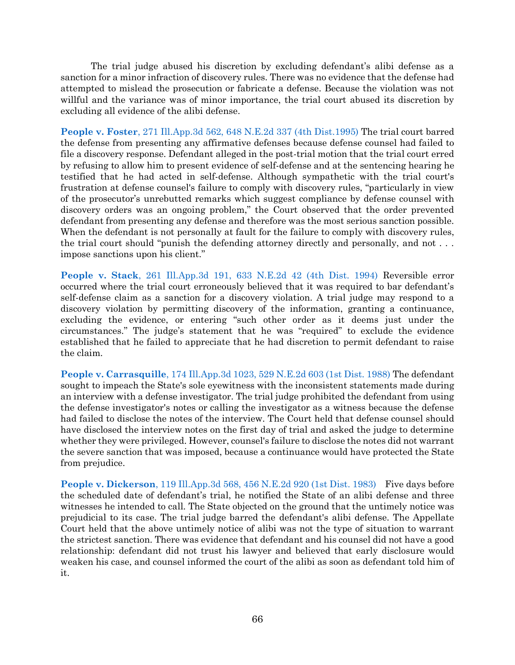The trial judge abused his discretion by excluding defendant's alibi defense as a sanction for a minor infraction of discovery rules. There was no evidence that the defense had attempted to mislead the prosecution or fabricate a defense. Because the violation was not willful and the variance was of minor importance, the trial court abused its discretion by excluding all evidence of the alibi defense.

**People v. Foster**[, 271 Ill.App.3d 562, 648 N.E.2d 337 \(4th Dist.1995\)](https://www.westlaw.com/Document/Ice59bd3bd3d611d99439b076ef9ec4de/View/FullText.html?transitionType=Default&contextData=(sc.Default)&VR=3.0&RS=da3.0) The trial court barred the defense from presenting any affirmative defenses because defense counsel had failed to file a discovery response. Defendant alleged in the post-trial motion that the trial court erred by refusing to allow him to present evidence of self-defense and at the sentencing hearing he testified that he had acted in self-defense. Although sympathetic with the trial court's frustration at defense counsel's failure to comply with discovery rules, "particularly in view of the prosecutor's unrebutted remarks which suggest compliance by defense counsel with discovery orders was an ongoing problem," the Court observed that the order prevented defendant from presenting any defense and therefore was the most serious sanction possible. When the defendant is not personally at fault for the failure to comply with discovery rules, the trial court should "punish the defending attorney directly and personally, and not . . . impose sanctions upon his client."

**People v. Stack**[, 261 Ill.App.3d 191, 633 N.E.2d 42 \(4th Dist. 1994\)](https://www.westlaw.com/Document/I3141aee4d3e511d983e7e9deff98dc6f/View/FullText.html?transitionType=Default&contextData=(sc.Default)&VR=3.0&RS=da3.0) Reversible error occurred where the trial court erroneously believed that it was required to bar defendant's self-defense claim as a sanction for a discovery violation. A trial judge may respond to a discovery violation by permitting discovery of the information, granting a continuance, excluding the evidence, or entering "such other order as it deems just under the circumstances." The judge's statement that he was "required" to exclude the evidence established that he failed to appreciate that he had discretion to permit defendant to raise the claim.

**People v. Carrasquille**[, 174 Ill.App.3d 1023, 529 N.E.2d 603 \(1st Dist. 1988\)](https://www.westlaw.com/Document/I787542f6d2b311d98ac8f235252e36df/View/FullText.html?transitionType=Default&contextData=(sc.Default)&VR=3.0&RS=da3.0) The defendant sought to impeach the State's sole eyewitness with the inconsistent statements made during an interview with a defense investigator. The trial judge prohibited the defendant from using the defense investigator's notes or calling the investigator as a witness because the defense had failed to disclose the notes of the interview. The Court held that defense counsel should have disclosed the interview notes on the first day of trial and asked the judge to determine whether they were privileged. However, counsel's failure to disclose the notes did not warrant the severe sanction that was imposed, because a continuance would have protected the State from prejudice.

**People v. Dickerson**[, 119 Ill.App.3d 568, 456 N.E.2d 920 \(1st Dist. 1983\)](https://www.westlaw.com/Document/Iea64fe42d37211d9bf60c1d57ebc853e/View/FullText.html?transitionType=Default&contextData=(sc.Default)&VR=3.0&RS=da3.0) Five days before the scheduled date of defendant's trial, he notified the State of an alibi defense and three witnesses he intended to call. The State objected on the ground that the untimely notice was prejudicial to its case. The trial judge barred the defendant's alibi defense. The Appellate Court held that the above untimely notice of alibi was not the type of situation to warrant the strictest sanction. There was evidence that defendant and his counsel did not have a good relationship: defendant did not trust his lawyer and believed that early disclosure would weaken his case, and counsel informed the court of the alibi as soon as defendant told him of it.